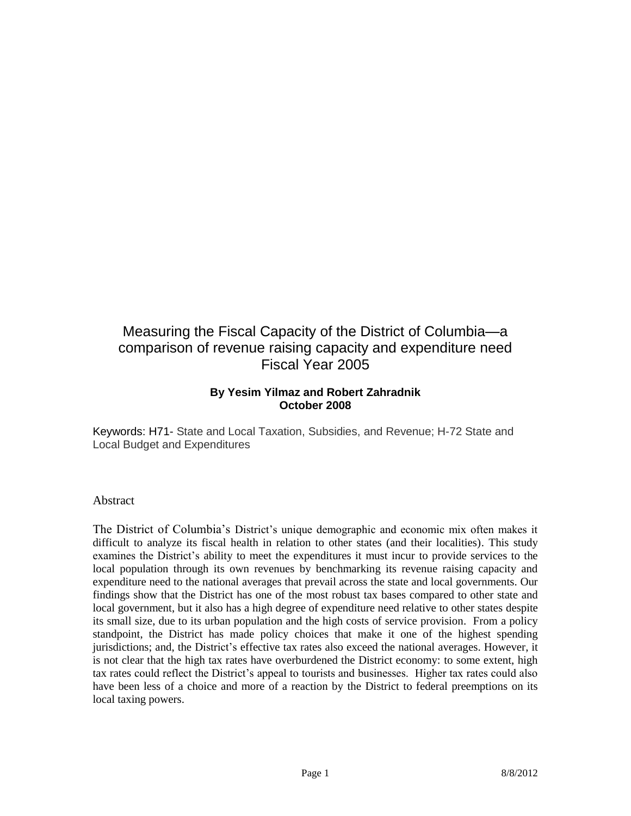# Measuring the Fiscal Capacity of the District of Columbia—a comparison of revenue raising capacity and expenditure need Fiscal Year 2005

## **By Yesim Yilmaz and Robert Zahradnik October 2008**

Keywords: H71- State and Local Taxation, Subsidies, and Revenue; H-72 State and Local Budget and Expenditures

#### Abstract

The District of Columbia's District's unique demographic and economic mix often makes it difficult to analyze its fiscal health in relation to other states (and their localities). This study examines the District's ability to meet the expenditures it must incur to provide services to the local population through its own revenues by benchmarking its revenue raising capacity and expenditure need to the national averages that prevail across the state and local governments. Our findings show that the District has one of the most robust tax bases compared to other state and local government, but it also has a high degree of expenditure need relative to other states despite its small size, due to its urban population and the high costs of service provision. From a policy standpoint, the District has made policy choices that make it one of the highest spending jurisdictions; and, the District's effective tax rates also exceed the national averages. However, it is not clear that the high tax rates have overburdened the District economy: to some extent, high tax rates could reflect the District's appeal to tourists and businesses. Higher tax rates could also have been less of a choice and more of a reaction by the District to federal preemptions on its local taxing powers.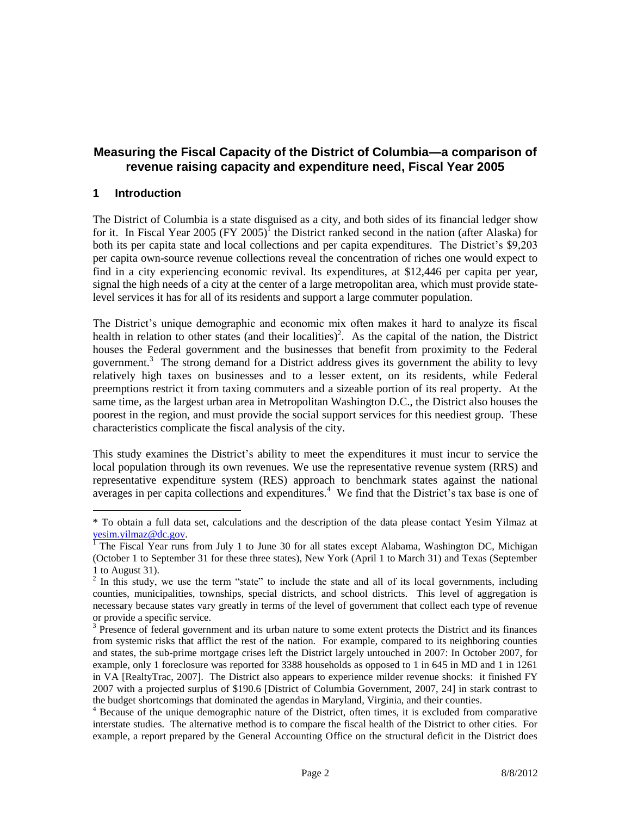## **Measuring the Fiscal Capacity of the District of Columbia—a comparison of revenue raising capacity and expenditure need, Fiscal Year 2005**

## **1 Introduction**

 $\overline{a}$ 

The District of Columbia is a state disguised as a city, and both sides of its financial ledger show for it. In Fiscal Year 2005 (FY 2005)<sup>I</sup> the District ranked second in the nation (after Alaska) for both its per capita state and local collections and per capita expenditures. The District's \$9,203 per capita own-source revenue collections reveal the concentration of riches one would expect to find in a city experiencing economic revival. Its expenditures, at \$12,446 per capita per year, signal the high needs of a city at the center of a large metropolitan area, which must provide statelevel services it has for all of its residents and support a large commuter population.

The District's unique demographic and economic mix often makes it hard to analyze its fiscal health in relation to other states (and their localities)<sup>2</sup>. As the capital of the nation, the District houses the Federal government and the businesses that benefit from proximity to the Federal government.<sup>3</sup> The strong demand for a District address gives its government the ability to levy relatively high taxes on businesses and to a lesser extent, on its residents, while Federal preemptions restrict it from taxing commuters and a sizeable portion of its real property. At the same time, as the largest urban area in Metropolitan Washington D.C., the District also houses the poorest in the region, and must provide the social support services for this neediest group. These characteristics complicate the fiscal analysis of the city.

This study examines the District's ability to meet the expenditures it must incur to service the local population through its own revenues. We use the representative revenue system (RRS) and representative expenditure system (RES) approach to benchmark states against the national averages in per capita collections and expenditures.<sup>4</sup> We find that the District's tax base is one of

<sup>\*</sup> To obtain a full data set, calculations and the description of the data please contact Yesim Yilmaz at [yesim.yilmaz@dc.gov.](mailto:yesim.yilmaz@dc.gov)

<sup>&</sup>lt;sup>1</sup> The Fiscal Year runs from July 1 to June 30 for all states except Alabama, Washington DC, Michigan (October 1 to September 31 for these three states), New York (April 1 to March 31) and Texas (September 1 to August 31).

 $2$  In this study, we use the term "state" to include the state and all of its local governments, including counties, municipalities, townships, special districts, and school districts. This level of aggregation is necessary because states vary greatly in terms of the level of government that collect each type of revenue or provide a specific service.

<sup>&</sup>lt;sup>3</sup> Presence of federal government and its urban nature to some extent protects the District and its finances from systemic risks that afflict the rest of the nation. For example, compared to its neighboring counties and states, the sub-prime mortgage crises left the District largely untouched in 2007: In October 2007, for example, only 1 foreclosure was reported for 3388 households as opposed to 1 in 645 in MD and 1 in 1261 in VA [RealtyTrac, 2007]. The District also appears to experience milder revenue shocks: it finished FY 2007 with a projected surplus of \$190.6 [District of Columbia Government, 2007, 24] in stark contrast to the budget shortcomings that dominated the agendas in Maryland, Virginia, and their counties.

<sup>&</sup>lt;sup>4</sup> Because of the unique demographic nature of the District, often times, it is excluded from comparative interstate studies. The alternative method is to compare the fiscal health of the District to other cities. For example, a report prepared by the General Accounting Office on the structural deficit in the District does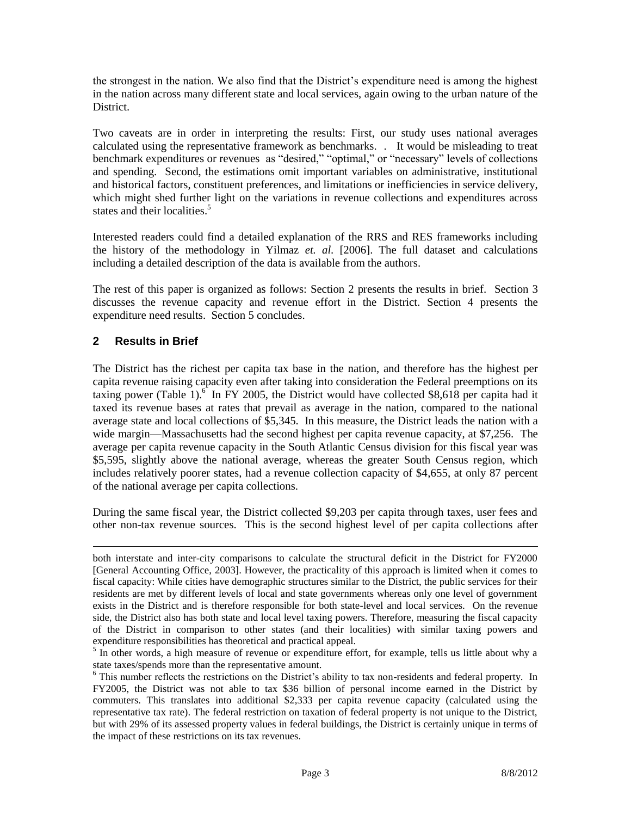the strongest in the nation. We also find that the District's expenditure need is among the highest in the nation across many different state and local services, again owing to the urban nature of the District.

Two caveats are in order in interpreting the results: First, our study uses national averages calculated using the representative framework as benchmarks. . It would be misleading to treat benchmark expenditures or revenues as "desired," "optimal," or "necessary" levels of collections and spending. Second, the estimations omit important variables on administrative, institutional and historical factors, constituent preferences, and limitations or inefficiencies in service delivery, which might shed further light on the variations in revenue collections and expenditures across states and their localities.<sup>5</sup>

Interested readers could find a detailed explanation of the RRS and RES frameworks including the history of the methodology in Yilmaz *et. al.* [2006]. The full dataset and calculations including a detailed description of the data is available from the authors.

The rest of this paper is organized as follows: Section 2 presents the results in brief. Section 3 discusses the revenue capacity and revenue effort in the District. Section 4 presents the expenditure need results. Section 5 concludes.

## **2 Results in Brief**

 $\overline{a}$ 

The District has the richest per capita tax base in the nation, and therefore has the highest per capita revenue raising capacity even after taking into consideration the Federal preemptions on its taxing power (Table 1).<sup>6</sup> In FY 2005, the District would have collected \$8,618 per capita had it taxed its revenue bases at rates that prevail as average in the nation, compared to the national average state and local collections of \$5,345. In this measure, the District leads the nation with a wide margin—Massachusetts had the second highest per capita revenue capacity, at \$7,256. The average per capita revenue capacity in the South Atlantic Census division for this fiscal year was \$5,595, slightly above the national average, whereas the greater South Census region, which includes relatively poorer states, had a revenue collection capacity of \$4,655, at only 87 percent of the national average per capita collections.

During the same fiscal year, the District collected \$9,203 per capita through taxes, user fees and other non-tax revenue sources. This is the second highest level of per capita collections after

both interstate and inter-city comparisons to calculate the structural deficit in the District for FY2000 [General Accounting Office, 2003]. However, the practicality of this approach is limited when it comes to fiscal capacity: While cities have demographic structures similar to the District, the public services for their residents are met by different levels of local and state governments whereas only one level of government exists in the District and is therefore responsible for both state-level and local services. On the revenue side, the District also has both state and local level taxing powers. Therefore, measuring the fiscal capacity of the District in comparison to other states (and their localities) with similar taxing powers and expenditure responsibilities has theoretical and practical appeal.

<sup>&</sup>lt;sup>5</sup> In other words, a high measure of revenue or expenditure effort, for example, tells us little about why a state taxes/spends more than the representative amount.

<sup>&</sup>lt;sup>6</sup> This number reflects the restrictions on the District's ability to tax non-residents and federal property. In FY2005, the District was not able to tax \$36 billion of personal income earned in the District by commuters. This translates into additional \$2,333 per capita revenue capacity (calculated using the representative tax rate). The federal restriction on taxation of federal property is not unique to the District, but with 29% of its assessed property values in federal buildings, the District is certainly unique in terms of the impact of these restrictions on its tax revenues.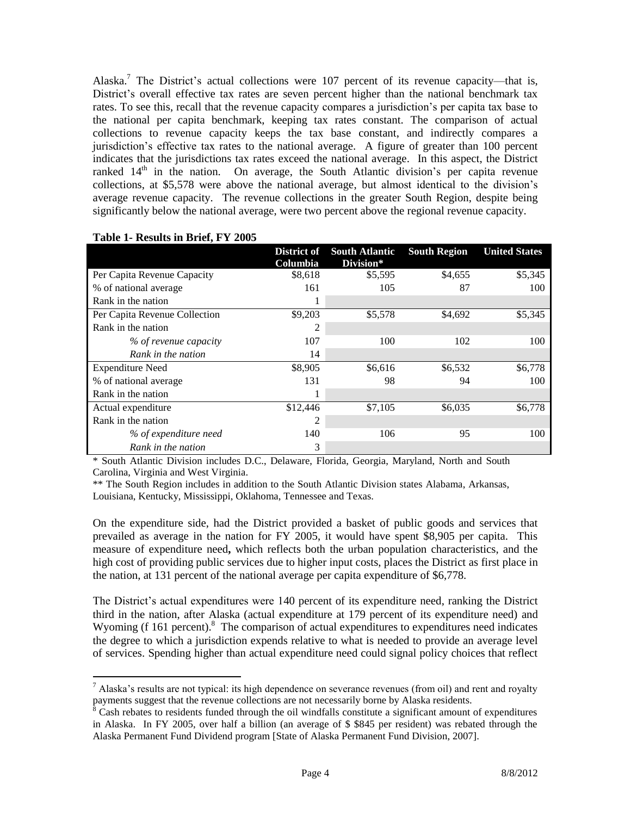Alaska.<sup>7</sup> The District's actual collections were 107 percent of its revenue capacity—that is, District's overall effective tax rates are seven percent higher than the national benchmark tax rates. To see this, recall that the revenue capacity compares a jurisdiction's per capita tax base to the national per capita benchmark, keeping tax rates constant. The comparison of actual collections to revenue capacity keeps the tax base constant, and indirectly compares a jurisdiction's effective tax rates to the national average. A figure of greater than 100 percent indicates that the jurisdictions tax rates exceed the national average. In this aspect, the District ranked  $14<sup>th</sup>$  in the nation. On average, the South Atlantic division's per capita revenue collections, at \$5,578 were above the national average, but almost identical to the division's average revenue capacity. The revenue collections in the greater South Region, despite being significantly below the national average, were two percent above the regional revenue capacity.

|                               | District of<br>Columbia | <b>South Atlantic</b><br>Division* | <b>South Region</b> | <b>United States</b> |
|-------------------------------|-------------------------|------------------------------------|---------------------|----------------------|
| Per Capita Revenue Capacity   | \$8,618                 | \$5,595                            | \$4,655             | \$5,345              |
| % of national average         | 161                     | 105                                | 87                  | 100                  |
| Rank in the nation            |                         |                                    |                     |                      |
| Per Capita Revenue Collection | \$9,203                 | \$5,578                            | \$4,692             | \$5,345              |
| Rank in the nation            | 2                       |                                    |                     |                      |
| % of revenue capacity         | 107                     | 100                                | 102                 | 100                  |
| Rank in the nation            | 14                      |                                    |                     |                      |
| <b>Expenditure Need</b>       | \$8,905                 | \$6,616                            | \$6,532             | \$6,778              |
| % of national average         | 131                     | 98                                 | 94                  | 100                  |
| Rank in the nation            |                         |                                    |                     |                      |
| Actual expenditure            | \$12,446                | \$7,105                            | \$6,035             | \$6,778              |
| Rank in the nation            | 2                       |                                    |                     |                      |
| % of expenditure need         | 140                     | 106                                | 95                  | 100                  |
| Rank in the nation            | 3                       |                                    |                     |                      |

#### **Table 1- Results in Brief, FY 2005**

 $\overline{a}$ 

\* South Atlantic Division includes D.C., Delaware, Florida, Georgia, Maryland, North and South Carolina, Virginia and West Virginia.

\*\* The South Region includes in addition to the South Atlantic Division states Alabama, Arkansas, Louisiana, Kentucky, Mississippi, Oklahoma, Tennessee and Texas.

On the expenditure side, had the District provided a basket of public goods and services that prevailed as average in the nation for FY 2005, it would have spent \$8,905 per capita. This measure of expenditure need**,** which reflects both the urban population characteristics, and the high cost of providing public services due to higher input costs, places the District as first place in the nation, at 131 percent of the national average per capita expenditure of \$6,778.

The District's actual expenditures were 140 percent of its expenditure need, ranking the District third in the nation, after Alaska (actual expenditure at 179 percent of its expenditure need) and Wyoming (f 161 percent).<sup>8</sup> The comparison of actual expenditures to expenditures need indicates the degree to which a jurisdiction expends relative to what is needed to provide an average level of services. Spending higher than actual expenditure need could signal policy choices that reflect

 $<sup>7</sup>$  Alaska's results are not typical: its high dependence on severance revenues (from oil) and rent and royalty</sup> payments suggest that the revenue collections are not necessarily borne by Alaska residents.

 $8 \text{ Cash relates to residents funded through the oil windfalls constitute a significant amount of expenditures.}$ in Alaska. In FY 2005, over half a billion (an average of \$ \$845 per resident) was rebated through the Alaska Permanent Fund Dividend program [State of Alaska Permanent Fund Division, 2007].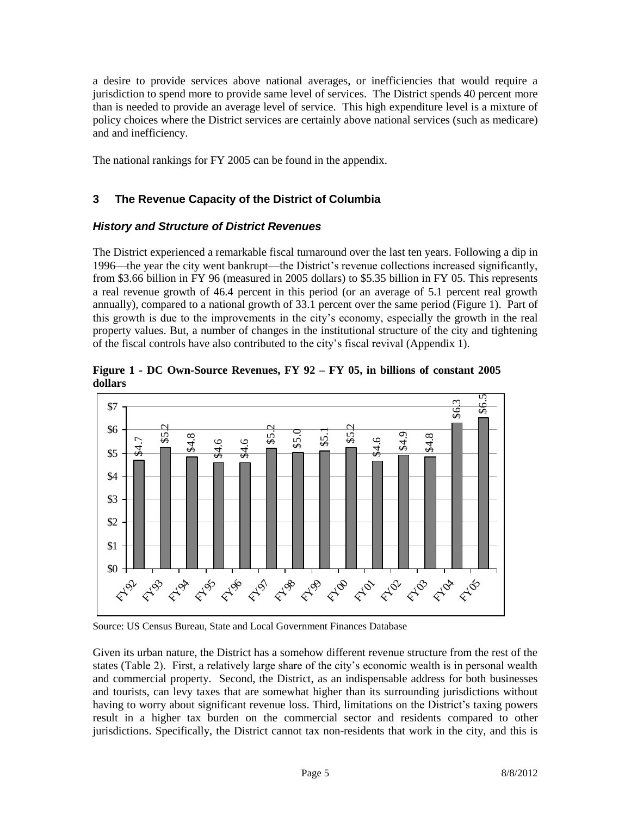a desire to provide services above national averages, or inefficiencies that would require a jurisdiction to spend more to provide same level of services. The District spends 40 percent more than is needed to provide an average level of service. This high expenditure level is a mixture of policy choices where the District services are certainly above national services (such as medicare) and and inefficiency.

The national rankings for FY 2005 can be found in the appendix.

## **3 The Revenue Capacity of the District of Columbia**

## *History and Structure of District Revenues*

The District experienced a remarkable fiscal turnaround over the last ten years. Following a dip in 1996—the year the city went bankrupt—the District's revenue collections increased significantly, from \$3.66 billion in FY 96 (measured in 2005 dollars) to \$5.35 billion in FY 05. This represents a real revenue growth of 46.4 percent in this period (or an average of 5.1 percent real growth annually), compared to a national growth of 33.1 percent over the same period (Figure 1). Part of this growth is due to the improvements in the city's economy, especially the growth in the real property values. But, a number of changes in the institutional structure of the city and tightening of the fiscal controls have also contributed to the city's fiscal revival (Appendix 1).

**Figure 1 - DC Own-Source Revenues, FY 92 – FY 05, in billions of constant 2005 dollars**



Source: US Census Bureau, State and Local Government Finances Database

Given its urban nature, the District has a somehow different revenue structure from the rest of the states (Table 2). First, a relatively large share of the city's economic wealth is in personal wealth and commercial property. Second, the District, as an indispensable address for both businesses and tourists, can levy taxes that are somewhat higher than its surrounding jurisdictions without having to worry about significant revenue loss. Third, limitations on the District's taxing powers result in a higher tax burden on the commercial sector and residents compared to other jurisdictions. Specifically, the District cannot tax non-residents that work in the city, and this is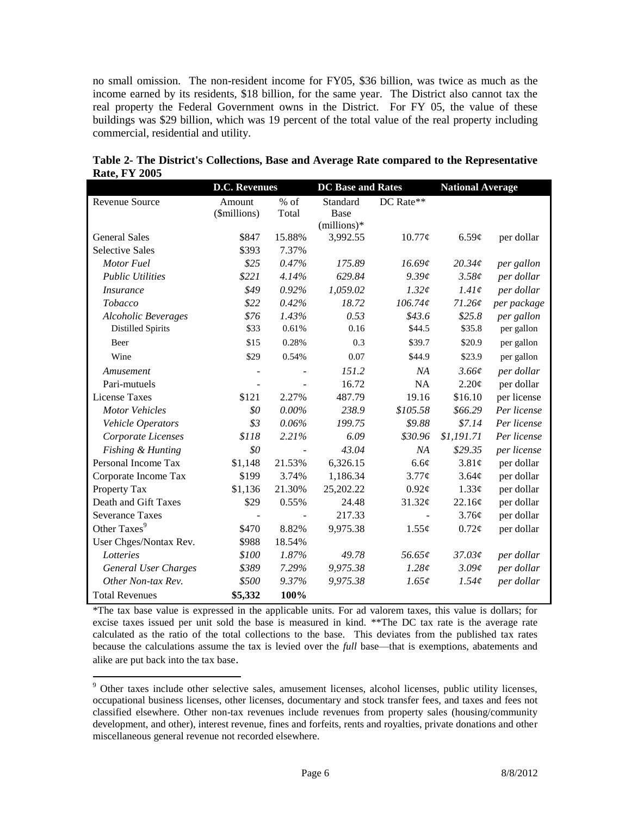no small omission. The non-resident income for FY05, \$36 billion, was twice as much as the income earned by its residents, \$18 billion, for the same year. The District also cannot tax the real property the Federal Government owns in the District. For FY 05, the value of these buildings was \$29 billion, which was 19 percent of the total value of the real property including commercial, residential and utility.

|                             | <b>D.C. Revenues</b> |          | <b>DC</b> Base and Rates |             | <b>National Average</b> |             |
|-----------------------------|----------------------|----------|--------------------------|-------------|-------------------------|-------------|
| Revenue Source              | Amount               | $%$ of   | Standard                 | DC Rate**   |                         |             |
|                             | (\$millions)         | Total    | Base                     |             |                         |             |
|                             |                      |          | $(millions)*$            |             |                         |             |
| <b>General Sales</b>        | \$847                | 15.88%   | 3,992.55                 | $10.77\phi$ | 6.59¢                   | per dollar  |
| <b>Selective Sales</b>      | \$393                | 7.37%    |                          |             |                         |             |
| Motor Fuel                  | \$25                 | 0.47%    | 175.89                   | 16.69¢      | 20.34c                  | per gallon  |
| <b>Public Utilities</b>     | \$221                | 4.14%    | 629.84                   | $9.39\ell$  | $3.58\ell$              | per dollar  |
| <i>Insurance</i>            | \$49                 | 0.92%    | 1,059.02                 | $1.32\ell$  | 1.41c                   | per dollar  |
| Tobacco                     | \$22                 | 0.42%    | 18.72                    | 106.74c     | 71.26¢                  | per package |
| <b>Alcoholic Beverages</b>  | \$76                 | 1.43%    | 0.53                     | \$43.6      | \$25.8                  | per gallon  |
| <b>Distilled Spirits</b>    | \$33                 | 0.61%    | 0.16                     | \$44.5      | \$35.8                  | per gallon  |
| Beer                        | \$15                 | 0.28%    | 0.3                      | \$39.7      | \$20.9                  | per gallon  |
| Wine                        | \$29                 | 0.54%    | 0.07                     | \$44.9      | \$23.9                  | per gallon  |
| Amusement                   |                      |          | 151.2                    | NA          | $3.66\ell$              | per dollar  |
| Pari-mutuels                |                      |          | 16.72                    | <b>NA</b>   | $2.20\ell$              | per dollar  |
| <b>License Taxes</b>        | \$121                | 2.27%    | 487.79                   | 19.16       | \$16.10                 | per license |
| <b>Motor Vehicles</b>       | \$0                  | $0.00\%$ | 238.9                    | \$105.58    | \$66.29                 | Per license |
| Vehicle Operators           | \$3                  | $0.06\%$ | 199.75                   | \$9.88      | \$7.14                  | Per license |
| Corporate Licenses          | \$118                | 2.21%    | 6.09                     | \$30.96     | \$1,191.71              | Per license |
| Fishing & Hunting           | \$0                  |          | 43.04                    | NA          | \$29.35                 | per license |
| Personal Income Tax         | \$1,148              | 21.53%   | 6,326.15                 | 6.6¢        | 3.81¢                   | per dollar  |
| Corporate Income Tax        | \$199                | 3.74%    | 1,186.34                 | $3.77\phi$  | 3.64¢                   | per dollar  |
| Property Tax                | \$1,136              | 21.30%   | 25,202.22                | $0.92\ell$  | 1.33¢                   | per dollar  |
| Death and Gift Taxes        | \$29                 | 0.55%    | 24.48                    | 31.32¢      | 22.16¢                  | per dollar  |
| <b>Severance Taxes</b>      |                      |          | 217.33                   |             | 3.76¢                   | per dollar  |
| Other Taxes <sup>9</sup>    | \$470                | 8.82%    | 9,975.38                 | 1.55¢       | $0.72\phi$              | per dollar  |
| User Chges/Nontax Rev.      | \$988                | 18.54%   |                          |             |                         |             |
| Lotteries                   | \$100                | 1.87%    | 49.78                    | 56.65¢      | 37.03¢                  | per dollar  |
| <b>General User Charges</b> | \$389                | 7.29%    | 9,975.38                 | 1.28¢       | $3.09\ell$              | per dollar  |
| Other Non-tax Rev.          | \$500                | 9.37%    | 9,975.38                 | 1.65¢       | 1.54c                   | per dollar  |
| <b>Total Revenues</b>       | \$5,332              | 100%     |                          |             |                         |             |

|                      | Table 2- The District's Collections, Base and Average Rate compared to the Representative |  |  |
|----------------------|-------------------------------------------------------------------------------------------|--|--|
| <b>Rate, FY 2005</b> |                                                                                           |  |  |

\*The tax base value is expressed in the applicable units. For ad valorem taxes, this value is dollars; for excise taxes issued per unit sold the base is measured in kind. \*\*The DC tax rate is the average rate calculated as the ratio of the total collections to the base. This deviates from the published tax rates because the calculations assume the tax is levied over the *full* base—that is exemptions, abatements and alike are put back into the tax base.

 $\overline{a}$ 

<sup>&</sup>lt;sup>9</sup> Other taxes include other selective sales, amusement licenses, alcohol licenses, public utility licenses, occupational business licenses, other licenses, documentary and stock transfer fees, and taxes and fees not classified elsewhere. Other non-tax revenues include revenues from property sales (housing/community development, and other), interest revenue, fines and forfeits, rents and royalties, private donations and other miscellaneous general revenue not recorded elsewhere.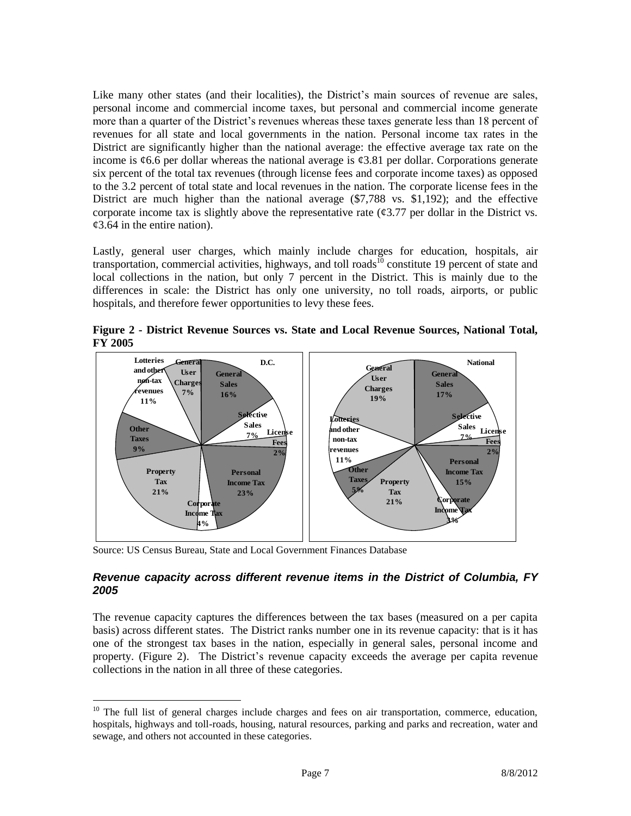Like many other states (and their localities), the District's main sources of revenue are sales, personal income and commercial income taxes, but personal and commercial income generate more than a quarter of the District's revenues whereas these taxes generate less than 18 percent of revenues for all state and local governments in the nation. Personal income tax rates in the District are significantly higher than the national average: the effective average tax rate on the income is  $\epsilon$ 6.6 per dollar whereas the national average is  $\epsilon$ 3.81 per dollar. Corporations generate six percent of the total tax revenues (through license fees and corporate income taxes) as opposed to the 3.2 percent of total state and local revenues in the nation. The corporate license fees in the District are much higher than the national average (\$7,788 vs. \$1,192); and the effective corporate income tax is slightly above the representative rate  $(\mathcal{C}3.77)$  per dollar in the District vs.  $\mathcal{L}3.64$  in the entire nation).

Lastly, general user charges, which mainly include charges for education, hospitals, air transportation, commercial activities, highways, and toll roads<sup>10</sup> constitute 19 percent of state and local collections in the nation, but only 7 percent in the District. This is mainly due to the differences in scale: the District has only one university, no toll roads, airports, or public hospitals, and therefore fewer opportunities to levy these fees.

**Figure 2 - District Revenue Sources vs. State and Local Revenue Sources, National Total, FY 2005**



Source: US Census Bureau, State and Local Government Finances Database

 $\overline{a}$ 

## *Revenue capacity across different revenue items in the District of Columbia, FY 2005*

The revenue capacity captures the differences between the tax bases (measured on a per capita basis) across different states. The District ranks number one in its revenue capacity: that is it has one of the strongest tax bases in the nation, especially in general sales, personal income and property. (Figure 2). The District's revenue capacity exceeds the average per capita revenue collections in the nation in all three of these categories.

<sup>&</sup>lt;sup>10</sup> The full list of general charges include charges and fees on air transportation, commerce, education, hospitals, highways and toll-roads, housing, natural resources, parking and parks and recreation, water and sewage, and others not accounted in these categories.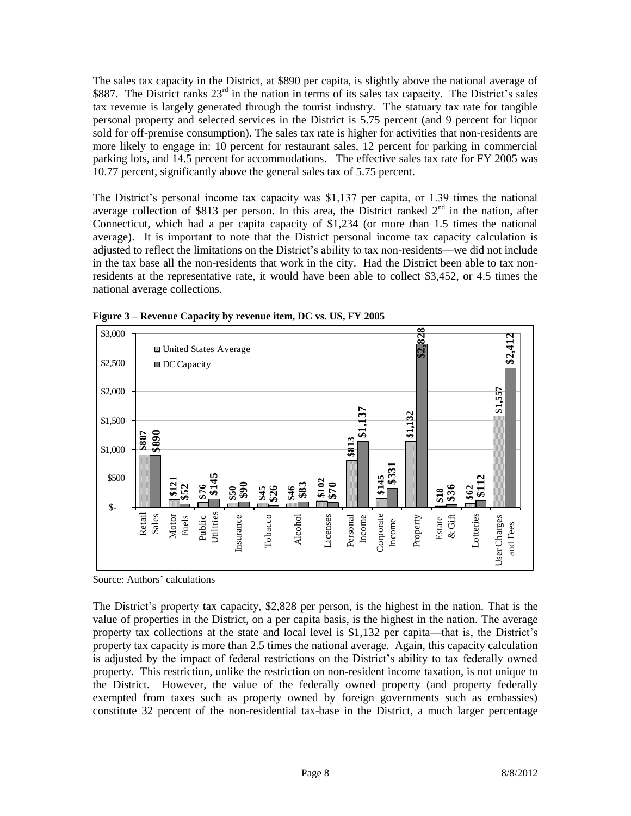The sales tax capacity in the District, at \$890 per capita, is slightly above the national average of \$887. The District ranks 23<sup>rd</sup> in the nation in terms of its sales tax capacity. The District's sales tax revenue is largely generated through the tourist industry. The statuary tax rate for tangible personal property and selected services in the District is 5.75 percent (and 9 percent for liquor sold for off-premise consumption). The sales tax rate is higher for activities that non-residents are more likely to engage in: 10 percent for restaurant sales, 12 percent for parking in commercial parking lots, and 14.5 percent for accommodations. The effective sales tax rate for FY 2005 was 10.77 percent, significantly above the general sales tax of 5.75 percent.

The District's personal income tax capacity was \$1,137 per capita, or 1.39 times the national average collection of \$813 per person. In this area, the District ranked  $2<sup>nd</sup>$  in the nation, after Connecticut, which had a per capita capacity of \$1,234 (or more than 1.5 times the national average). It is important to note that the District personal income tax capacity calculation is adjusted to reflect the limitations on the District's ability to tax non-residents—we did not include in the tax base all the non-residents that work in the city. Had the District been able to tax nonresidents at the representative rate, it would have been able to collect \$3,452, or 4.5 times the national average collections.



**Figure 3 – Revenue Capacity by revenue item, DC vs. US, FY 2005**

Source: Authors' calculations

The District's property tax capacity, \$2,828 per person, is the highest in the nation. That is the value of properties in the District, on a per capita basis, is the highest in the nation. The average property tax collections at the state and local level is \$1,132 per capita—that is, the District's property tax capacity is more than 2.5 times the national average. Again, this capacity calculation is adjusted by the impact of federal restrictions on the District's ability to tax federally owned property. This restriction, unlike the restriction on non-resident income taxation, is not unique to the District. However, the value of the federally owned property (and property federally exempted from taxes such as property owned by foreign governments such as embassies) constitute 32 percent of the non-residential tax-base in the District, a much larger percentage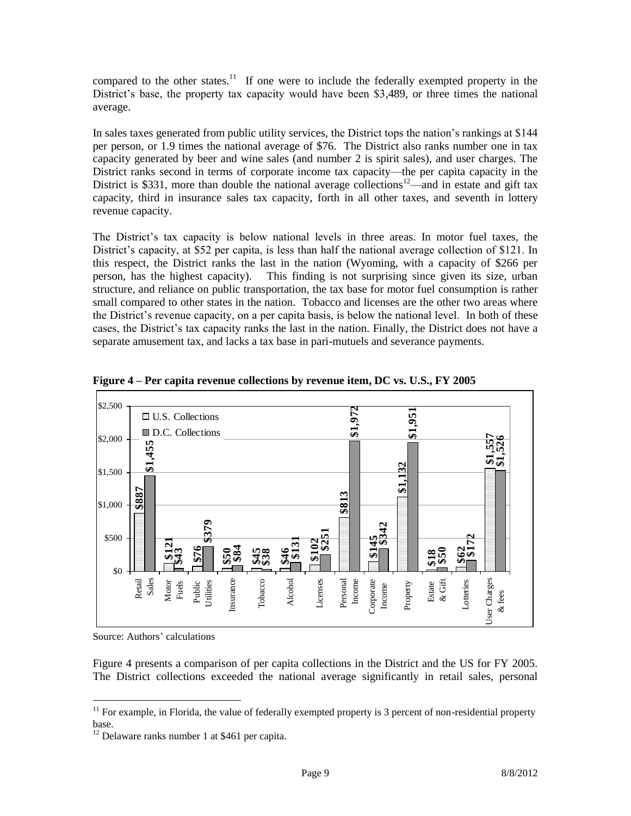compared to the other states.<sup>11</sup> If one were to include the federally exempted property in the District's base, the property tax capacity would have been \$3,489, or three times the national average.

In sales taxes generated from public utility services, the District tops the nation's rankings at \$144 per person, or 1.9 times the national average of \$76. The District also ranks number one in tax capacity generated by beer and wine sales (and number 2 is spirit sales), and user charges. The District ranks second in terms of corporate income tax capacity—the per capita capacity in the District is \$331, more than double the national average collections<sup>12—</sup>and in estate and gift tax capacity, third in insurance sales tax capacity, forth in all other taxes, and seventh in lottery revenue capacity.

The District's tax capacity is below national levels in three areas. In motor fuel taxes, the District's capacity, at \$52 per capita, is less than half the national average collection of \$121. In this respect, the District ranks the last in the nation (Wyoming, with a capacity of \$266 per person, has the highest capacity). This finding is not surprising since given its size, urban structure, and reliance on public transportation, the tax base for motor fuel consumption is rather small compared to other states in the nation. Tobacco and licenses are the other two areas where the District's revenue capacity, on a per capita basis, is below the national level. In both of these cases, the District's tax capacity ranks the last in the nation. Finally, the District does not have a separate amusement tax, and lacks a tax base in pari-mutuels and severance payments.



**Figure 4 – Per capita revenue collections by revenue item, DC vs. U.S., FY 2005**

Source: Authors' calculations

 $\overline{a}$ 

Figure 4 presents a comparison of per capita collections in the District and the US for FY 2005. The District collections exceeded the national average significantly in retail sales, personal

 $11$  For example, in Florida, the value of federally exempted property is 3 percent of non-residential property base.

 $12$  Delaware ranks number 1 at \$461 per capita.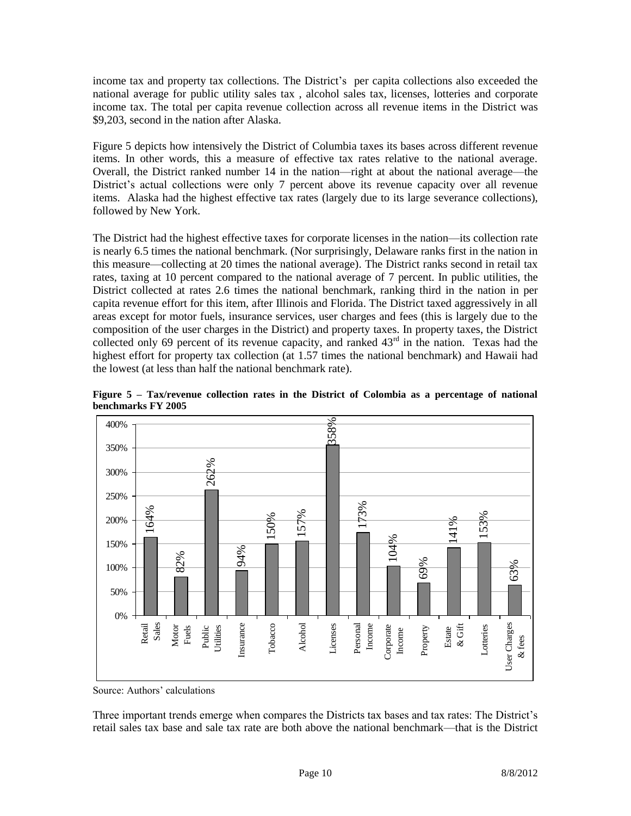income tax and property tax collections. The District's per capita collections also exceeded the national average for public utility sales tax , alcohol sales tax, licenses, lotteries and corporate income tax. The total per capita revenue collection across all revenue items in the District was \$9,203, second in the nation after Alaska.

Figure 5 depicts how intensively the District of Columbia taxes its bases across different revenue items. In other words, this a measure of effective tax rates relative to the national average. Overall, the District ranked number 14 in the nation—right at about the national average—the District's actual collections were only 7 percent above its revenue capacity over all revenue items. Alaska had the highest effective tax rates (largely due to its large severance collections), followed by New York.

The District had the highest effective taxes for corporate licenses in the nation—its collection rate is nearly 6.5 times the national benchmark. (Nor surprisingly, Delaware ranks first in the nation in this measure—collecting at 20 times the national average). The District ranks second in retail tax rates, taxing at 10 percent compared to the national average of 7 percent. In public utilities, the District collected at rates 2.6 times the national benchmark, ranking third in the nation in per capita revenue effort for this item, after Illinois and Florida. The District taxed aggressively in all areas except for motor fuels, insurance services, user charges and fees (this is largely due to the composition of the user charges in the District) and property taxes. In property taxes, the District collected only 69 percent of its revenue capacity, and ranked 43<sup>rd</sup> in the nation. Texas had the highest effort for property tax collection (at 1.57 times the national benchmark) and Hawaii had the lowest (at less than half the national benchmark rate).



**Figure 5 – Tax/revenue collection rates in the District of Colombia as a percentage of national benchmarks FY 2005**

Source: Authors' calculations

Three important trends emerge when compares the Districts tax bases and tax rates: The District's retail sales tax base and sale tax rate are both above the national benchmark—that is the District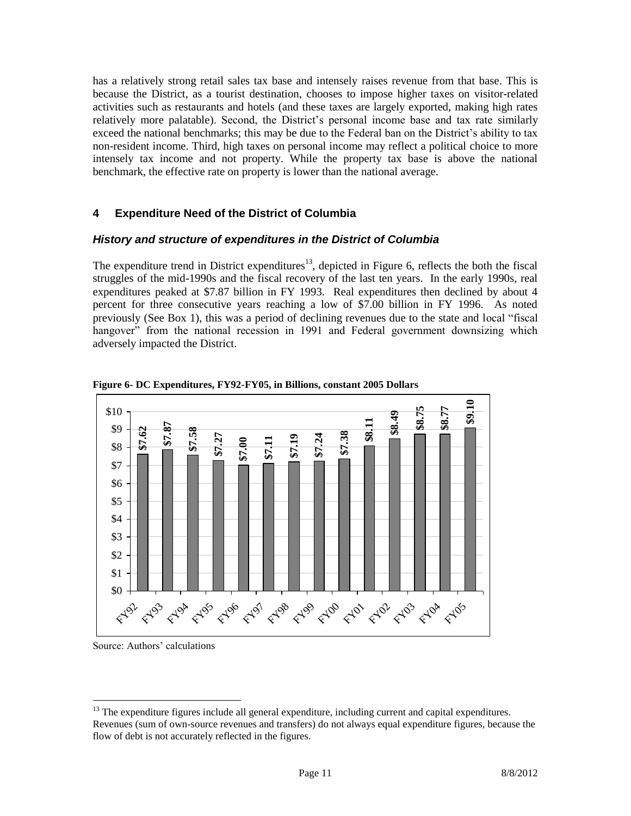has a relatively strong retail sales tax base and intensely raises revenue from that base. This is because the District, as a tourist destination, chooses to impose higher taxes on visitor-related activities such as restaurants and hotels (and these taxes are largely exported, making high rates relatively more palatable). Second, the District's personal income base and tax rate similarly exceed the national benchmarks; this may be due to the Federal ban on the District's ability to tax non-resident income. Third, high taxes on personal income may reflect a political choice to more intensely tax income and not property. While the property tax base is above the national benchmark, the effective rate on property is lower than the national average.

## **4 Expenditure Need of the District of Columbia**

#### *History and structure of expenditures in the District of Columbia*

The expenditure trend in District expenditures<sup>13</sup>, depicted in Figure 6, reflects the both the fiscal struggles of the mid-1990s and the fiscal recovery of the last ten years. In the early 1990s, real expenditures peaked at \$7.87 billion in FY 1993. Real expenditures then declined by about 4 percent for three consecutive years reaching a low of \$7.00 billion in FY 1996. As noted previously (See Box 1), this was a period of declining revenues due to the state and local "fiscal hangover" from the national recession in 1991 and Federal government downsizing which adversely impacted the District.



**Figure 6- DC Expenditures, FY92-FY05, in Billions, constant 2005 Dollars**

Source: Authors' calculations

 $\overline{a}$ 

<sup>&</sup>lt;sup>13</sup> The expenditure figures include all general expenditure, including current and capital expenditures. Revenues (sum of own-source revenues and transfers) do not always equal expenditure figures, because the flow of debt is not accurately reflected in the figures.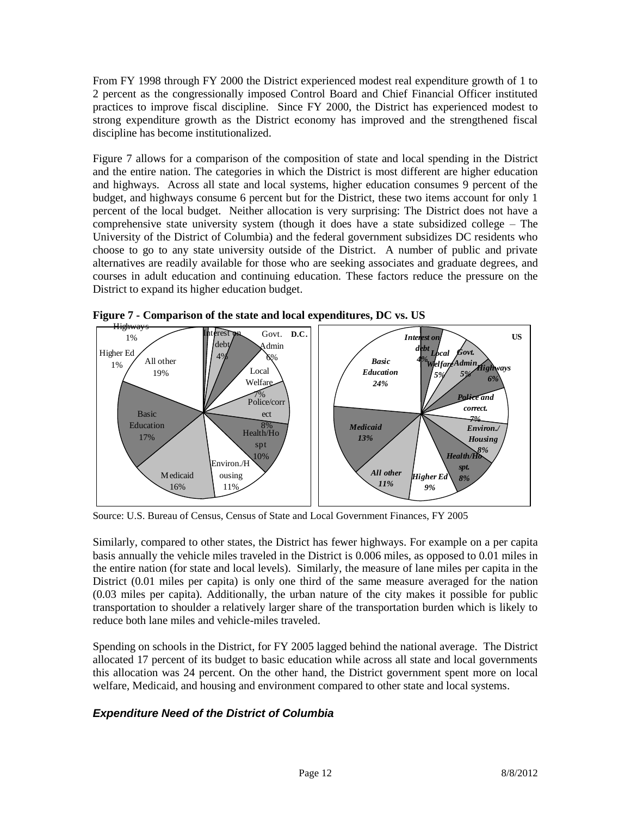From FY 1998 through FY 2000 the District experienced modest real expenditure growth of 1 to 2 percent as the congressionally imposed Control Board and Chief Financial Officer instituted practices to improve fiscal discipline. Since FY 2000, the District has experienced modest to strong expenditure growth as the District economy has improved and the strengthened fiscal discipline has become institutionalized.

Figure 7 allows for a comparison of the composition of state and local spending in the District and the entire nation. The categories in which the District is most different are higher education and highways. Across all state and local systems, higher education consumes 9 percent of the budget, and highways consume 6 percent but for the District, these two items account for only 1 percent of the local budget. Neither allocation is very surprising: The District does not have a comprehensive state university system (though it does have a state subsidized college – The University of the District of Columbia) and the federal government subsidizes DC residents who choose to go to any state university outside of the District. A number of public and private alternatives are readily available for those who are seeking associates and graduate degrees, and courses in adult education and continuing education. These factors reduce the pressure on the District to expand its higher education budget.



**Figure 7 - Comparison of the state and local expenditures, DC vs. US**

Source: U.S. Bureau of Census, Census of State and Local Government Finances, FY 2005

Similarly, compared to other states, the District has fewer highways. For example on a per capita basis annually the vehicle miles traveled in the District is 0.006 miles, as opposed to 0.01 miles in the entire nation (for state and local levels). Similarly, the measure of lane miles per capita in the District (0.01 miles per capita) is only one third of the same measure averaged for the nation (0.03 miles per capita). Additionally, the urban nature of the city makes it possible for public transportation to shoulder a relatively larger share of the transportation burden which is likely to reduce both lane miles and vehicle-miles traveled.

Spending on schools in the District, for FY 2005 lagged behind the national average. The District allocated 17 percent of its budget to basic education while across all state and local governments this allocation was 24 percent. On the other hand, the District government spent more on local welfare, Medicaid, and housing and environment compared to other state and local systems.

# *Expenditure Need of the District of Columbia*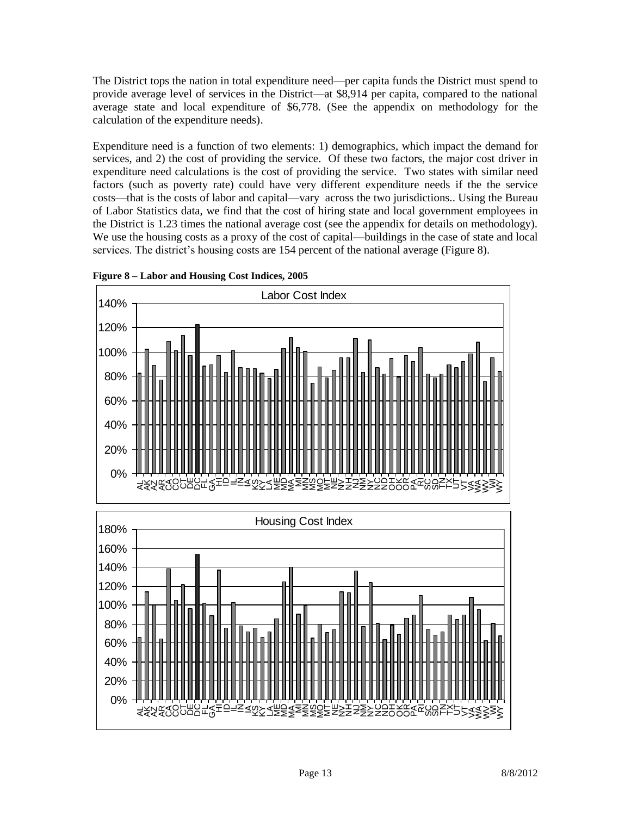The District tops the nation in total expenditure need—per capita funds the District must spend to provide average level of services in the District—at \$8,914 per capita, compared to the national average state and local expenditure of \$6,778. (See the appendix on methodology for the calculation of the expenditure needs).

Expenditure need is a function of two elements: 1) demographics, which impact the demand for services, and 2) the cost of providing the service. Of these two factors, the major cost driver in expenditure need calculations is the cost of providing the service. Two states with similar need factors (such as poverty rate) could have very different expenditure needs if the the service costs—that is the costs of labor and capital—vary across the two jurisdictions.. Using the Bureau of Labor Statistics data, we find that the cost of hiring state and local government employees in the District is 1.23 times the national average cost (see the appendix for details on methodology). We use the housing costs as a proxy of the cost of capital—buildings in the case of state and local services. The district's housing costs are 154 percent of the national average (Figure 8).



**Figure 8 – Labor and Housing Cost Indices, 2005**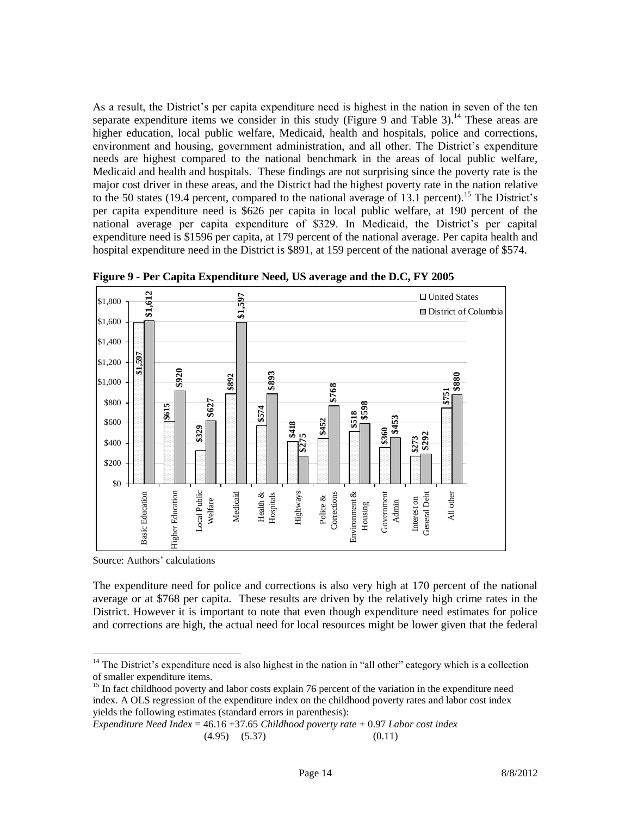As a result, the District's per capita expenditure need is highest in the nation in seven of the ten separate expenditure items we consider in this study (Figure 9 and Table 3).<sup>14</sup> These areas are higher education, local public welfare, Medicaid, health and hospitals, police and corrections, environment and housing, government administration, and all other. The District's expenditure needs are highest compared to the national benchmark in the areas of local public welfare, Medicaid and health and hospitals. These findings are not surprising since the poverty rate is the major cost driver in these areas, and the District had the highest poverty rate in the nation relative to the 50 states (19.4 percent, compared to the national average of 13.1 percent).<sup>15</sup> The District's per capita expenditure need is \$626 per capita in local public welfare, at 190 percent of the national average per capita expenditure of \$329. In Medicaid, the District's per capital expenditure need is \$1596 per capita, at 179 percent of the national average. Per capita health and hospital expenditure need in the District is \$891, at 159 percent of the national average of \$574.



**Figure 9 - Per Capita Expenditure Need, US average and the D.C, FY 2005**

Source: Authors' calculations

 $\overline{a}$ 

The expenditure need for police and corrections is also very high at 170 percent of the national average or at \$768 per capita. These results are driven by the relatively high crime rates in the District. However it is important to note that even though expenditure need estimates for police and corrections are high, the actual need for local resources might be lower given that the federal

<sup>15</sup> In fact childhood poverty and labor costs explain 76 percent of the variation in the expenditure need index. A OLS regression of the expenditure index on the childhood poverty rates and labor cost index yields the following estimates (standard errors in parenthesis):

```
Expenditure Need Index = 46.16 +37.65 Childhood poverty rate + 0.97 Labor cost index
        (4.95) (5.37) (0.11)
```
 $14$  The District's expenditure need is also highest in the nation in "all other" category which is a collection of smaller expenditure items.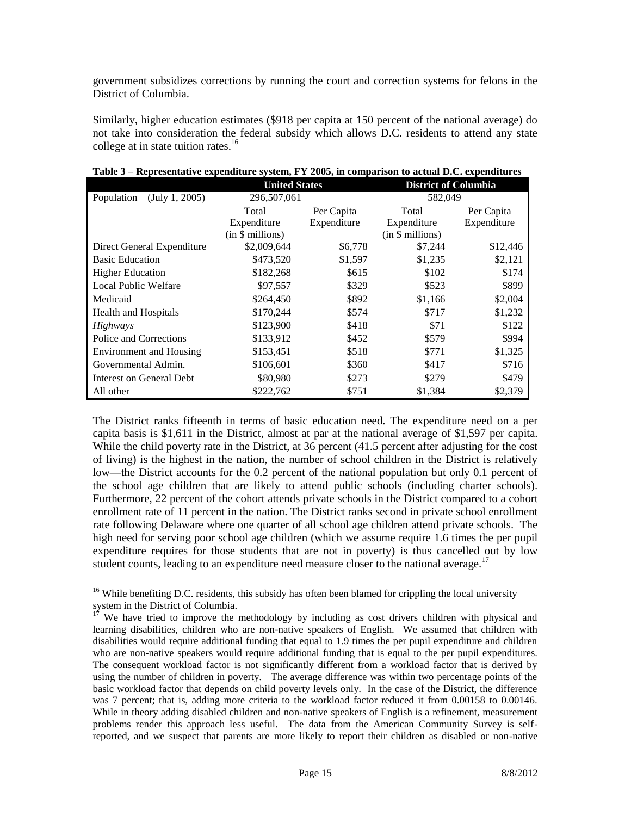government subsidizes corrections by running the court and correction systems for felons in the District of Columbia.

Similarly, higher education estimates (\$918 per capita at 150 percent of the national average) do not take into consideration the federal subsidy which allows D.C. residents to attend any state college at in state tuition rates. $16$ 

|                                | <b>United States</b> |             | <b>District of Columbia</b> |             |
|--------------------------------|----------------------|-------------|-----------------------------|-------------|
| (July 1, 2005)<br>Population   | 296,507,061          |             | 582,049                     |             |
|                                | Total                | Per Capita  | Total                       | Per Capita  |
|                                | Expenditure          | Expenditure | Expenditure                 | Expenditure |
|                                | (in \$ millions)     |             | (in \$ millions)            |             |
| Direct General Expenditure     | \$2,009,644          | \$6,778     | \$7,244                     | \$12,446    |
| <b>Basic Education</b>         | \$473,520            | \$1,597     | \$1,235                     | \$2,121     |
| <b>Higher Education</b>        | \$182,268            | \$615       | \$102                       | \$174       |
| Local Public Welfare           | \$97,557             | \$329       | \$523                       | \$899       |
| Medicaid                       | \$264,450            | \$892       | \$1,166                     | \$2,004     |
| <b>Health and Hospitals</b>    | \$170,244            | \$574       | \$717                       | \$1,232     |
| Highways                       | \$123,900            | \$418       | \$71                        | \$122       |
| Police and Corrections         | \$133,912            | \$452       | \$579                       | \$994       |
| <b>Environment and Housing</b> | \$153,451            | \$518       | \$771                       | \$1,325     |
| Governmental Admin.            | \$106,601            | \$360       | \$417                       | \$716       |
| Interest on General Debt       | \$80,980             | \$273       | \$279                       | \$479       |
| All other                      | \$222,762            | \$751       | \$1,384                     | \$2,379     |

**Table 3 – Representative expenditure system, FY 2005, in comparison to actual D.C. expenditures**

The District ranks fifteenth in terms of basic education need. The expenditure need on a per capita basis is \$1,611 in the District, almost at par at the national average of \$1,597 per capita. While the child poverty rate in the District, at 36 percent (41.5 percent after adjusting for the cost of living) is the highest in the nation, the number of school children in the District is relatively low—the District accounts for the 0.2 percent of the national population but only 0.1 percent of the school age children that are likely to attend public schools (including charter schools). Furthermore, 22 percent of the cohort attends private schools in the District compared to a cohort enrollment rate of 11 percent in the nation. The District ranks second in private school enrollment rate following Delaware where one quarter of all school age children attend private schools. The high need for serving poor school age children (which we assume require 1.6 times the per pupil expenditure requires for those students that are not in poverty) is thus cancelled out by low student counts, leading to an expenditure need measure closer to the national average.<sup>17</sup>

 $\overline{a}$ 

<sup>&</sup>lt;sup>16</sup> While benefiting D.C. residents, this subsidy has often been blamed for crippling the local university system in the District of Columbia.

 $1^7$  We have tried to improve the methodology by including as cost drivers children with physical and learning disabilities, children who are non-native speakers of English. We assumed that children with disabilities would require additional funding that equal to 1.9 times the per pupil expenditure and children who are non-native speakers would require additional funding that is equal to the per pupil expenditures. The consequent workload factor is not significantly different from a workload factor that is derived by using the number of children in poverty. The average difference was within two percentage points of the basic workload factor that depends on child poverty levels only. In the case of the District, the difference was 7 percent; that is, adding more criteria to the workload factor reduced it from 0.00158 to 0.00146. While in theory adding disabled children and non-native speakers of English is a refinement, measurement problems render this approach less useful. The data from the American Community Survey is selfreported, and we suspect that parents are more likely to report their children as disabled or non-native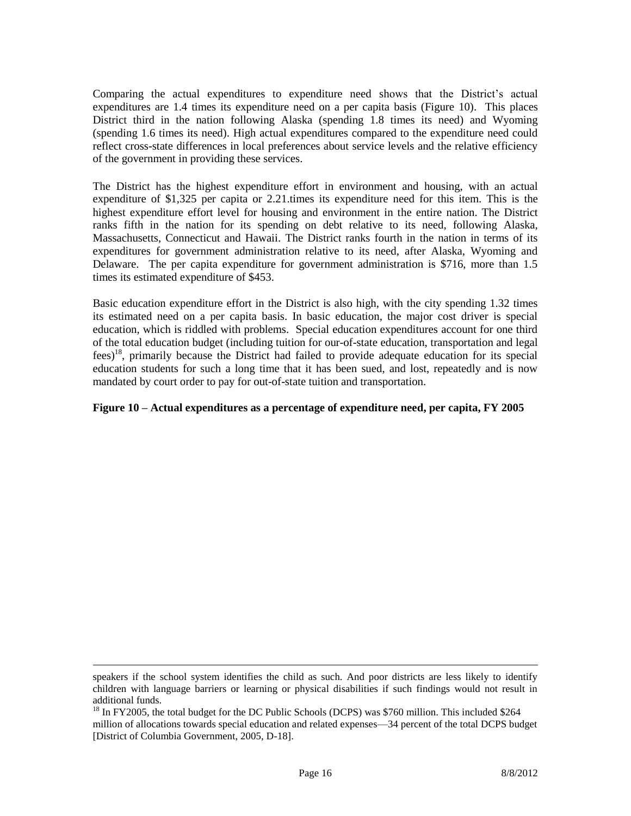Comparing the actual expenditures to expenditure need shows that the District's actual expenditures are 1.4 times its expenditure need on a per capita basis (Figure 10). This places District third in the nation following Alaska (spending 1.8 times its need) and Wyoming (spending 1.6 times its need). High actual expenditures compared to the expenditure need could reflect cross-state differences in local preferences about service levels and the relative efficiency of the government in providing these services.

The District has the highest expenditure effort in environment and housing, with an actual expenditure of \$1,325 per capita or 2.21.times its expenditure need for this item. This is the highest expenditure effort level for housing and environment in the entire nation. The District ranks fifth in the nation for its spending on debt relative to its need, following Alaska, Massachusetts, Connecticut and Hawaii. The District ranks fourth in the nation in terms of its expenditures for government administration relative to its need, after Alaska, Wyoming and Delaware. The per capita expenditure for government administration is \$716, more than 1.5 times its estimated expenditure of \$453.

Basic education expenditure effort in the District is also high, with the city spending 1.32 times its estimated need on a per capita basis. In basic education, the major cost driver is special education, which is riddled with problems. Special education expenditures account for one third of the total education budget (including tuition for our-of-state education, transportation and legal fees) <sup>18</sup>, primarily because the District had failed to provide adequate education for its special education students for such a long time that it has been sued, and lost, repeatedly and is now mandated by court order to pay for out-of-state tuition and transportation.

## **Figure 10 – Actual expenditures as a percentage of expenditure need, per capita, FY 2005**

 $\overline{a}$ 

speakers if the school system identifies the child as such. And poor districts are less likely to identify children with language barriers or learning or physical disabilities if such findings would not result in additional funds.

<sup>&</sup>lt;sup>18</sup> In FY2005, the total budget for the DC Public Schools (DCPS) was \$760 million. This included \$264 million of allocations towards special education and related expenses—34 percent of the total DCPS budget [District of Columbia Government, 2005, D-18].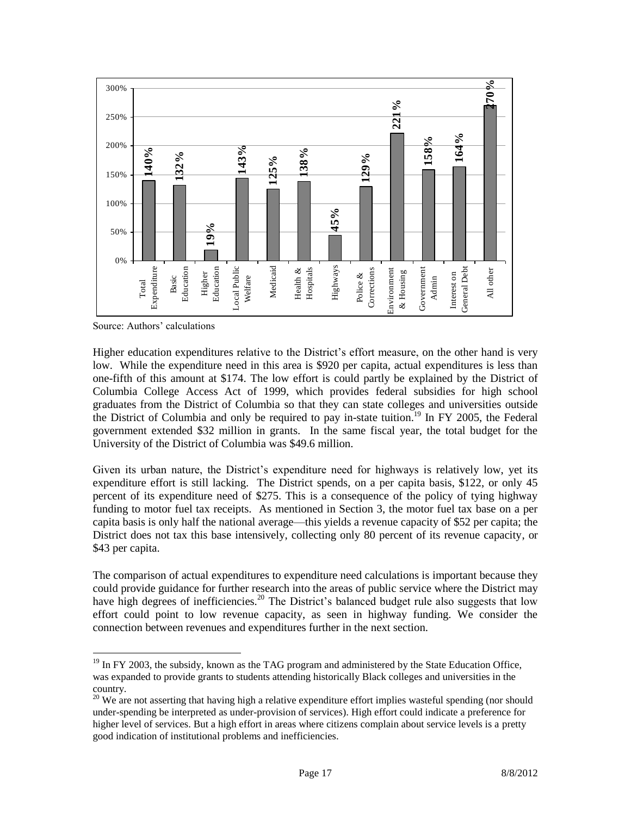

Source: Authors' calculations

 $\overline{a}$ 

Higher education expenditures relative to the District's effort measure, on the other hand is very low. While the expenditure need in this area is \$920 per capita, actual expenditures is less than one-fifth of this amount at \$174. The low effort is could partly be explained by the District of Columbia College Access Act of 1999, which provides federal subsidies for high school graduates from the District of Columbia so that they can state colleges and universities outside the District of Columbia and only be required to pay in-state tuition.<sup>19</sup> In FY 2005, the Federal government extended \$32 million in grants. In the same fiscal year, the total budget for the University of the District of Columbia was \$49.6 million.

Given its urban nature, the District's expenditure need for highways is relatively low, yet its expenditure effort is still lacking. The District spends, on a per capita basis, \$122, or only 45 percent of its expenditure need of \$275. This is a consequence of the policy of tying highway funding to motor fuel tax receipts. As mentioned in Section 3, the motor fuel tax base on a per capita basis is only half the national average—this yields a revenue capacity of \$52 per capita; the District does not tax this base intensively, collecting only 80 percent of its revenue capacity, or \$43 per capita.

The comparison of actual expenditures to expenditure need calculations is important because they could provide guidance for further research into the areas of public service where the District may have high degrees of inefficiencies.<sup>20</sup> The District's balanced budget rule also suggests that low effort could point to low revenue capacity, as seen in highway funding. We consider the connection between revenues and expenditures further in the next section.

 $19$  In FY 2003, the subsidy, known as the TAG program and administered by the State Education Office, was expanded to provide grants to students attending historically Black colleges and universities in the country.

 $20$  We are not asserting that having high a relative expenditure effort implies wasteful spending (nor should under-spending be interpreted as under-provision of services). High effort could indicate a preference for higher level of services. But a high effort in areas where citizens complain about service levels is a pretty good indication of institutional problems and inefficiencies.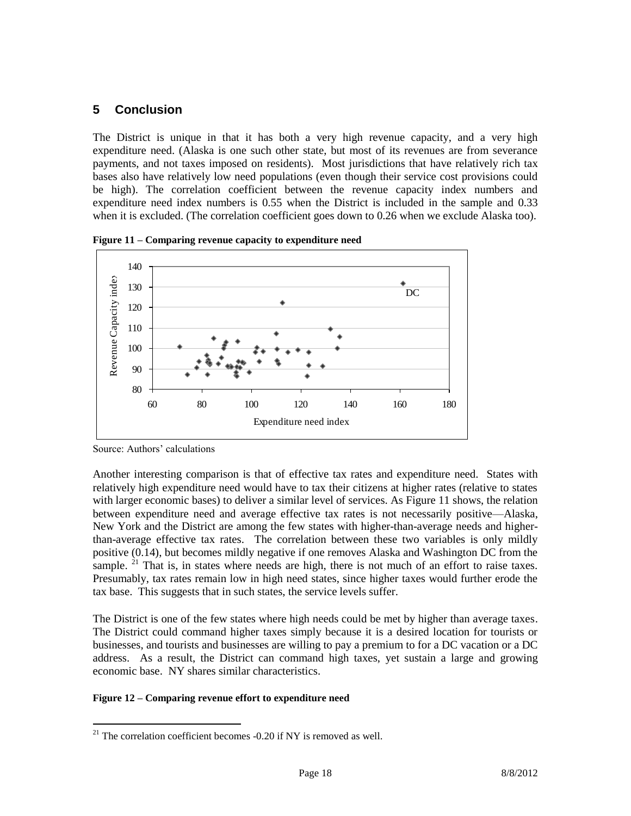## **5 Conclusion**

The District is unique in that it has both a very high revenue capacity, and a very high expenditure need. (Alaska is one such other state, but most of its revenues are from severance payments, and not taxes imposed on residents). Most jurisdictions that have relatively rich tax bases also have relatively low need populations (even though their service cost provisions could be high). The correlation coefficient between the revenue capacity index numbers and expenditure need index numbers is 0.55 when the District is included in the sample and 0.33 when it is excluded. (The correlation coefficient goes down to 0.26 when we exclude Alaska too).



**Figure 11 – Comparing revenue capacity to expenditure need**

Source: Authors' calculations

 $\overline{a}$ 

Another interesting comparison is that of effective tax rates and expenditure need. States with relatively high expenditure need would have to tax their citizens at higher rates (relative to states with larger economic bases) to deliver a similar level of services. As Figure 11 shows, the relation between expenditure need and average effective tax rates is not necessarily positive—Alaska, New York and the District are among the few states with higher-than-average needs and higherthan-average effective tax rates. The correlation between these two variables is only mildly positive (0.14), but becomes mildly negative if one removes Alaska and Washington DC from the sample.  $2<sup>1</sup>$  That is, in states where needs are high, there is not much of an effort to raise taxes. Presumably, tax rates remain low in high need states, since higher taxes would further erode the tax base. This suggests that in such states, the service levels suffer.

The District is one of the few states where high needs could be met by higher than average taxes. The District could command higher taxes simply because it is a desired location for tourists or businesses, and tourists and businesses are willing to pay a premium to for a DC vacation or a DC address. As a result, the District can command high taxes, yet sustain a large and growing economic base. NY shares similar characteristics.

#### **Figure 12 – Comparing revenue effort to expenditure need**

 $21$ <sup>21</sup> The correlation coefficient becomes -0.20 if NY is removed as well.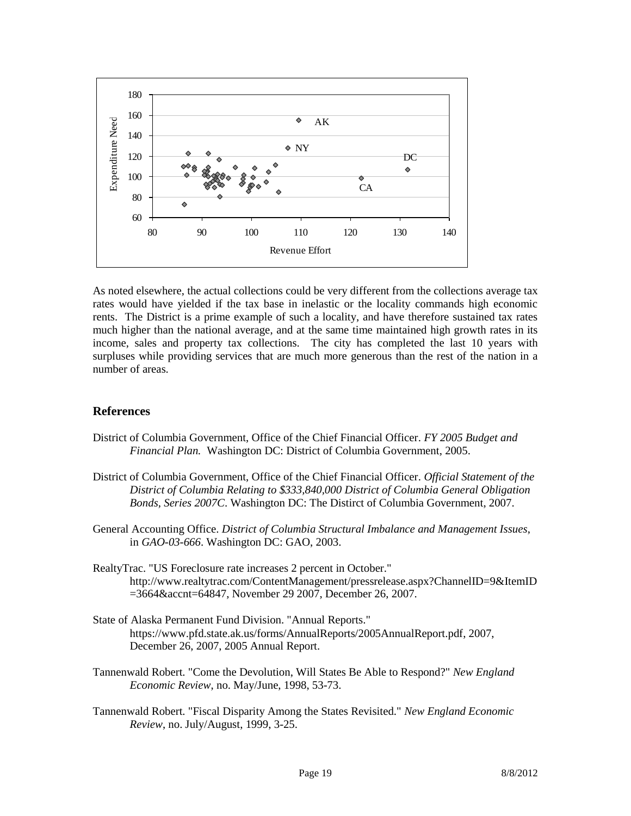

As noted elsewhere, the actual collections could be very different from the collections average tax rates would have yielded if the tax base in inelastic or the locality commands high economic rents. The District is a prime example of such a locality, and have therefore sustained tax rates much higher than the national average, and at the same time maintained high growth rates in its income, sales and property tax collections. The city has completed the last 10 years with surpluses while providing services that are much more generous than the rest of the nation in a number of areas.

## **References**

- District of Columbia Government, Office of the Chief Financial Officer. *FY 2005 Budget and Financial Plan.* Washington DC: District of Columbia Government, 2005.
- District of Columbia Government, Office of the Chief Financial Officer. *Official Statement of the District of Columbia Relating to \$333,840,000 District of Columbia General Obligation Bonds, Series 2007C*. Washington DC: The Distirct of Columbia Government, 2007.
- General Accounting Office. *District of Columbia Structural Imbalance and Management Issues*, in *GAO-03-666*. Washington DC: GAO, 2003.
- RealtyTrac. "US Foreclosure rate increases 2 percent in October." http://www.realtytrac.com/ContentManagement/pressrelease.aspx?ChannelID=9&ItemID =3664&accnt=64847, November 29 2007, December 26, 2007.
- State of Alaska Permanent Fund Division. "Annual Reports." https://www.pfd.state.ak.us/forms/AnnualReports/2005AnnualReport.pdf, 2007, December 26, 2007, 2005 Annual Report.
- Tannenwald Robert. "Come the Devolution, Will States Be Able to Respond?" *New England Economic Review*, no. May/June, 1998, 53-73.
- Tannenwald Robert. "Fiscal Disparity Among the States Revisited." *New England Economic Review*, no. July/August, 1999, 3-25.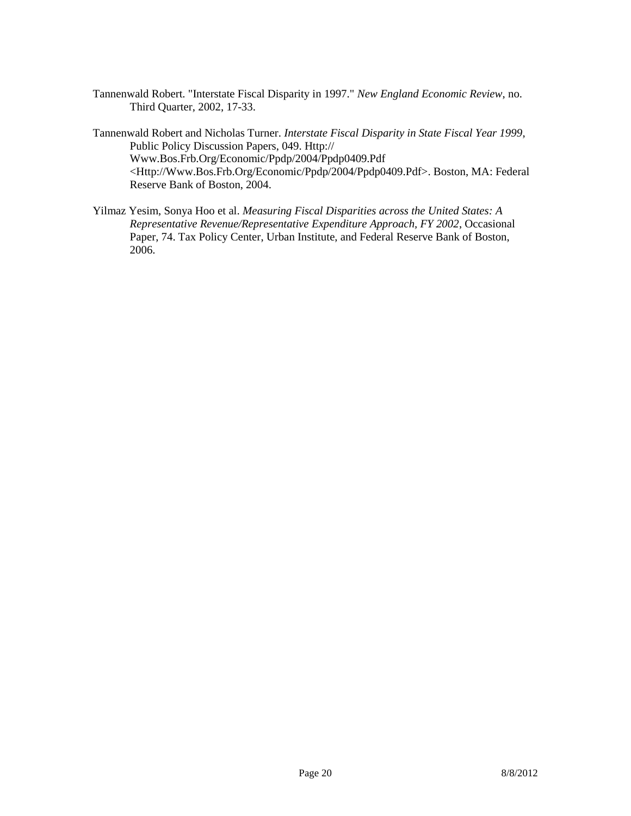- Tannenwald Robert. "Interstate Fiscal Disparity in 1997." *New England Economic Review*, no. Third Quarter, 2002, 17-33.
- Tannenwald Robert and Nicholas Turner. *Interstate Fiscal Disparity in State Fiscal Year 1999*, Public Policy Discussion Papers, 049. Http:// Www.Bos.Frb.Org/Economic/Ppdp/2004/Ppdp0409.Pdf <Http://Www.Bos.Frb.Org/Economic/Ppdp/2004/Ppdp0409.Pdf>. Boston, MA: Federal Reserve Bank of Boston, 2004.
- Yilmaz Yesim, Sonya Hoo et al. *Measuring Fiscal Disparities across the United States: A Representative Revenue/Representative Expenditure Approach, FY 2002*, Occasional Paper, 74. Tax Policy Center, Urban Institute, and Federal Reserve Bank of Boston, 2006.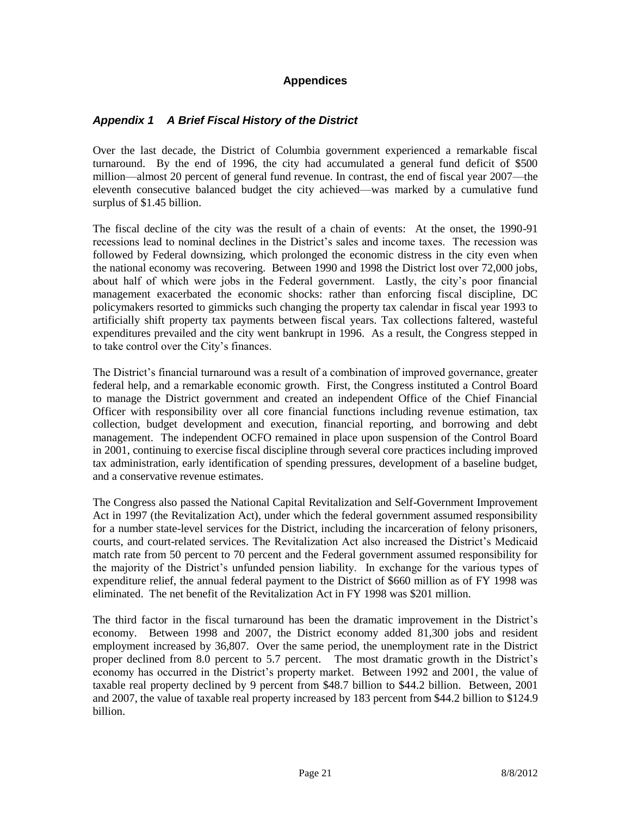## **Appendices**

## *Appendix 1 A Brief Fiscal History of the District*

Over the last decade, the District of Columbia government experienced a remarkable fiscal turnaround. By the end of 1996, the city had accumulated a general fund deficit of \$500 million—almost 20 percent of general fund revenue. In contrast, the end of fiscal year 2007—the eleventh consecutive balanced budget the city achieved—was marked by a cumulative fund surplus of \$1.45 billion.

The fiscal decline of the city was the result of a chain of events: At the onset, the 1990-91 recessions lead to nominal declines in the District's sales and income taxes. The recession was followed by Federal downsizing, which prolonged the economic distress in the city even when the national economy was recovering. Between 1990 and 1998 the District lost over 72,000 jobs, about half of which were jobs in the Federal government. Lastly, the city's poor financial management exacerbated the economic shocks: rather than enforcing fiscal discipline, DC policymakers resorted to gimmicks such changing the property tax calendar in fiscal year 1993 to artificially shift property tax payments between fiscal years. Tax collections faltered, wasteful expenditures prevailed and the city went bankrupt in 1996. As a result, the Congress stepped in to take control over the City's finances.

The District's financial turnaround was a result of a combination of improved governance, greater federal help, and a remarkable economic growth. First, the Congress instituted a Control Board to manage the District government and created an independent Office of the Chief Financial Officer with responsibility over all core financial functions including revenue estimation, tax collection, budget development and execution, financial reporting, and borrowing and debt management. The independent OCFO remained in place upon suspension of the Control Board in 2001, continuing to exercise fiscal discipline through several core practices including improved tax administration, early identification of spending pressures, development of a baseline budget, and a conservative revenue estimates.

The Congress also passed the National Capital Revitalization and Self-Government Improvement Act in 1997 (the Revitalization Act), under which the federal government assumed responsibility for a number state-level services for the District, including the incarceration of felony prisoners, courts, and court-related services. The Revitalization Act also increased the District's Medicaid match rate from 50 percent to 70 percent and the Federal government assumed responsibility for the majority of the District's unfunded pension liability. In exchange for the various types of expenditure relief, the annual federal payment to the District of \$660 million as of FY 1998 was eliminated. The net benefit of the Revitalization Act in FY 1998 was \$201 million.

The third factor in the fiscal turnaround has been the dramatic improvement in the District's economy. Between 1998 and 2007, the District economy added 81,300 jobs and resident employment increased by 36,807. Over the same period, the unemployment rate in the District proper declined from 8.0 percent to 5.7 percent. The most dramatic growth in the District's economy has occurred in the District's property market. Between 1992 and 2001, the value of taxable real property declined by 9 percent from \$48.7 billion to \$44.2 billion. Between, 2001 and 2007, the value of taxable real property increased by 183 percent from \$44.2 billion to \$124.9 billion.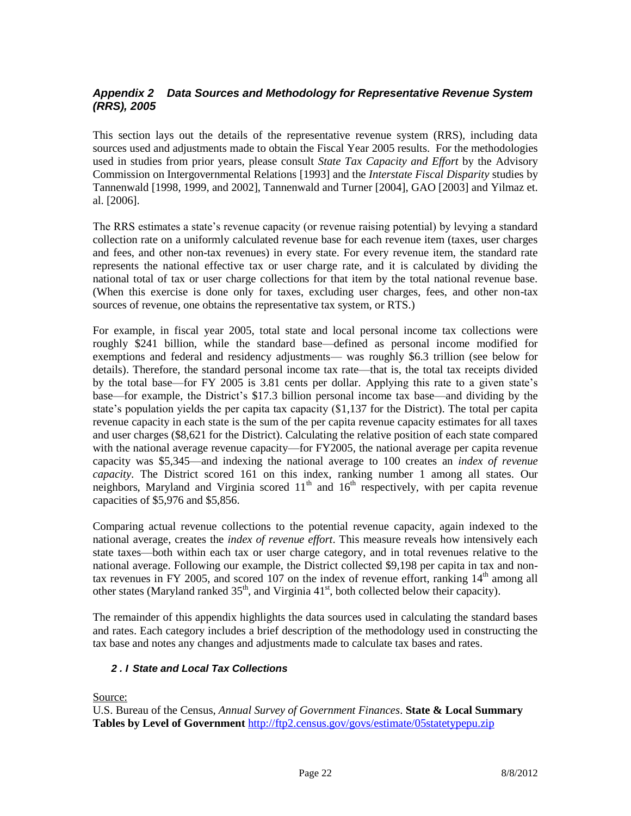## *Appendix 2 Data Sources and Methodology for Representative Revenue System (RRS), 2005*

This section lays out the details of the representative revenue system (RRS), including data sources used and adjustments made to obtain the Fiscal Year 2005 results. For the methodologies used in studies from prior years, please consult *State Tax Capacity and Effort* by the Advisory Commission on Intergovernmental Relations [1993] and the *Interstate Fiscal Disparity* studies by Tannenwald [1998, 1999, and 2002], Tannenwald and Turner [2004], GAO [2003] and Yilmaz et. al. [2006].

The RRS estimates a state's revenue capacity (or revenue raising potential) by levying a standard collection rate on a uniformly calculated revenue base for each revenue item (taxes, user charges and fees, and other non-tax revenues) in every state. For every revenue item, the standard rate represents the national effective tax or user charge rate, and it is calculated by dividing the national total of tax or user charge collections for that item by the total national revenue base. (When this exercise is done only for taxes, excluding user charges, fees, and other non-tax sources of revenue, one obtains the representative tax system, or RTS.)

For example, in fiscal year 2005, total state and local personal income tax collections were roughly \$241 billion, while the standard base—defined as personal income modified for exemptions and federal and residency adjustments— was roughly \$6.3 trillion (see below for details). Therefore, the standard personal income tax rate—that is, the total tax receipts divided by the total base—for FY 2005 is 3.81 cents per dollar. Applying this rate to a given state's base—for example, the District's \$17.3 billion personal income tax base—and dividing by the state's population yields the per capita tax capacity (\$1,137 for the District). The total per capita revenue capacity in each state is the sum of the per capita revenue capacity estimates for all taxes and user charges (\$8,621 for the District). Calculating the relative position of each state compared with the national average revenue capacity—for FY2005, the national average per capita revenue capacity was \$5,345—and indexing the national average to 100 creates an *index of revenue capacity*. The District scored 161 on this index, ranking number 1 among all states. Our neighbors, Maryland and Virginia scored  $11<sup>th</sup>$  and  $16<sup>th</sup>$  respectively, with per capita revenue capacities of \$5,976 and \$5,856.

Comparing actual revenue collections to the potential revenue capacity, again indexed to the national average, creates the *index of revenue effort*. This measure reveals how intensively each state taxes—both within each tax or user charge category, and in total revenues relative to the national average. Following our example, the District collected \$9,198 per capita in tax and nontax revenues in FY 2005, and scored 107 on the index of revenue effort, ranking  $14<sup>th</sup>$  among all other states (Maryland ranked  $35<sup>th</sup>$ , and Virginia  $41<sup>st</sup>$ , both collected below their capacity).

The remainder of this appendix highlights the data sources used in calculating the standard bases and rates. Each category includes a brief description of the methodology used in constructing the tax base and notes any changes and adjustments made to calculate tax bases and rates.

### *2 . I State and Local Tax Collections*

Source:

U.S. Bureau of the Census, *Annual Survey of Government Finances*. **State & Local Summary Tables by Level of Government** <http://ftp2.census.gov/govs/estimate/05statetypepu.zip>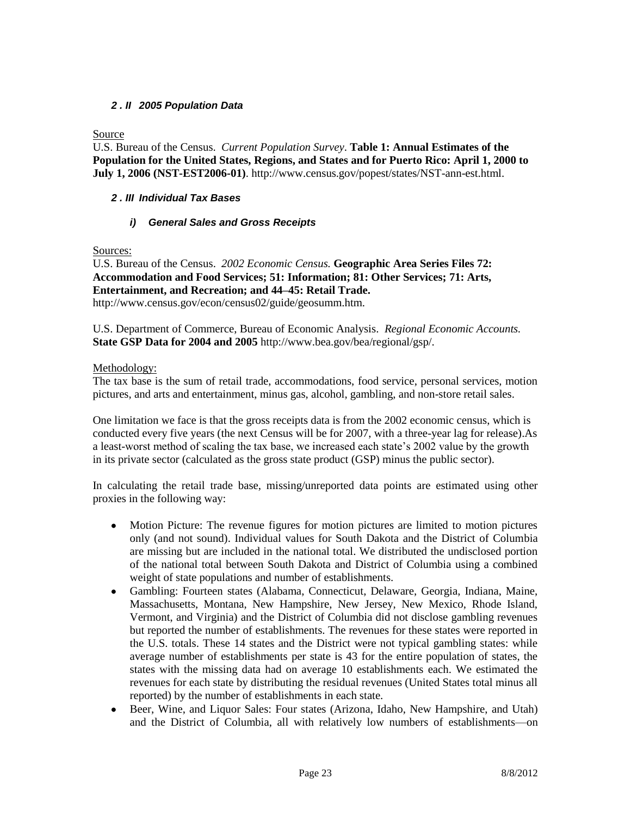## *2 . II 2005 Population Data*

Source

U.S. Bureau of the Census. *Current Population Survey*. **Table 1: Annual Estimates of the Population for the United States, Regions, and States and for Puerto Rico: April 1, 2000 to July 1, 2006 (NST-EST2006-01)**. http://www.census.gov/popest/states/NST-ann-est.html.

#### *2 . III Individual Tax Bases*

#### *i) General Sales and Gross Receipts*

Sources:

U.S. Bureau of the Census. *2002 Economic Census.* **Geographic Area Series Files 72: Accommodation and Food Services; 51: Information; 81: Other Services; 71: Arts, Entertainment, and Recreation; and 44–45: Retail Trade.** http://www.census.gov/econ/census02/guide/geosumm.htm.

U.S. Department of Commerce, Bureau of Economic Analysis. *Regional Economic Accounts.*  **State GSP Data for 2004 and 2005** http://www.bea.gov/bea/regional/gsp/.

#### Methodology:

The tax base is the sum of retail trade, accommodations, food service, personal services, motion pictures, and arts and entertainment, minus gas, alcohol, gambling, and non-store retail sales.

One limitation we face is that the gross receipts data is from the 2002 economic census, which is conducted every five years (the next Census will be for 2007, with a three-year lag for release).As a least-worst method of scaling the tax base, we increased each state's 2002 value by the growth in its private sector (calculated as the gross state product (GSP) minus the public sector).

In calculating the retail trade base, missing/unreported data points are estimated using other proxies in the following way:

- $\bullet$ Motion Picture: The revenue figures for motion pictures are limited to motion pictures only (and not sound). Individual values for South Dakota and the District of Columbia are missing but are included in the national total. We distributed the undisclosed portion of the national total between South Dakota and District of Columbia using a combined weight of state populations and number of establishments.
- Gambling: Fourteen states (Alabama, Connecticut, Delaware, Georgia, Indiana, Maine, Massachusetts, Montana, New Hampshire, New Jersey, New Mexico, Rhode Island, Vermont, and Virginia) and the District of Columbia did not disclose gambling revenues but reported the number of establishments. The revenues for these states were reported in the U.S. totals. These 14 states and the District were not typical gambling states: while average number of establishments per state is 43 for the entire population of states, the states with the missing data had on average 10 establishments each. We estimated the revenues for each state by distributing the residual revenues (United States total minus all reported) by the number of establishments in each state.
- Beer, Wine, and Liquor Sales: Four states (Arizona, Idaho, New Hampshire, and Utah) and the District of Columbia, all with relatively low numbers of establishments—on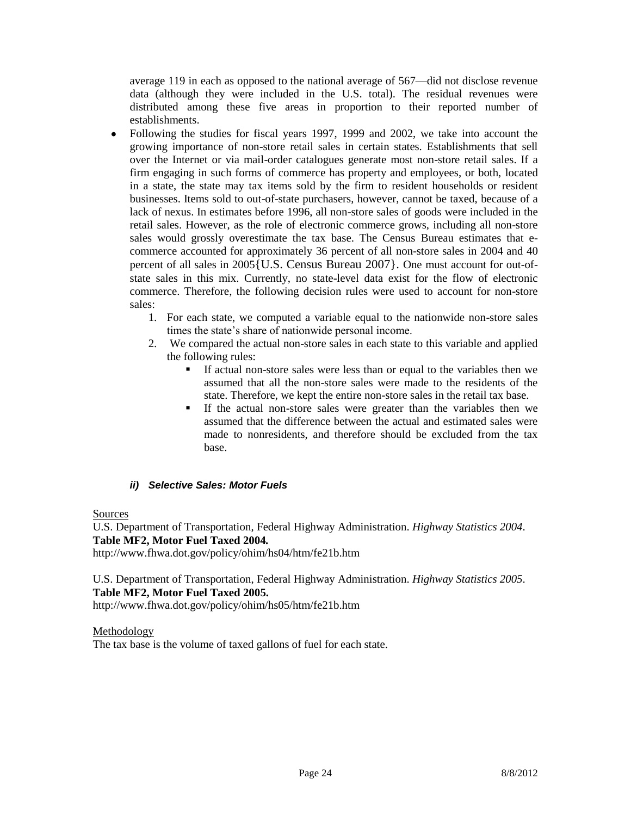average 119 in each as opposed to the national average of 567—did not disclose revenue data (although they were included in the U.S. total). The residual revenues were distributed among these five areas in proportion to their reported number of establishments.

- $\bullet$ Following the studies for fiscal years 1997, 1999 and 2002, we take into account the growing importance of non-store retail sales in certain states. Establishments that sell over the Internet or via mail-order catalogues generate most non-store retail sales. If a firm engaging in such forms of commerce has property and employees, or both, located in a state, the state may tax items sold by the firm to resident households or resident businesses. Items sold to out-of-state purchasers, however, cannot be taxed, because of a lack of nexus. In estimates before 1996, all non-store sales of goods were included in the retail sales. However, as the role of electronic commerce grows, including all non-store sales would grossly overestimate the tax base. The Census Bureau estimates that ecommerce accounted for approximately 36 percent of all non-store sales in 2004 and 40 percent of all sales in 2005{U.S. Census Bureau 2007}. One must account for out-ofstate sales in this mix. Currently, no state-level data exist for the flow of electronic commerce. Therefore, the following decision rules were used to account for non-store sales:
	- 1. For each state, we computed a variable equal to the nationwide non-store sales times the state's share of nationwide personal income.
	- 2. We compared the actual non-store sales in each state to this variable and applied the following rules:
		- If actual non-store sales were less than or equal to the variables then we assumed that all the non-store sales were made to the residents of the state. Therefore, we kept the entire non-store sales in the retail tax base.
		- If the actual non-store sales were greater than the variables then we assumed that the difference between the actual and estimated sales were made to nonresidents, and therefore should be excluded from the tax base.

## *ii) Selective Sales: Motor Fuels*

#### Sources

U.S. Department of Transportation, Federal Highway Administration. *Highway Statistics 2004*. **Table MF2, Motor Fuel Taxed 2004***.* http://www.fhwa.dot.gov/policy/ohim/hs04/htm/fe21b.htm

U.S. Department of Transportation, Federal Highway Administration. *Highway Statistics 2005*. **Table MF2, Motor Fuel Taxed 2005.** http://www.fhwa.dot.gov/policy/ohim/hs05/htm/fe21b.htm

Methodology The tax base is the volume of taxed gallons of fuel for each state.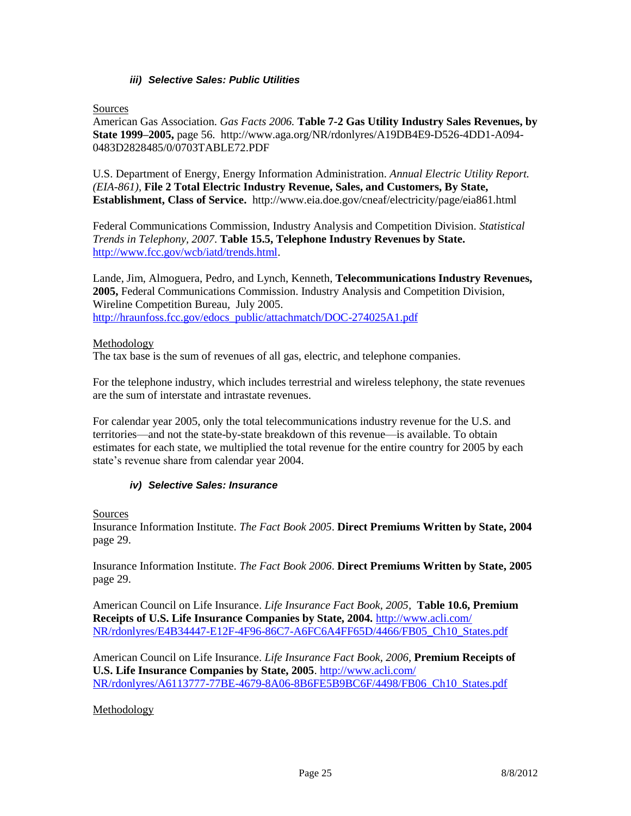#### *iii) Selective Sales: Public Utilities*

Sources

American Gas Association. *Gas Facts 2006.* **Table 7-2 Gas Utility Industry Sales Revenues, by State 1999–2005,** page 56. http://www.aga.org/NR/rdonlyres/A19DB4E9-D526-4DD1-A094- 0483D2828485/0/0703TABLE72.PDF

U.S. Department of Energy, Energy Information Administration. *Annual Electric Utility Report. (EIA-861)*, **File 2 Total Electric Industry Revenue, Sales, and Customers, By State, Establishment, Class of Service.** http://www.eia.doe.gov/cneaf/electricity/page/eia861.html

Federal Communications Commission, Industry Analysis and Competition Division. *Statistical Trends in Telephony, 2007*. **Table 15.5, Telephone Industry Revenues by State.** [http://www.fcc.gov/wcb/iatd/trends.html.](http://www.fcc.gov/wcb/iatd/trends.html)

Lande, Jim, Almoguera, Pedro, and Lynch, Kenneth, **Telecommunications Industry Revenues, 2005,** Federal Communications Commission. Industry Analysis and Competition Division, Wireline Competition Bureau, July 2005. [http://hraunfoss.fcc.gov/edocs\\_public/attachmatch/DOC-274025A1.pdf](http://hraunfoss.fcc.gov/edocs_public/attachmatch/DOC-274025A1.pdf)

#### Methodology

The tax base is the sum of revenues of all gas, electric, and telephone companies.

For the telephone industry, which includes terrestrial and wireless telephony, the state revenues are the sum of interstate and intrastate revenues.

For calendar year 2005, only the total telecommunications industry revenue for the U.S. and territories—and not the state-by-state breakdown of this revenue—is available. To obtain estimates for each state, we multiplied the total revenue for the entire country for 2005 by each state's revenue share from calendar year 2004.

#### *iv) Selective Sales: Insurance*

**Sources** 

Insurance Information Institute. *The Fact Book 2005*. **Direct Premiums Written by State, 2004** page 29.

Insurance Information Institute. *The Fact Book 2006*. **Direct Premiums Written by State, 2005** page 29.

American Council on Life Insurance. *Life Insurance Fact Book, 2005,* **Table 10.6, Premium Receipts of U.S. Life Insurance Companies by State, 2004.** [http://www.acli.com/](http://www.acli.com/%20NR/rdonlyres/E4B34447-E12F-4F96-86C7-A6FC6A4FF65D/4466/FB05_Ch10_States.pdf)  [NR/rdonlyres/E4B34447-E12F-4F96-86C7-A6FC6A4FF65D/4466/FB05\\_Ch10\\_States.pdf](http://www.acli.com/%20NR/rdonlyres/E4B34447-E12F-4F96-86C7-A6FC6A4FF65D/4466/FB05_Ch10_States.pdf)

American Council on Life Insurance. *Life Insurance Fact Book, 2006,* **Premium Receipts of U.S. Life Insurance Companies by State, 2005**. <http://www.acli.com/> NR/rdonlyres/A6113777-77BE-4679-8A06-8B6FE5B9BC6F/4498/FB06\_Ch10\_States.pdf

Methodology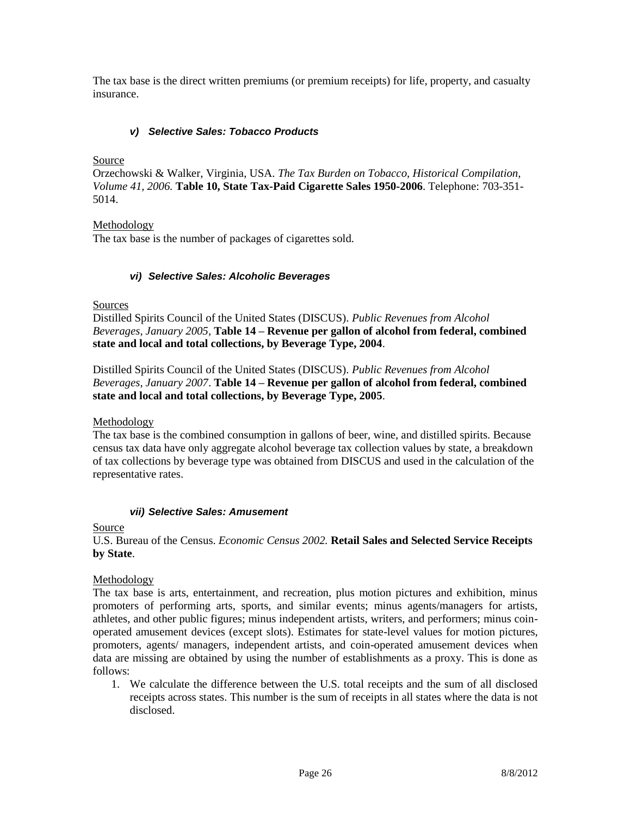The tax base is the direct written premiums (or premium receipts) for life, property, and casualty insurance.

#### *v) Selective Sales: Tobacco Products*

Source

Orzechowski & Walker, Virginia, USA. *The Tax Burden on Tobacco, Historical Compilation, Volume 41, 2006.* **Table 10, State Tax-Paid Cigarette Sales 1950-2006**. Telephone: 703-351- 5014.

Methodology

The tax base is the number of packages of cigarettes sold.

#### *vi) Selective Sales: Alcoholic Beverages*

**Sources** 

Distilled Spirits Council of the United States (DISCUS). *Public Revenues from Alcohol Beverages, January 2005,* **Table 14 – Revenue per gallon of alcohol from federal, combined state and local and total collections, by Beverage Type, 2004**.

Distilled Spirits Council of the United States (DISCUS). *Public Revenues from Alcohol Beverages, January 2007*. **Table 14 – Revenue per gallon of alcohol from federal, combined state and local and total collections, by Beverage Type, 2005**.

Methodology

The tax base is the combined consumption in gallons of beer, wine, and distilled spirits. Because census tax data have only aggregate alcohol beverage tax collection values by state, a breakdown of tax collections by beverage type was obtained from DISCUS and used in the calculation of the representative rates.

#### *vii) Selective Sales: Amusement*

**Source** 

#### U.S. Bureau of the Census. *Economic Census 2002.* **Retail Sales and Selected Service Receipts by State**.

Methodology

The tax base is arts, entertainment, and recreation, plus motion pictures and exhibition, minus promoters of performing arts, sports, and similar events; minus agents/managers for artists, athletes, and other public figures; minus independent artists, writers, and performers; minus coinoperated amusement devices (except slots). Estimates for state-level values for motion pictures, promoters, agents/ managers, independent artists, and coin-operated amusement devices when data are missing are obtained by using the number of establishments as a proxy. This is done as follows:

1. We calculate the difference between the U.S. total receipts and the sum of all disclosed receipts across states. This number is the sum of receipts in all states where the data is not disclosed.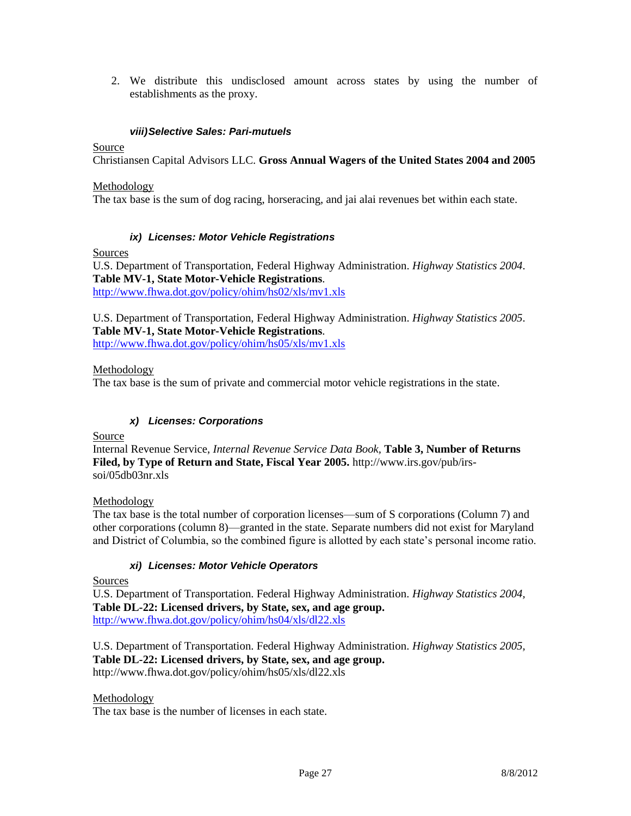2. We distribute this undisclosed amount across states by using the number of establishments as the proxy.

#### *viii)Selective Sales: Pari-mutuels*

**Source** 

Christiansen Capital Advisors LLC. **Gross Annual Wagers of the United States 2004 and 2005**

Methodology

The tax base is the sum of dog racing, horseracing, and jai alai revenues bet within each state.

#### *ix) Licenses: Motor Vehicle Registrations*

Sources

U.S. Department of Transportation, Federal Highway Administration. *Highway Statistics 2004*. **Table MV-1, State Motor-Vehicle Registrations**. <http://www.fhwa.dot.gov/policy/ohim/hs02/xls/mv1.xls>

U.S. Department of Transportation, Federal Highway Administration. *Highway Statistics 2005*. **Table MV-1, State Motor-Vehicle Registrations**.

http://www.fhwa.dot.gov/policy/ohim/hs05/xls/mv1.xls

#### Methodology

The tax base is the sum of private and commercial motor vehicle registrations in the state.

#### *x) Licenses: Corporations*

Source

Internal Revenue Service, *Internal Revenue Service Data Book,* **Table 3, Number of Returns Filed, by Type of Return and State, Fiscal Year 2005.** http://www.irs.gov/pub/irssoi/05db03nr.xls

Methodology

The tax base is the total number of corporation licenses—sum of S corporations (Column 7) and other corporations (column 8)—granted in the state. Separate numbers did not exist for Maryland and District of Columbia, so the combined figure is allotted by each state's personal income ratio.

#### *xi) Licenses: Motor Vehicle Operators*

Sources

U.S. Department of Transportation. Federal Highway Administration. *Highway Statistics 2004,* **Table DL-22: Licensed drivers, by State, sex, and age group.** <http://www.fhwa.dot.gov/policy/ohim/hs04/xls/dl22.xls>

U.S. Department of Transportation. Federal Highway Administration. *Highway Statistics 2005,* **Table DL-22: Licensed drivers, by State, sex, and age group.** http://www.fhwa.dot.gov/policy/ohim/hs05/xls/dl22.xls

Methodology

The tax base is the number of licenses in each state.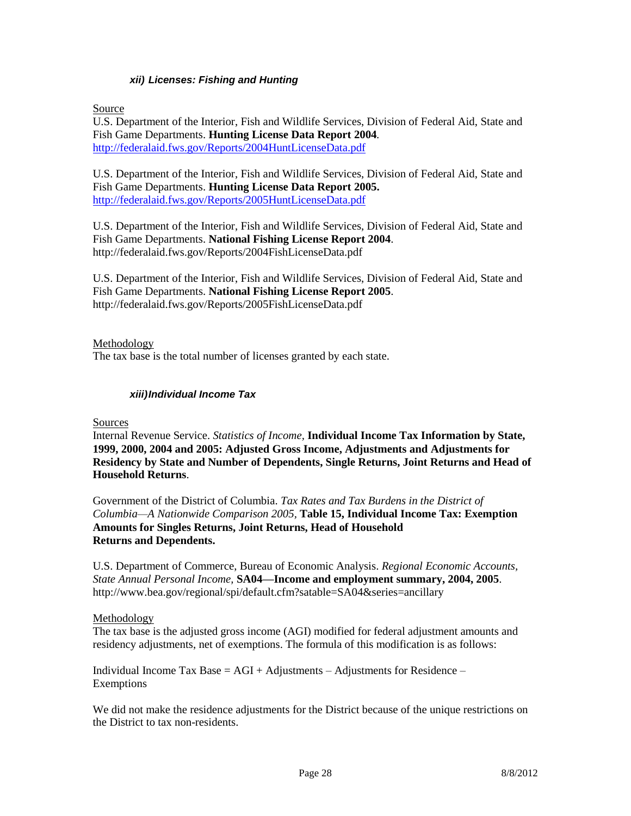#### *xii) Licenses: Fishing and Hunting*

Source

U.S. Department of the Interior, Fish and Wildlife Services, Division of Federal Aid, State and Fish Game Departments. **Hunting License Data Report 2004***.* <http://federalaid.fws.gov/Reports/2004HuntLicenseData.pdf>

U.S. Department of the Interior, Fish and Wildlife Services, Division of Federal Aid, State and Fish Game Departments. **Hunting License Data Report 2005.**  <http://federalaid.fws.gov/Reports/2005HuntLicenseData.pdf>

U.S. Department of the Interior, Fish and Wildlife Services, Division of Federal Aid, State and Fish Game Departments. **National Fishing License Report 2004**. http://federalaid.fws.gov/Reports/2004FishLicenseData.pdf

U.S. Department of the Interior, Fish and Wildlife Services, Division of Federal Aid, State and Fish Game Departments. **National Fishing License Report 2005**. http://federalaid.fws.gov/Reports/2005FishLicenseData.pdf

Methodology

The tax base is the total number of licenses granted by each state.

#### *xiii)Individual Income Tax*

Sources

Internal Revenue Service. *Statistics of Income,* **Individual Income Tax Information by State, 1999, 2000, 2004 and 2005: Adjusted Gross Income, Adjustments and Adjustments for Residency by State and Number of Dependents, Single Returns, Joint Returns and Head of Household Returns**.

Government of the District of Columbia. *Tax Rates and Tax Burdens in the District of Columbia—A Nationwide Comparison 2005,* **Table 15, Individual Income Tax: Exemption Amounts for Singles Returns, Joint Returns, Head of Household Returns and Dependents.**

U.S. Department of Commerce, Bureau of Economic Analysis. *Regional Economic Accounts, State Annual Personal Income,* **SA04—Income and employment summary, 2004, 2005**. http://www.bea.gov/regional/spi/default.cfm?satable=SA04&series=ancillary

Methodology

The tax base is the adjusted gross income (AGI) modified for federal adjustment amounts and residency adjustments, net of exemptions. The formula of this modification is as follows:

Individual Income Tax Base  $= AGI + Adjustments - Adjustments$  for Residence – Exemptions

We did not make the residence adjustments for the District because of the unique restrictions on the District to tax non-residents.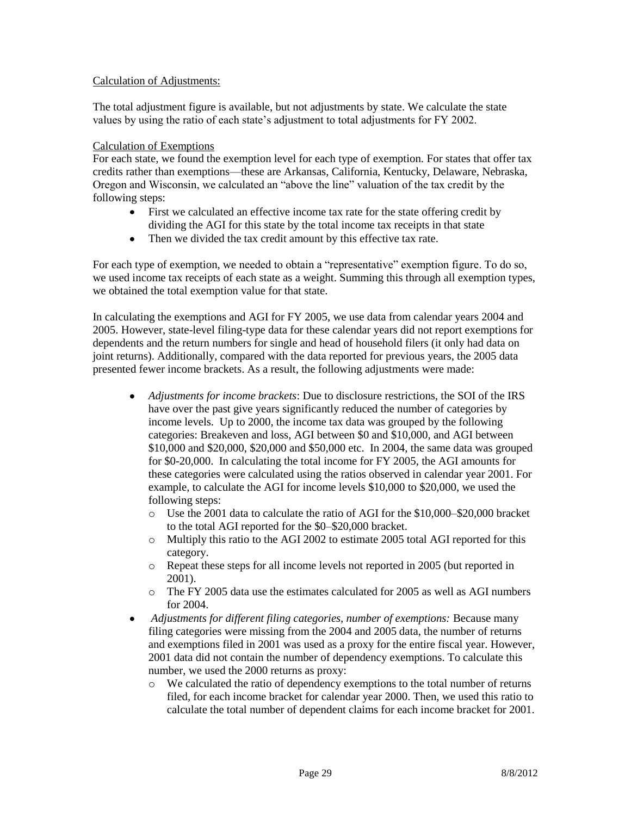#### Calculation of Adjustments:

The total adjustment figure is available, but not adjustments by state. We calculate the state values by using the ratio of each state's adjustment to total adjustments for FY 2002.

#### Calculation of Exemptions

For each state, we found the exemption level for each type of exemption. For states that offer tax credits rather than exemptions—these are Arkansas, California, Kentucky, Delaware, Nebraska, Oregon and Wisconsin, we calculated an "above the line" valuation of the tax credit by the following steps:

- First we calculated an effective income tax rate for the state offering credit by dividing the AGI for this state by the total income tax receipts in that state
- $\bullet$ Then we divided the tax credit amount by this effective tax rate.

For each type of exemption, we needed to obtain a "representative" exemption figure. To do so, we used income tax receipts of each state as a weight. Summing this through all exemption types, we obtained the total exemption value for that state.

In calculating the exemptions and AGI for FY 2005, we use data from calendar years 2004 and 2005. However, state-level filing-type data for these calendar years did not report exemptions for dependents and the return numbers for single and head of household filers (it only had data on joint returns). Additionally, compared with the data reported for previous years, the 2005 data presented fewer income brackets. As a result, the following adjustments were made:

- $\bullet$ *Adjustments for income brackets*: Due to disclosure restrictions, the SOI of the IRS have over the past give years significantly reduced the number of categories by income levels. Up to 2000, the income tax data was grouped by the following categories: Breakeven and loss, AGI between \$0 and \$10,000, and AGI between \$10,000 and \$20,000, \$20,000 and \$50,000 etc. In 2004, the same data was grouped for \$0-20,000. In calculating the total income for FY 2005, the AGI amounts for these categories were calculated using the ratios observed in calendar year 2001. For example, to calculate the AGI for income levels \$10,000 to \$20,000, we used the following steps:
	- o Use the 2001 data to calculate the ratio of AGI for the \$10,000–\$20,000 bracket to the total AGI reported for the \$0–\$20,000 bracket.
	- o Multiply this ratio to the AGI 2002 to estimate 2005 total AGI reported for this category.
	- o Repeat these steps for all income levels not reported in 2005 (but reported in 2001).
	- o The FY 2005 data use the estimates calculated for 2005 as well as AGI numbers for 2004.
- *Adjustments for different filing categories, number of exemptions:* Because many  $\bullet$ filing categories were missing from the 2004 and 2005 data, the number of returns and exemptions filed in 2001 was used as a proxy for the entire fiscal year. However, 2001 data did not contain the number of dependency exemptions. To calculate this number, we used the 2000 returns as proxy:
	- o We calculated the ratio of dependency exemptions to the total number of returns filed, for each income bracket for calendar year 2000. Then, we used this ratio to calculate the total number of dependent claims for each income bracket for 2001.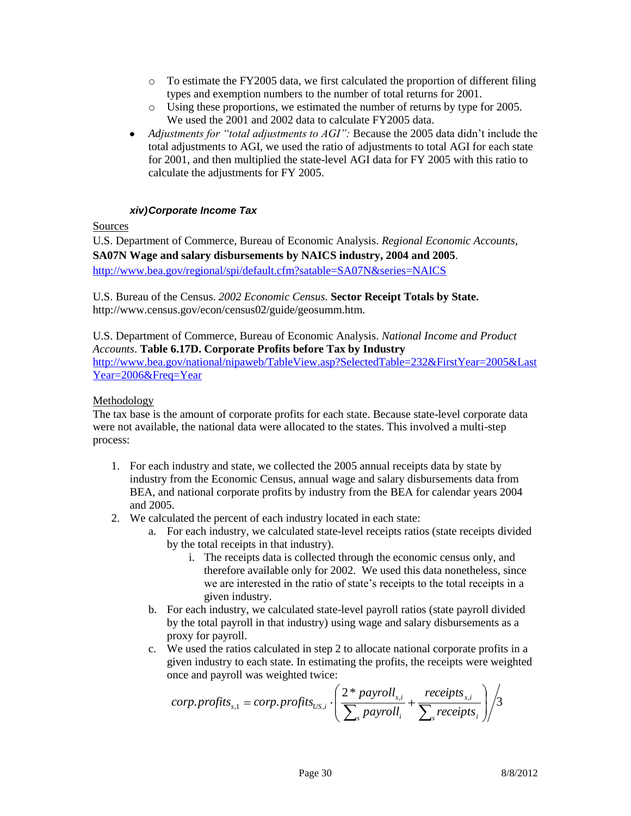- $\circ$  To estimate the FY2005 data, we first calculated the proportion of different filing types and exemption numbers to the number of total returns for 2001.
- o Using these proportions, we estimated the number of returns by type for 2005. We used the 2001 and 2002 data to calculate FY2005 data.
- *Adjustments for "total adjustments to AGI":* Because the 2005 data didn't include the  $\bullet$ total adjustments to AGI, we used the ratio of adjustments to total AGI for each state for 2001, and then multiplied the state-level AGI data for FY 2005 with this ratio to calculate the adjustments for FY 2005.

#### *xiv)Corporate Income Tax*

#### Sources

U.S. Department of Commerce, Bureau of Economic Analysis. *Regional Economic Accounts,*  **SA07N Wage and salary disbursements by NAICS industry, 2004 and 2005**. <http://www.bea.gov/regional/spi/default.cfm?satable=SA07N&series=NAICS>

U.S. Bureau of the Census. *2002 Economic Census.* **Sector Receipt Totals by State.** http://www.census.gov/econ/census02/guide/geosumm.htm.

U.S. Department of Commerce, Bureau of Economic Analysis. *National Income and Product Accounts*. **Table 6.17D. Corporate Profits before Tax by Industry** [http://www.bea.gov/national/nipaweb/TableView.asp?SelectedTable=232&FirstYear=2005&Last](http://www.bea.gov/national/nipaweb/TableView.asp?SelectedTable=232&FirstYear=2005&LastYear=2006&Freq=Year) [Year=2006&Freq=Year](http://www.bea.gov/national/nipaweb/TableView.asp?SelectedTable=232&FirstYear=2005&LastYear=2006&Freq=Year)

Methodology

The tax base is the amount of corporate profits for each state. Because state-level corporate data were not available, the national data were allocated to the states. This involved a multi-step process:

- 1. For each industry and state, we collected the 2005 annual receipts data by state by industry from the Economic Census, annual wage and salary disbursements data from BEA, and national corporate profits by industry from the BEA for calendar years 2004 and 2005.
- 2. We calculated the percent of each industry located in each state:
	- a. For each industry, we calculated state-level receipts ratios (state receipts divided by the total receipts in that industry).
		- i. The receipts data is collected through the economic census only, and therefore available only for 2002. We used this data nonetheless, since we are interested in the ratio of state's receipts to the total receipts in a given industry.
	- b. For each industry, we calculated state-level payroll ratios (state payroll divided by the total payroll in that industry) using wage and salary disbursements as a proxy for payroll.
	- c. We used the ratios calculated in step 2 to allocate national corporate profits in a given industry to each state. In estimating the profits, the receipts were weighted once and payroll was weighted twice:

$$
corp. profits_{s,i} = corp. profits_{\text{US},i} \cdot \left( \frac{2 * payroll_{s,i}}{\sum_{s} payroll_{i}} + \frac{receipts_{s,i}}{\sum_{s} receipts_{i}} \right) / 3
$$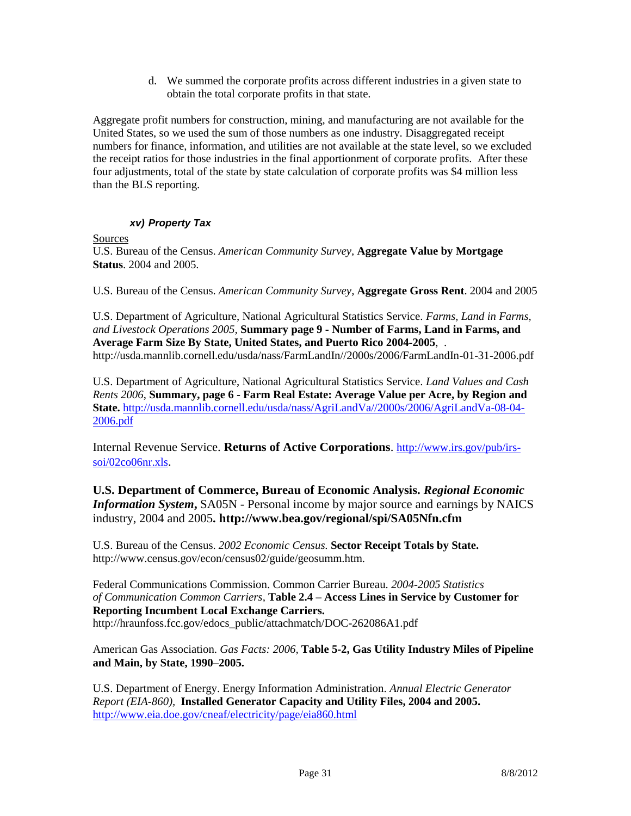d. We summed the corporate profits across different industries in a given state to obtain the total corporate profits in that state.

Aggregate profit numbers for construction, mining, and manufacturing are not available for the United States, so we used the sum of those numbers as one industry. Disaggregated receipt numbers for finance, information, and utilities are not available at the state level, so we excluded the receipt ratios for those industries in the final apportionment of corporate profits. After these four adjustments, total of the state by state calculation of corporate profits was \$4 million less than the BLS reporting.

## *xv) Property Tax*

**Sources** 

U.S. Bureau of the Census. *American Community Survey,* **Aggregate Value by Mortgage Status**. 2004 and 2005.

U.S. Bureau of the Census. *American Community Survey,* **Aggregate Gross Rent**. 2004 and 2005

U.S. Department of Agriculture, National Agricultural Statistics Service. *Farms, Land in Farms, and Livestock Operations 2005,* **Summary page 9 - Number of Farms, Land in Farms, and Average Farm Size By State, United States, and Puerto Rico 2004-2005**, . http://usda.mannlib.cornell.edu/usda/nass/FarmLandIn//2000s/2006/FarmLandIn-01-31-2006.pdf

U.S. Department of Agriculture, National Agricultural Statistics Service. *Land Values and Cash Rents 2006*, **Summary, page 6 - Farm Real Estate: Average Value per Acre, by Region and State.** [http://usda.mannlib.cornell.edu/usda/nass/AgriLandVa//2000s/2006/AgriLandVa-08-04-](http://usda.mannlib.cornell.edu/usda/nass/AgriLandVa/2000s/2006/AgriLandVa-08-04-2006.pdf) [2006.pdf](http://usda.mannlib.cornell.edu/usda/nass/AgriLandVa/2000s/2006/AgriLandVa-08-04-2006.pdf)

Internal Revenue Service. **Returns of Active Corporations**. [http://www.irs.gov/pub/irs](http://www.irs.gov/pub/irs-soi/02co06nr.xls)[soi/02co06nr.xls](http://www.irs.gov/pub/irs-soi/02co06nr.xls).

**U.S. Department of Commerce, Bureau of Economic Analysis.** *Regional Economic Information System***,** SA05N - Personal income by major source and earnings by NAICS industry, 2004 and 2005**. http://www.bea.gov/regional/spi/SA05Nfn.cfm** 

U.S. Bureau of the Census. *2002 Economic Census.* **Sector Receipt Totals by State.** http://www.census.gov/econ/census02/guide/geosumm.htm.

Federal Communications Commission. Common Carrier Bureau. *2004-2005 Statistics of Communication Common Carriers,* **Table 2.4 – Access Lines in Service by Customer for Reporting Incumbent Local Exchange Carriers.** http://hraunfoss.fcc.gov/edocs\_public/attachmatch/DOC-262086A1.pdf

American Gas Association. *Gas Facts: 2006,* **Table 5-2, Gas Utility Industry Miles of Pipeline and Main, by State, 1990–2005.**

U.S. Department of Energy. Energy Information Administration. *Annual Electric Generator Report (EIA-860),* **Installed Generator Capacity and Utility Files, 2004 and 2005.**  <http://www.eia.doe.gov/cneaf/electricity/page/eia860.html>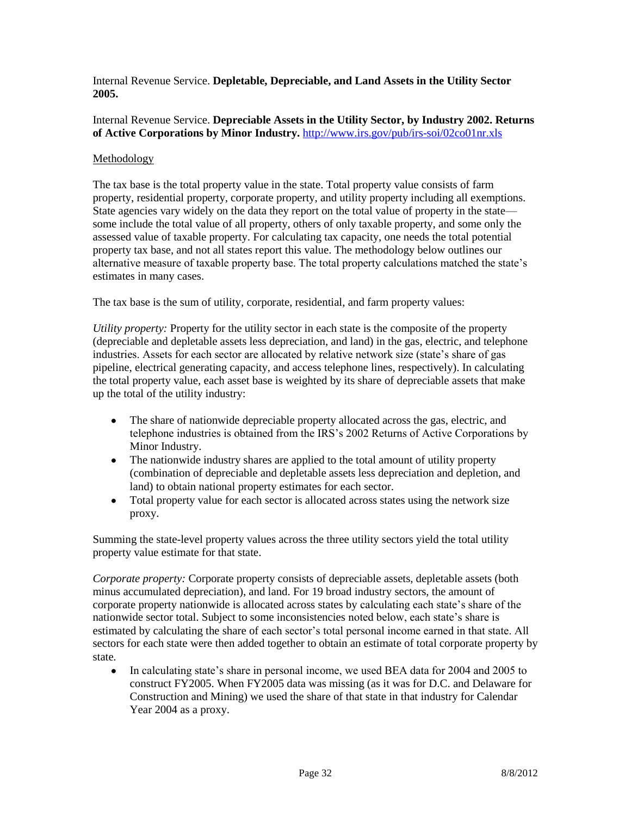Internal Revenue Service. **Depletable, Depreciable, and Land Assets in the Utility Sector 2005.**

#### Internal Revenue Service. **Depreciable Assets in the Utility Sector, by Industry 2002. Returns of Active Corporations by Minor Industry.** <http://www.irs.gov/pub/irs-soi/02co01nr.xls>

## Methodology

The tax base is the total property value in the state. Total property value consists of farm property, residential property, corporate property, and utility property including all exemptions. State agencies vary widely on the data they report on the total value of property in the state some include the total value of all property, others of only taxable property, and some only the assessed value of taxable property. For calculating tax capacity, one needs the total potential property tax base, and not all states report this value. The methodology below outlines our alternative measure of taxable property base. The total property calculations matched the state's estimates in many cases.

The tax base is the sum of utility, corporate, residential, and farm property values:

*Utility property:* Property for the utility sector in each state is the composite of the property (depreciable and depletable assets less depreciation, and land) in the gas, electric, and telephone industries. Assets for each sector are allocated by relative network size (state's share of gas pipeline, electrical generating capacity, and access telephone lines, respectively). In calculating the total property value, each asset base is weighted by its share of depreciable assets that make up the total of the utility industry:

- The share of nationwide depreciable property allocated across the gas, electric, and telephone industries is obtained from the IRS's 2002 Returns of Active Corporations by Minor Industry.
- The nationwide industry shares are applied to the total amount of utility property (combination of depreciable and depletable assets less depreciation and depletion, and land) to obtain national property estimates for each sector.
- Total property value for each sector is allocated across states using the network size  $\bullet$ proxy.

Summing the state-level property values across the three utility sectors yield the total utility property value estimate for that state.

*Corporate property:* Corporate property consists of depreciable assets, depletable assets (both minus accumulated depreciation), and land. For 19 broad industry sectors, the amount of corporate property nationwide is allocated across states by calculating each state's share of the nationwide sector total. Subject to some inconsistencies noted below, each state's share is estimated by calculating the share of each sector's total personal income earned in that state. All sectors for each state were then added together to obtain an estimate of total corporate property by state*.*

• In calculating state's share in personal income, we used BEA data for 2004 and 2005 to construct FY2005. When FY2005 data was missing (as it was for D.C. and Delaware for Construction and Mining) we used the share of that state in that industry for Calendar Year 2004 as a proxy.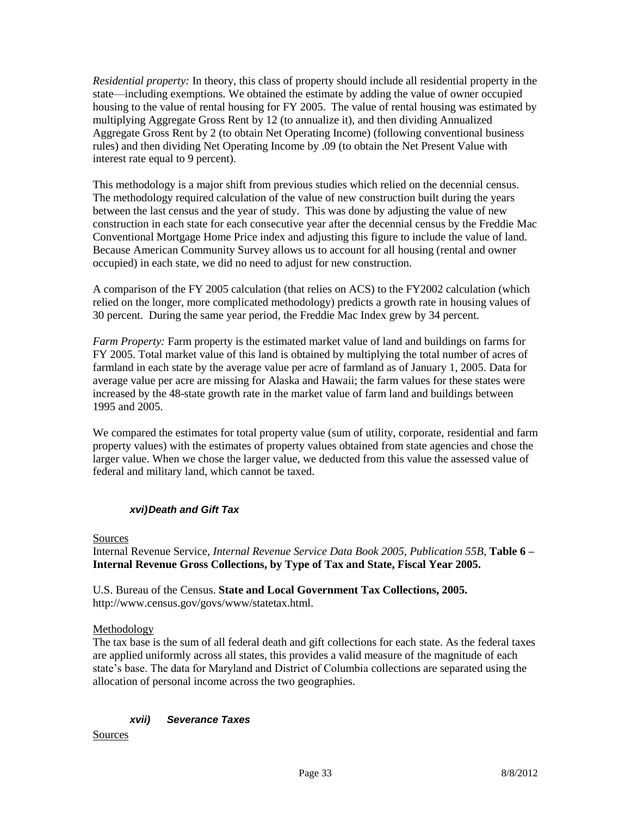*Residential property:* In theory, this class of property should include all residential property in the state—including exemptions. We obtained the estimate by adding the value of owner occupied housing to the value of rental housing for FY 2005. The value of rental housing was estimated by multiplying Aggregate Gross Rent by 12 (to annualize it), and then dividing Annualized Aggregate Gross Rent by 2 (to obtain Net Operating Income) (following conventional business rules) and then dividing Net Operating Income by .09 (to obtain the Net Present Value with interest rate equal to 9 percent).

This methodology is a major shift from previous studies which relied on the decennial census. The methodology required calculation of the value of new construction built during the years between the last census and the year of study. This was done by adjusting the value of new construction in each state for each consecutive year after the decennial census by the Freddie Mac Conventional Mortgage Home Price index and adjusting this figure to include the value of land. Because American Community Survey allows us to account for all housing (rental and owner occupied) in each state, we did no need to adjust for new construction.

A comparison of the FY 2005 calculation (that relies on ACS) to the FY2002 calculation (which relied on the longer, more complicated methodology) predicts a growth rate in housing values of 30 percent. During the same year period, the Freddie Mac Index grew by 34 percent.

*Farm Property:* Farm property is the estimated market value of land and buildings on farms for FY 2005. Total market value of this land is obtained by multiplying the total number of acres of farmland in each state by the average value per acre of farmland as of January 1, 2005. Data for average value per acre are missing for Alaska and Hawaii; the farm values for these states were increased by the 48-state growth rate in the market value of farm land and buildings between 1995 and 2005.

We compared the estimates for total property value (sum of utility, corporate, residential and farm property values) with the estimates of property values obtained from state agencies and chose the larger value. When we chose the larger value, we deducted from this value the assessed value of federal and military land, which cannot be taxed.

## *xvi)Death and Gift Tax*

#### Sources

Internal Revenue Service, *Internal Revenue Service Data Book 2005, Publication 55B*, **Table 6 – Internal Revenue Gross Collections, by Type of Tax and State, Fiscal Year 2005.**

U.S. Bureau of the Census. **State and Local Government Tax Collections, 2005.**  http://www.census.gov/govs/www/statetax.html.

## Methodology

The tax base is the sum of all federal death and gift collections for each state. As the federal taxes are applied uniformly across all states, this provides a valid measure of the magnitude of each state's base. The data for Maryland and District of Columbia collections are separated using the allocation of personal income across the two geographies.

#### *xvii) Severance Taxes*

Sources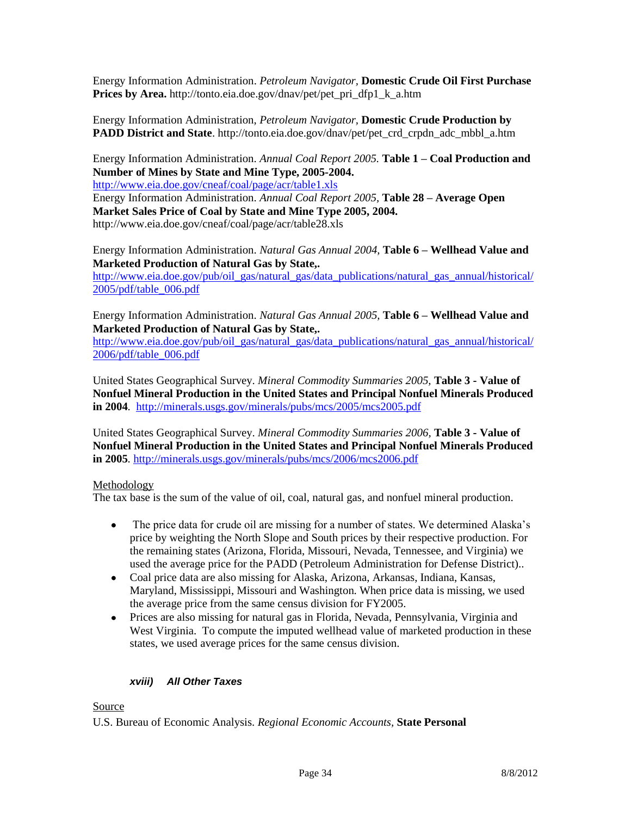Energy Information Administration. *Petroleum Navigator,* **Domestic Crude Oil First Purchase Prices by Area.** http://tonto.eia.doe.gov/dnav/pet/pet\_pri\_dfp1\_k\_a.htm

Energy Information Administration, *Petroleum Navigator,* **Domestic Crude Production by PADD District and State**. http://tonto.eia.doe.gov/dnav/pet/pet\_crd\_crpdn\_adc\_mbbl\_a.htm

Energy Information Administration. *Annual Coal Report 2005.* **Table 1 – Coal Production and Number of Mines by State and Mine Type, 2005-2004.** 

<http://www.eia.doe.gov/cneaf/coal/page/acr/table1.xls>

Energy Information Administration. *Annual Coal Report 2005,* **Table 28 – Average Open Market Sales Price of Coal by State and Mine Type 2005, 2004.** http://www.eia.doe.gov/cneaf/coal/page/acr/table28.xls

Energy Information Administration. *Natural Gas Annual 2004,* **Table 6 – Wellhead Value and Marketed Production of Natural Gas by State,.**

[http://www.eia.doe.gov/pub/oil\\_gas/natural\\_gas/data\\_publications/natural\\_gas\\_annual/historical/](http://www.eia.doe.gov/pub/oil_gas/natural_gas/data_publications/natural_gas_annual/historical/2005/pdf/table_006.pdf) [2005/pdf/table\\_006.pdf](http://www.eia.doe.gov/pub/oil_gas/natural_gas/data_publications/natural_gas_annual/historical/2005/pdf/table_006.pdf)

Energy Information Administration. *Natural Gas Annual 2005,* **Table 6 – Wellhead Value and Marketed Production of Natural Gas by State,.**

[http://www.eia.doe.gov/pub/oil\\_gas/natural\\_gas/data\\_publications/natural\\_gas\\_annual/historical/](http://www.eia.doe.gov/pub/oil_gas/natural_gas/data_publications/natural_gas_annual/historical/2006/pdf/table_006.pdf) [2006/pdf/table\\_006.pdf](http://www.eia.doe.gov/pub/oil_gas/natural_gas/data_publications/natural_gas_annual/historical/2006/pdf/table_006.pdf)

United States Geographical Survey. *Mineral Commodity Summaries 2005,* **Table 3 - Value of Nonfuel Mineral Production in the United States and Principal Nonfuel Minerals Produced in 2004***.* <http://minerals.usgs.gov/minerals/pubs/mcs/2005/mcs2005.pdf>

United States Geographical Survey. *Mineral Commodity Summaries 2006,* **Table 3 - Value of Nonfuel Mineral Production in the United States and Principal Nonfuel Minerals Produced in 2005***.* <http://minerals.usgs.gov/minerals/pubs/mcs/2006/mcs2006.pdf>

## Methodology

The tax base is the sum of the value of oil, coal, natural gas, and nonfuel mineral production.

- The price data for crude oil are missing for a number of states. We determined Alaska's  $\bullet$ price by weighting the North Slope and South prices by their respective production. For the remaining states (Arizona, Florida, Missouri, Nevada, Tennessee, and Virginia) we used the average price for the PADD (Petroleum Administration for Defense District)..
- Coal price data are also missing for Alaska, Arizona, Arkansas, Indiana, Kansas, Maryland, Mississippi, Missouri and Washington. When price data is missing, we used the average price from the same census division for FY2005.
- $\bullet$ Prices are also missing for natural gas in Florida, Nevada, Pennsylvania, Virginia and West Virginia. To compute the imputed wellhead value of marketed production in these states, we used average prices for the same census division.

## *xviii) All Other Taxes*

## Source

U.S. Bureau of Economic Analysis. *Regional Economic Accounts,* **State Personal**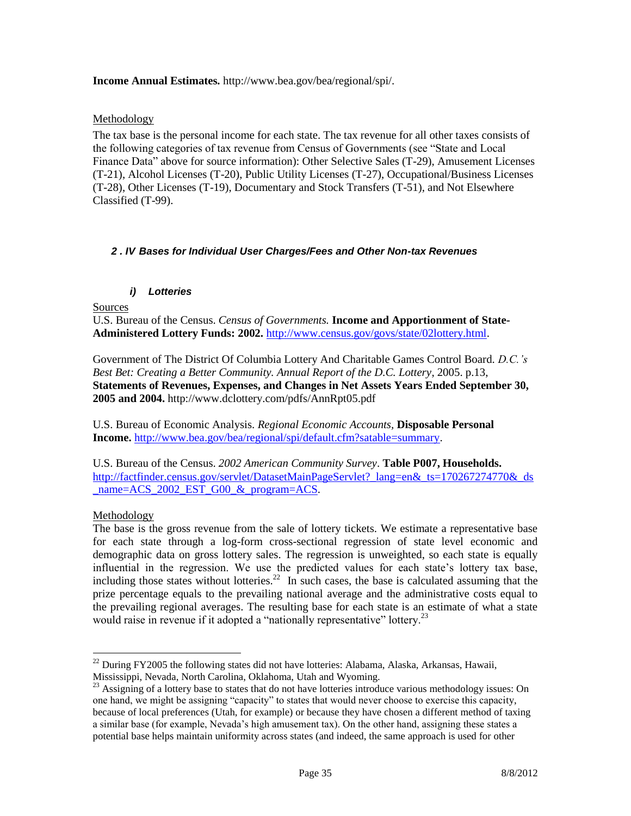#### **Income Annual Estimates.** http://www.bea.gov/bea/regional/spi/.

#### Methodology

The tax base is the personal income for each state. The tax revenue for all other taxes consists of the following categories of tax revenue from Census of Governments (see "State and Local Finance Data" above for source information): Other Selective Sales (T-29), Amusement Licenses (T-21), Alcohol Licenses (T-20), Public Utility Licenses (T-27), Occupational/Business Licenses (T-28), Other Licenses (T-19), Documentary and Stock Transfers (T-51), and Not Elsewhere Classified (T-99).

#### *2 . IV Bases for Individual User Charges/Fees and Other Non-tax Revenues*

#### *i) Lotteries*

Sources

U.S. Bureau of the Census. *Census of Governments.* **Income and Apportionment of State-Administered Lottery Funds: 2002.** [http://www.census.gov/govs/state/02lottery.html.](http://www.census.gov/govs/state/02lottery.html)

Government of The District Of Columbia Lottery And Charitable Games Control Board. *D.C.'s Best Bet: Creating a Better Community. Annual Report of the D.C. Lottery*, 2005. p.13, **Statements of Revenues, Expenses, and Changes in Net Assets Years Ended September 30, 2005 and 2004.** <http://www.dclottery.com/pdfs/AnnRpt05.pdf>

U.S. Bureau of Economic Analysis. *Regional Economic Accounts,* **Disposable Personal Income.** [http://www.bea.gov/bea/regional/spi/default.cfm?satable=summary.](http://www.bea.gov/bea/regional/spi/default.cfm?satable=summary)

U.S. Bureau of the Census. *2002 American Community Survey*. **Table P007, Households.** [http://factfinder.census.gov/servlet/DatasetMainPageServlet?\\_lang=en&\\_ts=170267274770&\\_ds](http://factfinder.census.gov/servlet/DatasetMainPageServlet?_lang=en&_ts=170267274770&_ds_name=ACS_2002_EST_G00_&_program=ACS) [\\_name=ACS\\_2002\\_EST\\_G00\\_&\\_program=ACS.](http://factfinder.census.gov/servlet/DatasetMainPageServlet?_lang=en&_ts=170267274770&_ds_name=ACS_2002_EST_G00_&_program=ACS)

#### Methodology

 $\overline{a}$ 

The base is the gross revenue from the sale of lottery tickets. We estimate a representative base for each state through a log-form cross-sectional regression of state level economic and demographic data on gross lottery sales. The regression is unweighted, so each state is equally influential in the regression. We use the predicted values for each state's lottery tax base, including those states without lotteries.<sup>22</sup> In such cases, the base is calculated assuming that the prize percentage equals to the prevailing national average and the administrative costs equal to the prevailing regional averages. The resulting base for each state is an estimate of what a state would raise in revenue if it adopted a "nationally representative" lottery.<sup>23</sup>

 $^{22}$  During FY2005 the following states did not have lotteries: Alabama, Alaska, Arkansas, Hawaii, Mississippi, Nevada, North Carolina, Oklahoma, Utah and Wyoming.

<sup>&</sup>lt;sup>23</sup> Assigning of a lottery base to states that do not have lotteries introduce various methodology issues: On one hand, we might be assigning "capacity" to states that would never choose to exercise this capacity, because of local preferences (Utah, for example) or because they have chosen a different method of taxing a similar base (for example, Nevada's high amusement tax). On the other hand, assigning these states a potential base helps maintain uniformity across states (and indeed, the same approach is used for other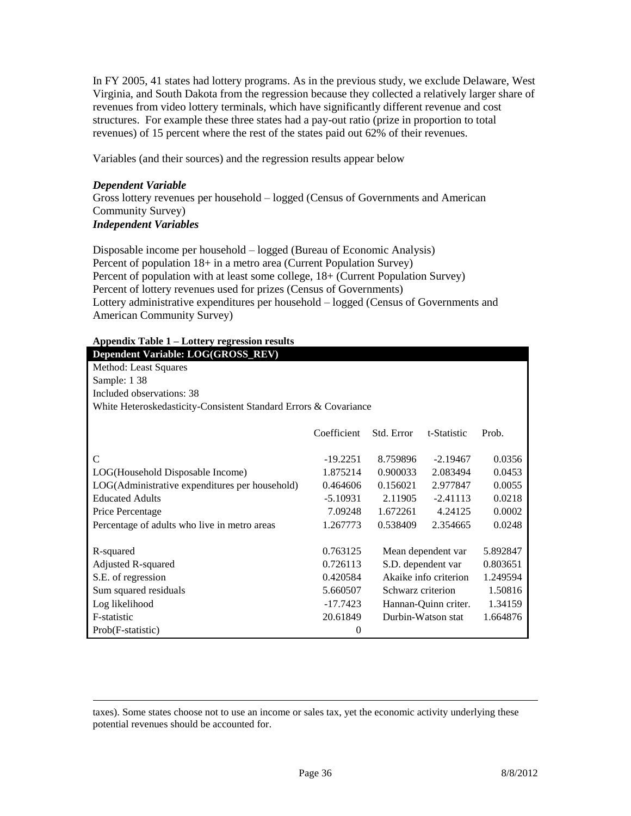In FY 2005, 41 states had lottery programs. As in the previous study, we exclude Delaware, West Virginia, and South Dakota from the regression because they collected a relatively larger share of revenues from video lottery terminals, which have significantly different revenue and cost structures. For example these three states had a pay-out ratio (prize in proportion to total revenues) of 15 percent where the rest of the states paid out 62% of their revenues.

Variables (and their sources) and the regression results appear below

#### *Dependent Variable*

 $\overline{a}$ 

Gross lottery revenues per household – logged (Census of Governments and American Community Survey) *Independent Variables*

Disposable income per household – logged (Bureau of Economic Analysis) Percent of population 18+ in a metro area (Current Population Survey) Percent of population with at least some college, 18+ (Current Population Survey) Percent of lottery revenues used for prizes (Census of Governments) Lottery administrative expenditures per household – logged (Census of Governments and American Community Survey)

| <b>Appendix Table 1 - Lottery regression results</b> |  |
|------------------------------------------------------|--|
|------------------------------------------------------|--|

| Dependent Variable: LOG(GROSS_REV)                               |             |                   |                       |          |
|------------------------------------------------------------------|-------------|-------------------|-----------------------|----------|
| Method: Least Squares                                            |             |                   |                       |          |
| Sample: 1 38                                                     |             |                   |                       |          |
| Included observations: 38                                        |             |                   |                       |          |
| White Heteroskedasticity-Consistent Standard Errors & Covariance |             |                   |                       |          |
|                                                                  |             |                   |                       |          |
|                                                                  | Coefficient | Std. Error        | t-Statistic           | Prob.    |
| C                                                                | $-19.2251$  | 8.759896          | $-2.19467$            | 0.0356   |
| LOG(Household Disposable Income)                                 | 1.875214    | 0.900033          | 2.083494              | 0.0453   |
| LOG(Administrative expenditures per household)                   | 0.464606    | 0.156021          | 2.977847              | 0.0055   |
| <b>Educated Adults</b>                                           | $-5.10931$  | 2.11905           | $-2.41113$            | 0.0218   |
| Price Percentage                                                 | 7.09248     | 1.672261          | 4.24125               | 0.0002   |
| Percentage of adults who live in metro areas                     | 1.267773    | 0.538409          | 2.354665              | 0.0248   |
|                                                                  |             |                   |                       |          |
| R-squared                                                        | 0.763125    |                   | Mean dependent var    | 5.892847 |
| Adjusted R-squared                                               | 0.726113    |                   | S.D. dependent var    | 0.803651 |
| S.E. of regression                                               | 0.420584    |                   | Akaike info criterion | 1.249594 |
| Sum squared residuals                                            | 5.660507    | Schwarz criterion |                       | 1.50816  |
| Log likelihood                                                   | $-17.7423$  |                   | Hannan-Quinn criter.  | 1.34159  |
| F-statistic                                                      | 20.61849    |                   | Durbin-Watson stat    | 1.664876 |
| Prob(F-statistic)                                                | 0           |                   |                       |          |

taxes). Some states choose not to use an income or sales tax, yet the economic activity underlying these potential revenues should be accounted for.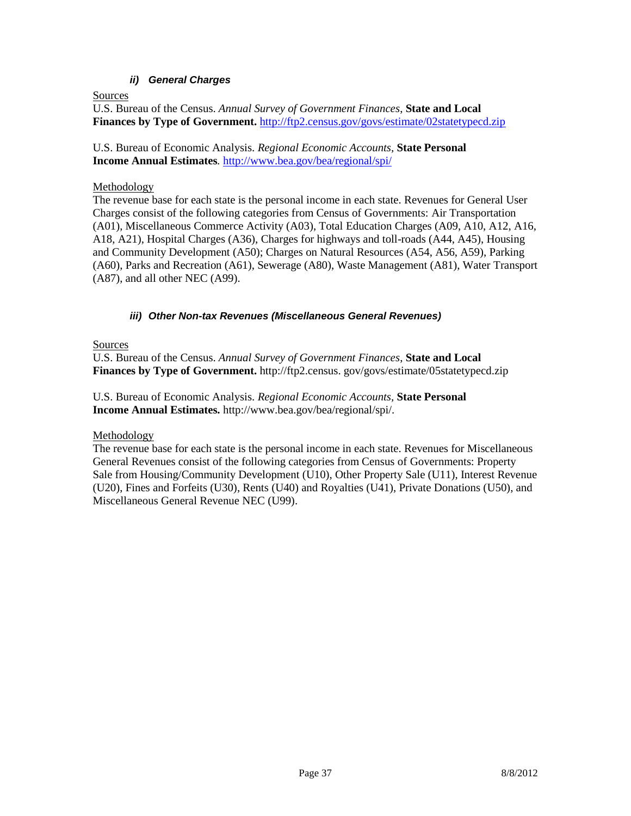## *ii) General Charges*

Sources

U.S. Bureau of the Census. *Annual Survey of Government Finances*, **State and Local Finances by Type of Government.** <http://ftp2.census.gov/govs/estimate/02statetypecd.zip>

U.S. Bureau of Economic Analysis. *Regional Economic Accounts,* **State Personal Income Annual Estimates***.* <http://www.bea.gov/bea/regional/spi/>

### Methodology

The revenue base for each state is the personal income in each state. Revenues for General User Charges consist of the following categories from Census of Governments: Air Transportation (A01), Miscellaneous Commerce Activity (A03), Total Education Charges (A09, A10, A12, A16, A18, A21), Hospital Charges (A36), Charges for highways and toll-roads (A44, A45), Housing and Community Development (A50); Charges on Natural Resources (A54, A56, A59), Parking (A60), Parks and Recreation (A61), Sewerage (A80), Waste Management (A81), Water Transport (A87), and all other NEC (A99).

### *iii) Other Non-tax Revenues (Miscellaneous General Revenues)*

#### Sources

U.S. Bureau of the Census. *Annual Survey of Government Finances*, **State and Local Finances by Type of Government.** http://ftp2.census. gov/govs/estimate/05statetypecd.zip

U.S. Bureau of Economic Analysis. *Regional Economic Accounts,* **State Personal Income Annual Estimates.** http://www.bea.gov/bea/regional/spi/.

## Methodology

The revenue base for each state is the personal income in each state. Revenues for Miscellaneous General Revenues consist of the following categories from Census of Governments: Property Sale from Housing/Community Development (U10), Other Property Sale (U11), Interest Revenue (U20), Fines and Forfeits (U30), Rents (U40) and Royalties (U41), Private Donations (U50), and Miscellaneous General Revenue NEC (U99).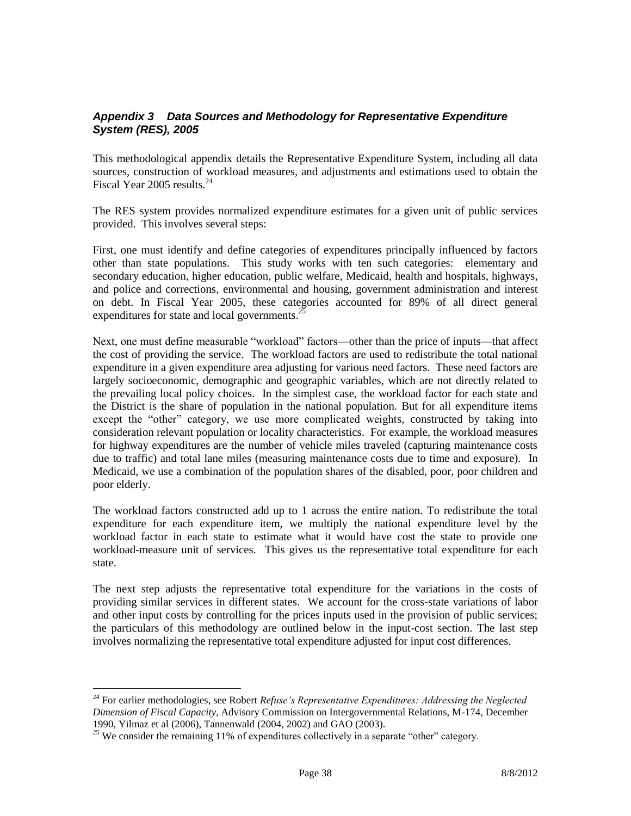## *Appendix 3 Data Sources and Methodology for Representative Expenditure System (RES), 2005*

This methodological appendix details the Representative Expenditure System, including all data sources, construction of workload measures, and adjustments and estimations used to obtain the Fiscal Year 2005 results.<sup>24</sup>

The RES system provides normalized expenditure estimates for a given unit of public services provided. This involves several steps:

First, one must identify and define categories of expenditures principally influenced by factors other than state populations. This study works with ten such categories: elementary and secondary education, higher education, public welfare, Medicaid, health and hospitals, highways, and police and corrections, environmental and housing, government administration and interest on debt. In Fiscal Year 2005, these categories accounted for 89% of all direct general expenditures for state and local governments.<sup>25</sup>

Next, one must define measurable "workload" factors—other than the price of inputs—that affect the cost of providing the service. The workload factors are used to redistribute the total national expenditure in a given expenditure area adjusting for various need factors. These need factors are largely socioeconomic, demographic and geographic variables, which are not directly related to the prevailing local policy choices. In the simplest case, the workload factor for each state and the District is the share of population in the national population. But for all expenditure items except the "other" category, we use more complicated weights, constructed by taking into consideration relevant population or locality characteristics. For example, the workload measures for highway expenditures are the number of vehicle miles traveled (capturing maintenance costs due to traffic) and total lane miles (measuring maintenance costs due to time and exposure). In Medicaid, we use a combination of the population shares of the disabled, poor, poor children and poor elderly.

The workload factors constructed add up to 1 across the entire nation. To redistribute the total expenditure for each expenditure item, we multiply the national expenditure level by the workload factor in each state to estimate what it would have cost the state to provide one workload-measure unit of services. This gives us the representative total expenditure for each state.

The next step adjusts the representative total expenditure for the variations in the costs of providing similar services in different states. We account for the cross-state variations of labor and other input costs by controlling for the prices inputs used in the provision of public services; the particulars of this methodology are outlined below in the input-cost section. The last step involves normalizing the representative total expenditure adjusted for input cost differences.

 $\overline{a}$ 

<sup>24</sup> For earlier methodologies, see Robert *Refuse's Representative Expenditures: Addressing the Neglected Dimension of Fiscal Capacity*, Advisory Commission on Intergovernmental Relations, M-174, December 1990, Yilmaz et al (2006), Tannenwald (2004, 2002) and GAO (2003).

 $25$  We consider the remaining 11% of expenditures collectively in a separate "other" category.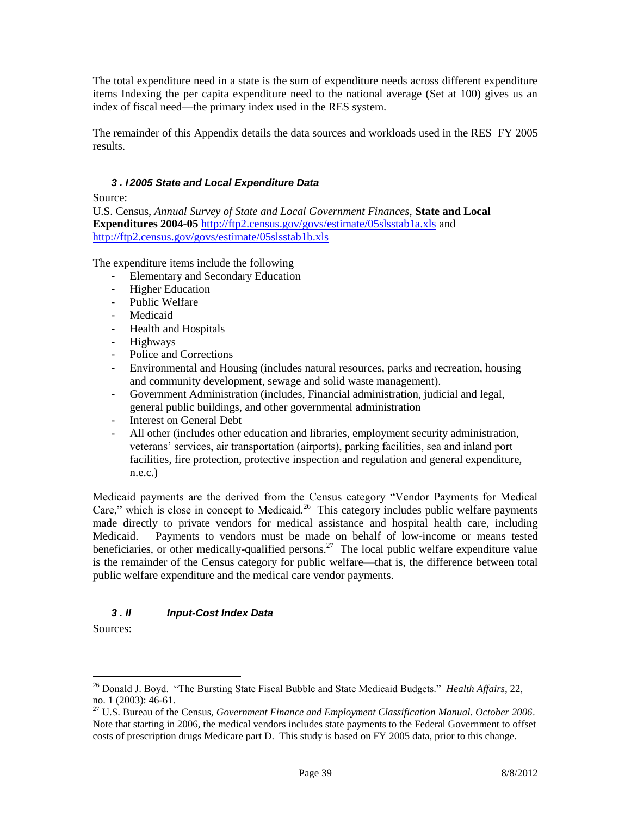The total expenditure need in a state is the sum of expenditure needs across different expenditure items Indexing the per capita expenditure need to the national average (Set at 100) gives us an index of fiscal need—the primary index used in the RES system.

The remainder of this Appendix details the data sources and workloads used in the RES FY 2005 results.

#### *3 . I 2005 State and Local Expenditure Data*

#### Source:

U.S. Census, *Annual Survey of State and Local Government Finances,* **State and Local Expenditures 2004-05** <http://ftp2.census.gov/govs/estimate/05slsstab1a.xls> and <http://ftp2.census.gov/govs/estimate/05slsstab1b.xls>

The expenditure items include the following

- Elementary and Secondary Education
- Higher Education
- Public Welfare
- Medicaid
- Health and Hospitals
- Highways
- Police and Corrections
- Environmental and Housing (includes natural resources, parks and recreation, housing and community development, sewage and solid waste management).
- Government Administration (includes, Financial administration, judicial and legal, general public buildings, and other governmental administration
- Interest on General Debt
- All other (includes other education and libraries, employment security administration, veterans' services, air transportation (airports), parking facilities, sea and inland port facilities, fire protection, protective inspection and regulation and general expenditure, n.e.c.)

Medicaid payments are the derived from the Census category "Vendor Payments for Medical Care," which is close in concept to Medicaid.<sup>26</sup> This category includes public welfare payments made directly to private vendors for medical assistance and hospital health care, including Medicaid. Payments to vendors must be made on behalf of low-income or means tested beneficiaries, or other medically-qualified persons.<sup>27</sup> The local public welfare expenditure value is the remainder of the Census category for public welfare—that is, the difference between total public welfare expenditure and the medical care vendor payments.

## *3 . II Input-Cost Index Data*

Sources:

 $\overline{a}$ 

<sup>26</sup> Donald J. Boyd. "The Bursting State Fiscal Bubble and State Medicaid Budgets." *Health Affairs*, 22, no. 1 (2003): 46-61.

<sup>27</sup> U.S. Bureau of the Census, *Government Finance and Employment Classification Manual. October 2006*. Note that starting in 2006, the medical vendors includes state payments to the Federal Government to offset costs of prescription drugs Medicare part D. This study is based on FY 2005 data, prior to this change.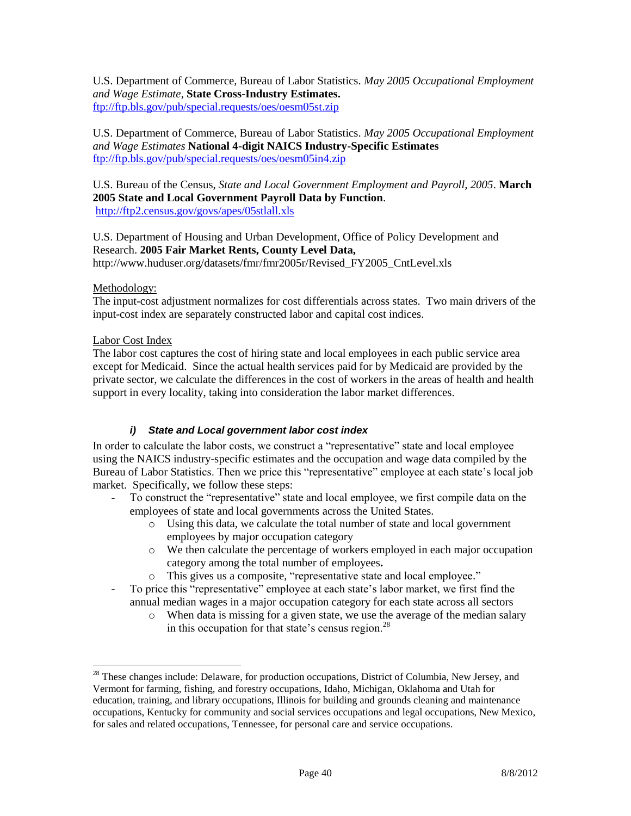U.S. Department of Commerce, Bureau of Labor Statistics. *May 2005 Occupational Employment and Wage Estimate,* **State Cross-Industry Estimates.**  <ftp://ftp.bls.gov/pub/special.requests/oes/oesm05st.zip>

#### U.S. Department of Commerce, Bureau of Labor Statistics. *May 2005 Occupational Employment and Wage Estimates* **National 4-digit NAICS Industry-Specific Estimates**  <ftp://ftp.bls.gov/pub/special.requests/oes/oesm05in4.zip>

U.S. Bureau of the Census, *State and Local Government Employment and Payroll, 2005*. **March 2005 State and Local Government Payroll Data by Function**. <http://ftp2.census.gov/govs/apes/05stlall.xls>

U.S. Department of Housing and Urban Development, Office of Policy Development and Research. **2005 Fair Market Rents, County Level Data,** http://www.huduser.org/datasets/fmr/fmr2005r/Revised\_FY2005\_CntLevel.xls

#### Methodology:

The input-cost adjustment normalizes for cost differentials across states. Two main drivers of the input-cost index are separately constructed labor and capital cost indices.

### Labor Cost Index

 $\overline{a}$ 

The labor cost captures the cost of hiring state and local employees in each public service area except for Medicaid. Since the actual health services paid for by Medicaid are provided by the private sector, we calculate the differences in the cost of workers in the areas of health and health support in every locality, taking into consideration the labor market differences.

#### *i) State and Local government labor cost index*

In order to calculate the labor costs, we construct a "representative" state and local employee using the NAICS industry-specific estimates and the occupation and wage data compiled by the Bureau of Labor Statistics. Then we price this "representative" employee at each state's local job market. Specifically, we follow these steps:

- To construct the "representative" state and local employee, we first compile data on the employees of state and local governments across the United States.
	- o Using this data, we calculate the total number of state and local government employees by major occupation category
	- o We then calculate the percentage of workers employed in each major occupation category among the total number of employees**.**
	- o This gives us a composite, "representative state and local employee."
- To price this "representative" employee at each state's labor market, we first find the annual median wages in a major occupation category for each state across all sectors
	- o When data is missing for a given state, we use the average of the median salary in this occupation for that state's census region. $^{28}$

 $28$  These changes include: Delaware, for production occupations, District of Columbia, New Jersey, and Vermont for farming, fishing, and forestry occupations, Idaho, Michigan, Oklahoma and Utah for education, training, and library occupations, Illinois for building and grounds cleaning and maintenance occupations, Kentucky for community and social services occupations and legal occupations, New Mexico, for sales and related occupations, Tennessee, for personal care and service occupations.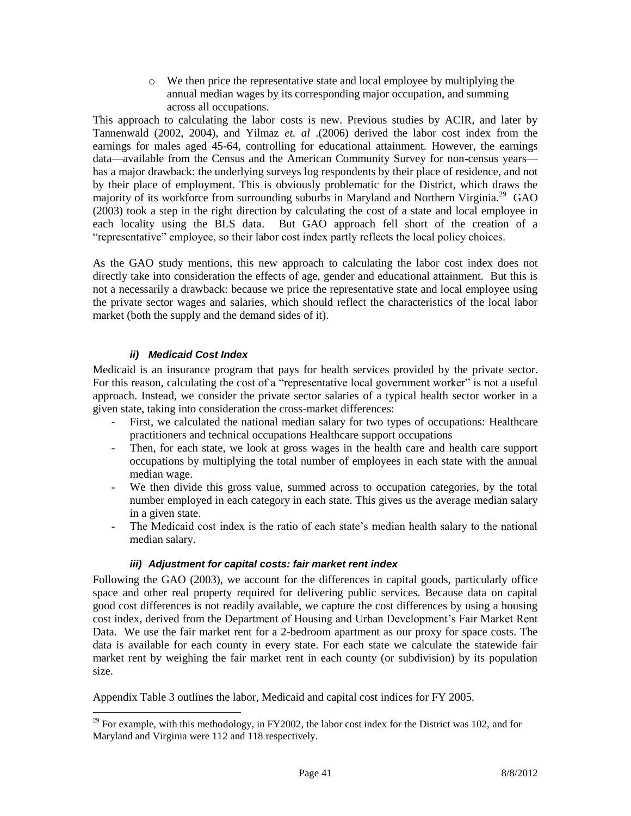o We then price the representative state and local employee by multiplying the annual median wages by its corresponding major occupation, and summing across all occupations.

This approach to calculating the labor costs is new. Previous studies by ACIR, and later by Tannenwald (2002, 2004), and Yilmaz *et. al* .(2006) derived the labor cost index from the earnings for males aged 45-64, controlling for educational attainment. However, the earnings data—available from the Census and the American Community Survey for non-census years has a major drawback: the underlying surveys log respondents by their place of residence, and not by their place of employment. This is obviously problematic for the District, which draws the majority of its workforce from surrounding suburbs in Maryland and Northern Virginia.<sup>29</sup> GAO (2003) took a step in the right direction by calculating the cost of a state and local employee in each locality using the BLS data. But GAO approach fell short of the creation of a "representative" employee, so their labor cost index partly reflects the local policy choices.

As the GAO study mentions, this new approach to calculating the labor cost index does not directly take into consideration the effects of age, gender and educational attainment. But this is not a necessarily a drawback: because we price the representative state and local employee using the private sector wages and salaries, which should reflect the characteristics of the local labor market (both the supply and the demand sides of it).

## *ii) Medicaid Cost Index*

 $\overline{a}$ 

Medicaid is an insurance program that pays for health services provided by the private sector. For this reason, calculating the cost of a "representative local government worker" is not a useful approach. Instead, we consider the private sector salaries of a typical health sector worker in a given state, taking into consideration the cross-market differences:

- First, we calculated the national median salary for two types of occupations: Healthcare practitioners and technical occupations Healthcare support occupations
- Then, for each state, we look at gross wages in the health care and health care support occupations by multiplying the total number of employees in each state with the annual median wage.
- We then divide this gross value, summed across to occupation categories, by the total number employed in each category in each state. This gives us the average median salary in a given state.
- The Medicaid cost index is the ratio of each state's median health salary to the national median salary.

## *iii) Adjustment for capital costs: fair market rent index*

Following the GAO (2003), we account for the differences in capital goods, particularly office space and other real property required for delivering public services. Because data on capital good cost differences is not readily available, we capture the cost differences by using a housing cost index, derived from the Department of Housing and Urban Development's Fair Market Rent Data. We use the fair market rent for a 2-bedroom apartment as our proxy for space costs. The data is available for each county in every state. For each state we calculate the statewide fair market rent by weighing the fair market rent in each county (or subdivision) by its population size.

Appendix Table 3 outlines the labor, Medicaid and capital cost indices for FY 2005.

<sup>&</sup>lt;sup>29</sup> For example, with this methodology, in FY2002, the labor cost index for the District was 102, and for Maryland and Virginia were 112 and 118 respectively.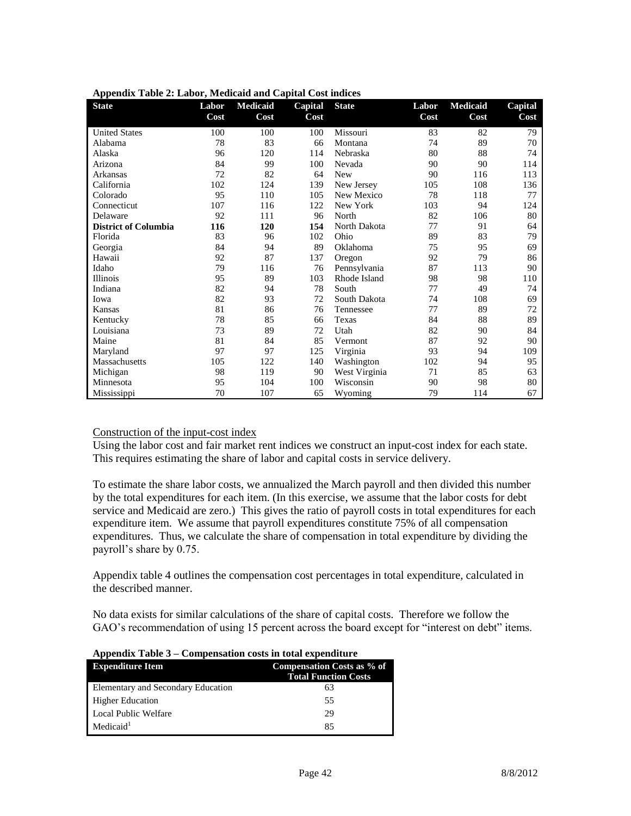| <b>State</b>                | Labor<br>Cost | <b>Medicaid</b><br>Cost | Capital<br>Cost | <b>State</b>  | Labor<br>Cost | <b>Medicaid</b><br>Cost | Capital<br>Cost |
|-----------------------------|---------------|-------------------------|-----------------|---------------|---------------|-------------------------|-----------------|
| <b>United States</b>        | 100           | 100                     | 100             | Missouri      | 83            | 82                      | 79              |
| Alabama                     | 78            | 83                      | 66              | Montana       | 74            | 89                      | 70              |
| Alaska                      | 96            | 120                     | 114             | Nebraska      | 80            | 88                      | 74              |
| Arizona                     | 84            | 99                      | 100             | Nevada        | 90            | 90                      | 114             |
| Arkansas                    | 72            | 82                      | 64              | <b>New</b>    | 90            | 116                     | 113             |
| California                  | 102           | 124                     | 139             | New Jersey    | 105           | 108                     | 136             |
| Colorado                    | 95            | 110                     | 105             | New Mexico    | 78            | 118                     | 77              |
| Connecticut                 | 107           | 116                     | 122             | New York      | 103           | 94                      | 124             |
| Delaware                    | 92            | 111                     | 96              | North         | 82            | 106                     | 80              |
| <b>District of Columbia</b> | 116           | 120                     | 154             | North Dakota  | 77            | 91                      | 64              |
| Florida                     | 83            | 96                      | 102             | Ohio          | 89            | 83                      | 79              |
| Georgia                     | 84            | 94                      | 89              | Oklahoma      | 75            | 95                      | 69              |
| Hawaii                      | 92            | 87                      | 137             | Oregon        | 92            | 79                      | 86              |
| Idaho                       | 79            | 116                     | 76              | Pennsylvania  | 87            | 113                     | 90              |
| Illinois                    | 95            | 89                      | 103             | Rhode Island  | 98            | 98                      | 110             |
| Indiana                     | 82            | 94                      | 78              | South         | 77            | 49                      | 74              |
| Iowa                        | 82            | 93                      | 72              | South Dakota  | 74            | 108                     | 69              |
| Kansas                      | 81            | 86                      | 76              | Tennessee     | 77            | 89                      | 72              |
| Kentucky                    | 78            | 85                      | 66              | Texas         | 84            | 88                      | 89              |
| Louisiana                   | 73            | 89                      | 72              | Utah          | 82            | 90                      | 84              |
| Maine                       | 81            | 84                      | 85              | Vermont       | 87            | 92                      | 90              |
| Maryland                    | 97            | 97                      | 125             | Virginia      | 93            | 94                      | 109             |
| Massachusetts               | 105           | 122                     | 140             | Washington    | 102           | 94                      | 95              |
| Michigan                    | 98            | 119                     | 90              | West Virginia | 71            | 85                      | 63              |
| Minnesota                   | 95            | 104                     | 100             | Wisconsin     | 90            | 98                      | 80              |
| Mississippi                 | 70            | 107                     | 65              | Wyoming       | 79            | 114                     | 67              |

**Appendix Table 2: Labor, Medicaid and Capital Cost indices**

#### Construction of the input-cost index

Using the labor cost and fair market rent indices we construct an input-cost index for each state. This requires estimating the share of labor and capital costs in service delivery.

To estimate the share labor costs, we annualized the March payroll and then divided this number by the total expenditures for each item. (In this exercise, we assume that the labor costs for debt service and Medicaid are zero.) This gives the ratio of payroll costs in total expenditures for each expenditure item. We assume that payroll expenditures constitute 75% of all compensation expenditures. Thus, we calculate the share of compensation in total expenditure by dividing the payroll's share by 0.75.

Appendix table 4 outlines the compensation cost percentages in total expenditure, calculated in the described manner.

No data exists for similar calculations of the share of capital costs. Therefore we follow the GAO's recommendation of using 15 percent across the board except for "interest on debt" items.

| $\Delta$ ppendix Table $3$ – Compensation costs in total expenditure |                                                           |  |  |  |  |  |
|----------------------------------------------------------------------|-----------------------------------------------------------|--|--|--|--|--|
| <b>Expenditure Item</b>                                              | Compensation Costs as % of<br><b>Total Function Costs</b> |  |  |  |  |  |
| Elementary and Secondary Education                                   | 63                                                        |  |  |  |  |  |
| <b>Higher Education</b>                                              | 55                                                        |  |  |  |  |  |
| Local Public Welfare                                                 | 29                                                        |  |  |  |  |  |
| Medicaid <sup>1</sup>                                                | 85                                                        |  |  |  |  |  |

|  | Appendix Table 3 - Compensation costs in total expenditure |  |
|--|------------------------------------------------------------|--|
|  |                                                            |  |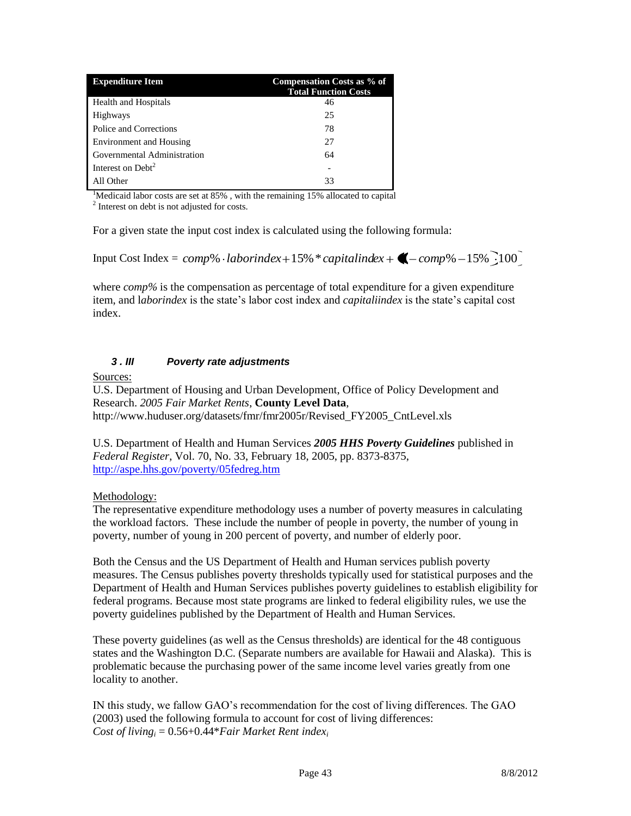| <b>Expenditure Item</b>        | Compensation Costs as % of<br><b>Total Function Costs</b> |
|--------------------------------|-----------------------------------------------------------|
| Health and Hospitals           | 46                                                        |
| <b>Highways</b>                | 25                                                        |
| Police and Corrections         | 78                                                        |
| <b>Environment</b> and Housing | 27                                                        |
| Governmental Administration    | 64                                                        |
| Interest on Debt <sup>2</sup>  |                                                           |
| All Other                      | 33                                                        |

<sup>1</sup>Medicaid labor costs are set at  $85\%$ , with the remaining 15% allocated to capital <sup>2</sup> Interest on debt is not adjusted for costs.

For a given state the input cost index is calculated using the following formula:

Input Cost Index =  $\textit{comp}\% \cdot \textit{laborindex} + 15\% * \textit{capitalindex} + \bigotimes - \textit{comp}\% - 15\% \cdot 100$ 

where *comp%* is the compensation as percentage of total expenditure for a given expenditure item, and l*aborindex* is the state's labor cost index and *capitaliindex* is the state's capital cost index.

#### *3 . III Poverty rate adjustments*

Sources:

U.S. Department of Housing and Urban Development, Office of Policy Development and Research. *2005 Fair Market Rents*, **County Level Data**, http://www.huduser.org/datasets/fmr/fmr2005r/Revised\_FY2005\_CntLevel.xls

U.S. Department of Health and Human Services *2005 HHS Poverty Guidelines* published in *Federal Register*, Vol. 70, No. 33, February 18, 2005, pp. 8373-8375, <http://aspe.hhs.gov/poverty/05fedreg.htm>

#### Methodology:

The representative expenditure methodology uses a number of poverty measures in calculating the workload factors. These include the number of people in poverty, the number of young in poverty, number of young in 200 percent of poverty, and number of elderly poor.

Both the Census and the US Department of Health and Human services publish poverty measures. The Census publishes poverty thresholds typically used for statistical purposes and the Department of Health and Human Services publishes poverty guidelines to establish eligibility for federal programs. Because most state programs are linked to federal eligibility rules, we use the poverty guidelines published by the Department of Health and Human Services.

These poverty guidelines (as well as the Census thresholds) are identical for the 48 contiguous states and the Washington D.C. (Separate numbers are available for Hawaii and Alaska). This is problematic because the purchasing power of the same income level varies greatly from one locality to another.

IN this study, we fallow GAO's recommendation for the cost of living differences. The GAO (2003) used the following formula to account for cost of living differences: *Cost of living*<sub>*i*</sub> =  $0.56+0.44*$ *Fair Market Rent index<sub>i</sub>*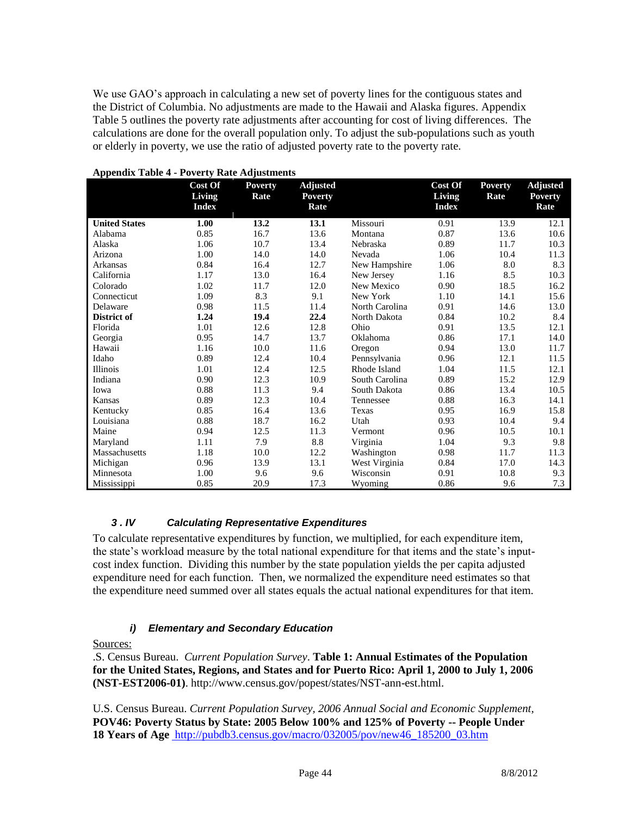We use GAO's approach in calculating a new set of poverty lines for the contiguous states and the District of Columbia. No adjustments are made to the Hawaii and Alaska figures. Appendix Table 5 outlines the poverty rate adjustments after accounting for cost of living differences. The calculations are done for the overall population only. To adjust the sub-populations such as youth or elderly in poverty, we use the ratio of adjusted poverty rate to the poverty rate.

|                      | Cost Of<br>Living<br><b>Index</b> | <b>Poverty</b><br>Rate | <b>Adjusted</b><br><b>Poverty</b><br>Rate |                | Cost Of<br>Living<br><b>Index</b> | <b>Poverty</b><br>Rate | <b>Adjusted</b><br><b>Poverty</b><br>Rate |
|----------------------|-----------------------------------|------------------------|-------------------------------------------|----------------|-----------------------------------|------------------------|-------------------------------------------|
| <b>United States</b> | 1.00                              | 13.2                   | 13.1                                      | Missouri       | 0.91                              | 13.9                   | 12.1                                      |
| Alabama              | 0.85                              | 16.7                   | 13.6                                      | Montana        | 0.87                              | 13.6                   | 10.6                                      |
| Alaska               | 1.06                              | 10.7                   | 13.4                                      | Nebraska       | 0.89                              | 11.7                   | 10.3                                      |
| Arizona              | 1.00                              | 14.0                   | 14.0                                      | Nevada         | 1.06                              | 10.4                   | 11.3                                      |
| Arkansas             | 0.84                              | 16.4                   | 12.7                                      | New Hampshire  | 1.06                              | 8.0                    | 8.3                                       |
| California           | 1.17                              | 13.0                   | 16.4                                      | New Jersey     | 1.16                              | 8.5                    | 10.3                                      |
| Colorado             | 1.02                              | 11.7                   | 12.0                                      | New Mexico     | 0.90                              | 18.5                   | 16.2                                      |
| Connecticut          | 1.09                              | 8.3                    | 9.1                                       | New York       | 1.10                              | 14.1                   | 15.6                                      |
| Delaware             | 0.98                              | 11.5                   | 11.4                                      | North Carolina | 0.91                              | 14.6                   | 13.0                                      |
| District of          | 1.24                              | 19.4                   | 22.4                                      | North Dakota   | 0.84                              | 10.2                   | 8.4                                       |
| Florida              | 1.01                              | 12.6                   | 12.8                                      | Ohio           | 0.91                              | 13.5                   | 12.1                                      |
| Georgia              | 0.95                              | 14.7                   | 13.7                                      | Oklahoma       | 0.86                              | 17.1                   | 14.0                                      |
| Hawaii               | 1.16                              | 10.0                   | 11.6                                      | Oregon         | 0.94                              | 13.0                   | 11.7                                      |
| Idaho                | 0.89                              | 12.4                   | 10.4                                      | Pennsylvania   | 0.96                              | 12.1                   | 11.5                                      |
| Illinois             | 1.01                              | 12.4                   | 12.5                                      | Rhode Island   | 1.04                              | 11.5                   | 12.1                                      |
| Indiana              | 0.90                              | 12.3                   | 10.9                                      | South Carolina | 0.89                              | 15.2                   | 12.9                                      |
| Iowa                 | 0.88                              | 11.3                   | 9.4                                       | South Dakota   | 0.86                              | 13.4                   | 10.5                                      |
| Kansas               | 0.89                              | 12.3                   | 10.4                                      | Tennessee      | 0.88                              | 16.3                   | 14.1                                      |
| Kentucky             | 0.85                              | 16.4                   | 13.6                                      | Texas          | 0.95                              | 16.9                   | 15.8                                      |
| Louisiana            | 0.88                              | 18.7                   | 16.2                                      | Utah           | 0.93                              | 10.4                   | 9.4                                       |
| Maine                | 0.94                              | 12.5                   | 11.3                                      | Vermont        | 0.96                              | 10.5                   | 10.1                                      |
| Maryland             | 1.11                              | 7.9                    | 8.8                                       | Virginia       | 1.04                              | 9.3                    | 9.8                                       |
| Massachusetts        | 1.18                              | 10.0                   | 12.2                                      | Washington     | 0.98                              | 11.7                   | 11.3                                      |
| Michigan             | 0.96                              | 13.9                   | 13.1                                      | West Virginia  | 0.84                              | 17.0                   | 14.3                                      |
| Minnesota            | 1.00                              | 9.6                    | 9.6                                       | Wisconsin      | 0.91                              | 10.8                   | 9.3                                       |
| Mississippi          | 0.85                              | 20.9                   | 17.3                                      | Wyoming        | 0.86                              | 9.6                    | 7.3                                       |

#### **Appendix Table 4 - Poverty Rate Adjustments**

#### *3 . IV Calculating Representative Expenditures*

To calculate representative expenditures by function, we multiplied, for each expenditure item, the state's workload measure by the total national expenditure for that items and the state's inputcost index function. Dividing this number by the state population yields the per capita adjusted expenditure need for each function. Then, we normalized the expenditure need estimates so that the expenditure need summed over all states equals the actual national expenditures for that item.

#### *i) Elementary and Secondary Education*

#### Sources:

.S. Census Bureau. *Current Population Survey*. **Table 1: Annual Estimates of the Population for the United States, Regions, and States and for Puerto Rico: April 1, 2000 to July 1, 2006 (NST-EST2006-01)**. http://www.census.gov/popest/states/NST-ann-est.html.

U.S. Census Bureau. *Current Population Survey, 2006 Annual Social and Economic Supplement,*  **POV46: Poverty Status by State: 2005 Below 100% and 125% of Poverty -- People Under 18 Years of Age** [http://pubdb3.census.gov/macro/032005/pov/new46\\_185200\\_03.htm](http://pubdb3.census.gov/macro/032005/pov/new46_185200_03.htm)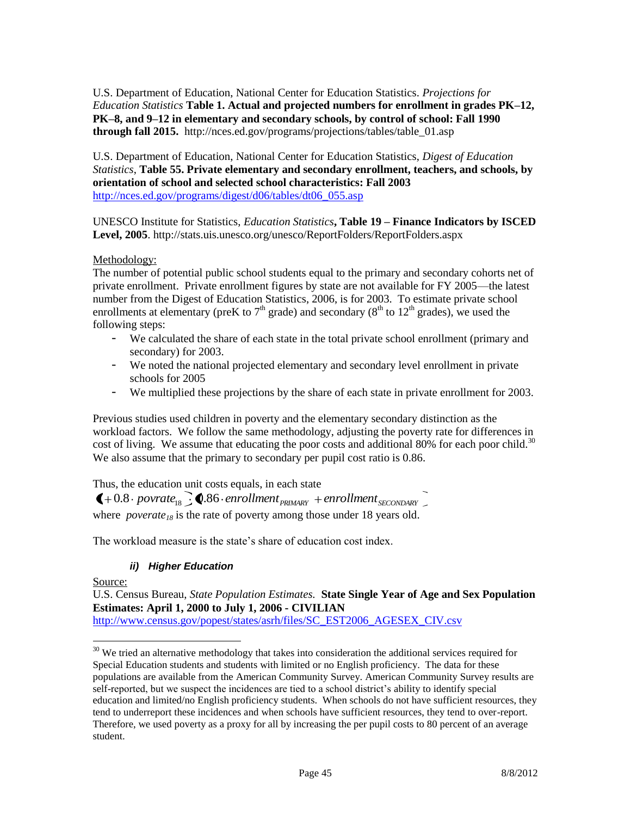U.S. Department of Education, National Center for Education Statistics. *Projections for Education Statistics* **Table 1. Actual and projected numbers for enrollment in grades PK–12, PK–8, and 9–12 in elementary and secondary schools, by control of school: Fall 1990 through fall 2015.** http://nces.ed.gov/programs/projections/tables/table\_01.asp

U.S. Department of Education, National Center for Education Statistics, *Digest of Education Statistics*, **Table 55. Private elementary and secondary enrollment, teachers, and schools, by orientation of school and selected school characteristics: Fall 2003**  [http://nces.ed.gov/programs/digest/d06/tables/dt06\\_055.asp](http://nces.ed.gov/programs/digest/d06/tables/dt06_055.asp)

UNESCO Institute for Statistics, *Education Statistics***, Table 19 – Finance Indicators by ISCED Level, 2005**. http://stats.uis.unesco.org/unesco/ReportFolders/ReportFolders.aspx

#### Methodology:

The number of potential public school students equal to the primary and secondary cohorts net of private enrollment. Private enrollment figures by state are not available for FY 2005—the latest number from the Digest of Education Statistics, 2006, is for 2003. To estimate private school enrollments at elementary (preK to  $7<sup>th</sup>$  grade) and secondary ( $8<sup>th</sup>$  to  $12<sup>th</sup>$  grades), we used the following steps:

- We calculated the share of each state in the total private school enrollment (primary and secondary) for 2003.
- We noted the national projected elementary and secondary level enrollment in private schools for 2005
- We multiplied these projections by the share of each state in private enrollment for 2003.

Previous studies used children in poverty and the elementary secondary distinction as the workload factors. We follow the same methodology, adjusting the poverty rate for differences in cost of living. We assume that educating the poor costs and additional 80% for each poor child.<sup>30</sup> We also assume that the primary to secondary per pupil cost ratio is 0.86.

Thus, the education unit costs equals, in each state

 $\big( +0.8 \cdot \text{povrate}_{18} \big)$   $\big\}$   $\big\$   $\big\}$   $\big\}$   $\big\}$   $\big\}$  *enrollment*  $\big\}$   $\big\}$   $\big\}$   $\big\{$   $\big\}$   $\big\}$   $\big\}$   $\big\}$   $\big\}$   $\big\}$   $\big\}$   $\big\}$   $\big\}$   $\big\}$   $\big\{$   $\big\}$   $\big\}$   $\big\}$   $\big\}$   $\big\}$   $\$ where *poverate<sub>18</sub>* is the rate of poverty among those under 18 years old.

The workload measure is the state's share of education cost index.

#### *ii) Higher Education*

Source:

 $\overline{a}$ 

U.S. Census Bureau, *State Population Estimates.* **State Single Year of Age and Sex Population Estimates: April 1, 2000 to July 1, 2006 - CIVILIAN**

[http://www.census.gov/popest/states/asrh/files/SC\\_EST2006\\_AGESEX\\_CIV.csv](http://www.census.gov/popest/states/asrh/files/SC_EST2006_AGESEX_CIV.csv)

<sup>&</sup>lt;sup>30</sup> We tried an alternative methodology that takes into consideration the additional services required for Special Education students and students with limited or no English proficiency. The data for these populations are available from the American Community Survey. American Community Survey results are self-reported, but we suspect the incidences are tied to a school district's ability to identify special education and limited/no English proficiency students. When schools do not have sufficient resources, they tend to underreport these incidences and when schools have sufficient resources, they tend to over-report. Therefore, we used poverty as a proxy for all by increasing the per pupil costs to 80 percent of an average student.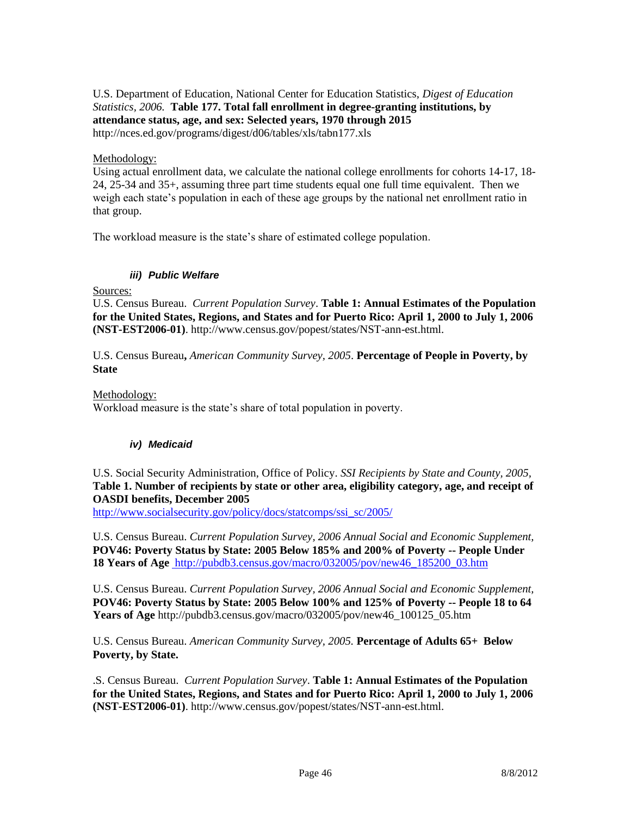#### U.S. Department of Education, National Center for Education Statistics, *Digest of Education Statistics, 2006.* **Table 177. Total fall enrollment in degree-granting institutions, by attendance status, age, and sex: Selected years, 1970 through 2015** http://nces.ed.gov/programs/digest/d06/tables/xls/tabn177.xls

#### Methodology:

Using actual enrollment data, we calculate the national college enrollments for cohorts 14-17, 18- 24, 25-34 and 35+, assuming three part time students equal one full time equivalent. Then we weigh each state's population in each of these age groups by the national net enrollment ratio in that group.

The workload measure is the state's share of estimated college population.

### *iii) Public Welfare*

Sources:

U.S. Census Bureau. *Current Population Survey*. **Table 1: Annual Estimates of the Population for the United States, Regions, and States and for Puerto Rico: April 1, 2000 to July 1, 2006 (NST-EST2006-01)**. http://www.census.gov/popest/states/NST-ann-est.html.

U.S. Census Bureau**,** *American Community Survey, 2005*. **Percentage of People in Poverty, by State**

Methodology:

Workload measure is the state's share of total population in poverty.

#### *iv) Medicaid*

#### U.S. Social Security Administration, Office of Policy. *SSI Recipients by State and County, 2005,*  **Table 1. Number of recipients by state or other area, eligibility category, age, and receipt of OASDI benefits, December 2005**

[http://www.socialsecurity.gov/policy/docs/statcomps/ssi\\_sc/2005/](http://www.socialsecurity.gov/policy/docs/statcomps/ssi_sc/2005/)

U.S. Census Bureau. *Current Population Survey, 2006 Annual Social and Economic Supplement,*  **POV46: Poverty Status by State: 2005 Below 185% and 200% of Poverty -- People Under 18 Years of Age** [http://pubdb3.census.gov/macro/032005/pov/new46\\_185200\\_03.htm](http://pubdb3.census.gov/macro/032005/pov/new46_185200_03.htm)

U.S. Census Bureau. *Current Population Survey, 2006 Annual Social and Economic Supplement,*  **POV46: Poverty Status by State: 2005 Below 100% and 125% of Poverty -- People 18 to 64 Years of Age** http://pubdb3.census.gov/macro/032005/pov/new46\_100125\_05.htm

U.S. Census Bureau. *American Community Survey, 2005.* **Percentage of Adults 65+ Below Poverty, by State.** 

.S. Census Bureau. *Current Population Survey*. **Table 1: Annual Estimates of the Population for the United States, Regions, and States and for Puerto Rico: April 1, 2000 to July 1, 2006 (NST-EST2006-01)**. http://www.census.gov/popest/states/NST-ann-est.html.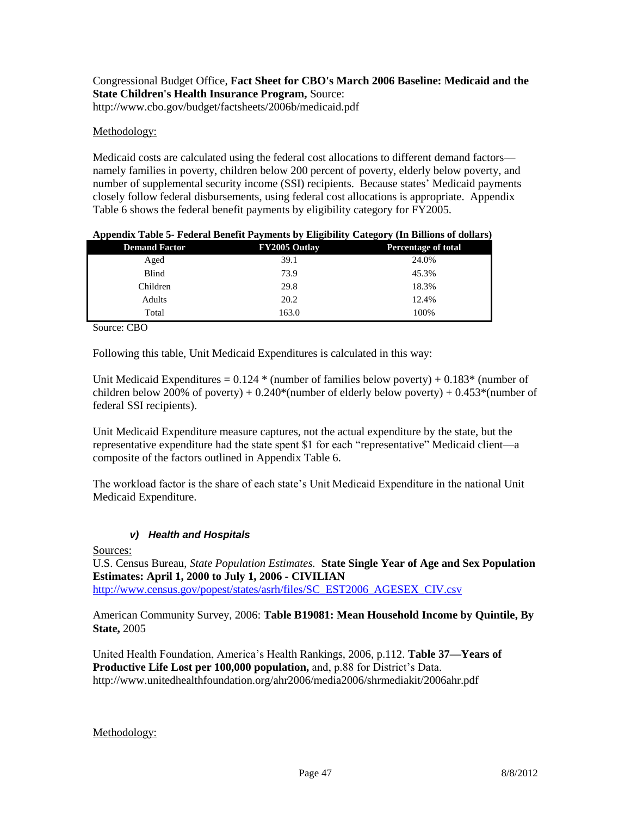### Congressional Budget Office, **Fact Sheet for CBO's March 2006 Baseline: Medicaid and the State Children's Health Insurance Program,** Source: http://www.cbo.gov/budget/factsheets/2006b/medicaid.pdf

#### Methodology:

Medicaid costs are calculated using the federal cost allocations to different demand factors namely families in poverty, children below 200 percent of poverty, elderly below poverty, and number of supplemental security income (SSI) recipients. Because states' Medicaid payments closely follow federal disbursements, using federal cost allocations is appropriate. Appendix Table 6 shows the federal benefit payments by eligibility category for FY2005.

| <b>Demand Factor</b> | FY2005 Outlay | <b>Percentage of total</b> |
|----------------------|---------------|----------------------------|
| Aged                 | 39.1          | 24.0%                      |
| Blind                | 73.9          | 45.3%                      |
| Children             | 29.8          | 18.3%                      |
| Adults               | 20.2          | 12.4%                      |
| Total                | 163.0         | 100%                       |

#### **Appendix Table 5- Federal Benefit Payments by Eligibility Category (In Billions of dollars)**

Source: CBO

Following this table, Unit Medicaid Expenditures is calculated in this way:

Unit Medicaid Expenditures =  $0.124 *$  (number of families below poverty) +  $0.183*$  (number of children below 200% of poverty) +  $0.240*(\text{number of elderly below powerly}) + 0.453*(\text{number of}$ federal SSI recipients).

Unit Medicaid Expenditure measure captures, not the actual expenditure by the state, but the representative expenditure had the state spent \$1 for each "representative" Medicaid client—a composite of the factors outlined in Appendix Table 6.

The workload factor is the share of each state's Unit Medicaid Expenditure in the national Unit Medicaid Expenditure.

#### *v) Health and Hospitals*

#### Sources:

U.S. Census Bureau, *State Population Estimates.* **State Single Year of Age and Sex Population Estimates: April 1, 2000 to July 1, 2006 - CIVILIAN** [http://www.census.gov/popest/states/asrh/files/SC\\_EST2006\\_AGESEX\\_CIV.csv](http://www.census.gov/popest/states/asrh/files/SC_EST2006_AGESEX_CIV.csv)

American Community Survey, 2006: **Table B19081: Mean Household Income by Quintile, By State,** 2005

United Health Foundation, America's Health Rankings, 2006, p.112. **Table 37—Years of Productive Life Lost per 100,000 population,** and, p.88 for District's Data. http://www.unitedhealthfoundation.org/ahr2006/media2006/shrmediakit/2006ahr.pdf

#### Methodology: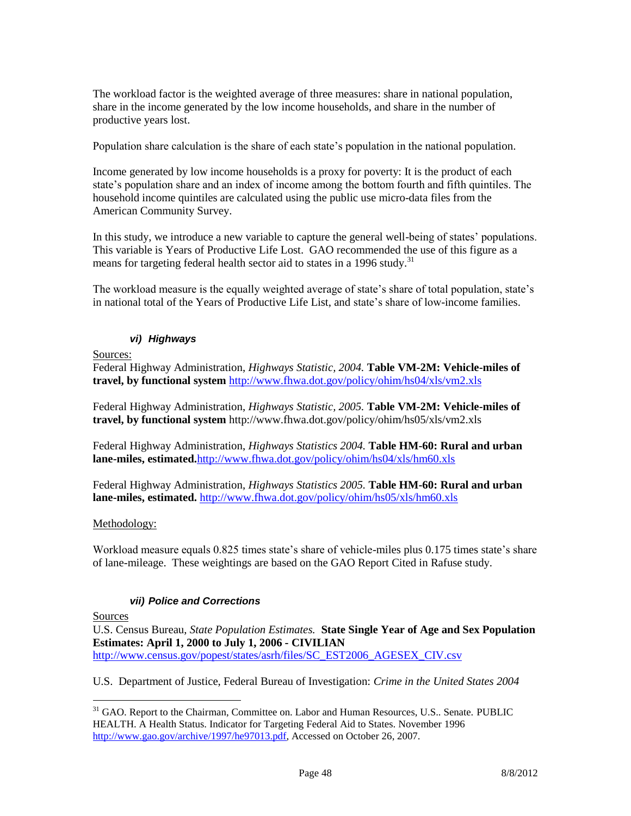The workload factor is the weighted average of three measures: share in national population, share in the income generated by the low income households, and share in the number of productive years lost.

Population share calculation is the share of each state's population in the national population.

Income generated by low income households is a proxy for poverty: It is the product of each state's population share and an index of income among the bottom fourth and fifth quintiles. The household income quintiles are calculated using the public use micro-data files from the American Community Survey.

In this study, we introduce a new variable to capture the general well-being of states' populations. This variable is Years of Productive Life Lost. GAO recommended the use of this figure as a means for targeting federal health sector aid to states in a 1996 study.<sup>31</sup>

The workload measure is the equally weighted average of state's share of total population, state's in national total of the Years of Productive Life List, and state's share of low-income families.

### *vi) Highways*

Sources:

Federal Highway Administration, *Highways Statistic, 2004.* **Table VM-2M: Vehicle-miles of travel, by functional system** <http://www.fhwa.dot.gov/policy/ohim/hs04/xls/vm2.xls>

Federal Highway Administration, *Highways Statistic, 2005.* **Table VM-2M: Vehicle-miles of travel, by functional system** http://www.fhwa.dot.gov/policy/ohim/hs05/xls/vm2.xls

Federal Highway Administration, *Highways Statistics 2004.* **Table HM-60: Rural and urban lane-miles, estimated.**<http://www.fhwa.dot.gov/policy/ohim/hs04/xls/hm60.xls>

Federal Highway Administration, *Highways Statistics 2005.* **Table HM-60: Rural and urban lane-miles, estimated.** <http://www.fhwa.dot.gov/policy/ohim/hs05/xls/hm60.xls>

#### Methodology:

Workload measure equals 0.825 times state's share of vehicle-miles plus 0.175 times state's share of lane-mileage. These weightings are based on the GAO Report Cited in Rafuse study.

## *vii) Police and Corrections*

Sources

 $\overline{a}$ 

U.S. Census Bureau, *State Population Estimates.* **State Single Year of Age and Sex Population Estimates: April 1, 2000 to July 1, 2006 - CIVILIAN** [http://www.census.gov/popest/states/asrh/files/SC\\_EST2006\\_AGESEX\\_CIV.csv](http://www.census.gov/popest/states/asrh/files/SC_EST2006_AGESEX_CIV.csv)

U.S. Department of Justice, Federal Bureau of Investigation: *Crime in the United States 2004*

<sup>&</sup>lt;sup>31</sup> GAO. Report to the Chairman, Committee on. Labor and Human Resources, U.S.. Senate. PUBLIC HEALTH. A Health Status. Indicator for Targeting Federal Aid to States. November 1996 [http://www.gao.gov/archive/1997/he97013.pdf,](http://www.gao.gov/archive/1997/he97013.pdf) Accessed on October 26, 2007.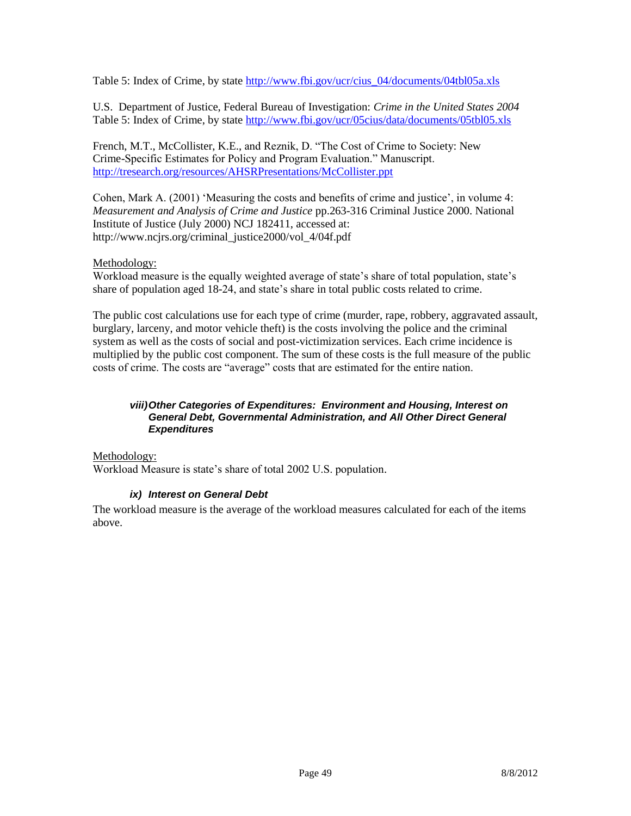Table 5: Index of Crime, by state http://www.fbi.gov/ucr/cius 04/documents/04tbl05a.xls

U.S. Department of Justice, Federal Bureau of Investigation: *Crime in the United States 2004* Table 5: Index of Crime, by state<http://www.fbi.gov/ucr/05cius/data/documents/05tbl05.xls>

French, M.T., McCollister, K.E., and Reznik, D. "The Cost of Crime to Society: New Crime-Specific Estimates for Policy and Program Evaluation." Manuscript. <http://tresearch.org/resources/AHSRPresentations/McCollister.ppt>

Cohen, Mark A. (2001) 'Measuring the costs and benefits of crime and justice', in volume 4: *Measurement and Analysis of Crime and Justice* pp.263-316 Criminal Justice 2000. National Institute of Justice (July 2000) NCJ 182411, accessed at: http://www.ncjrs.org/criminal\_justice2000/vol\_4/04f.pdf

#### Methodology:

Workload measure is the equally weighted average of state's share of total population, state's share of population aged 18-24, and state's share in total public costs related to crime.

The public cost calculations use for each type of crime (murder, rape, robbery, aggravated assault, burglary, larceny, and motor vehicle theft) is the costs involving the police and the criminal system as well as the costs of social and post-victimization services. Each crime incidence is multiplied by the public cost component. The sum of these costs is the full measure of the public costs of crime. The costs are "average" costs that are estimated for the entire nation.

#### *viii)Other Categories of Expenditures: Environment and Housing, Interest on General Debt, Governmental Administration, and All Other Direct General Expenditures*

Methodology: Workload Measure is state's share of total 2002 U.S. population.

#### *ix) Interest on General Debt*

The workload measure is the average of the workload measures calculated for each of the items above.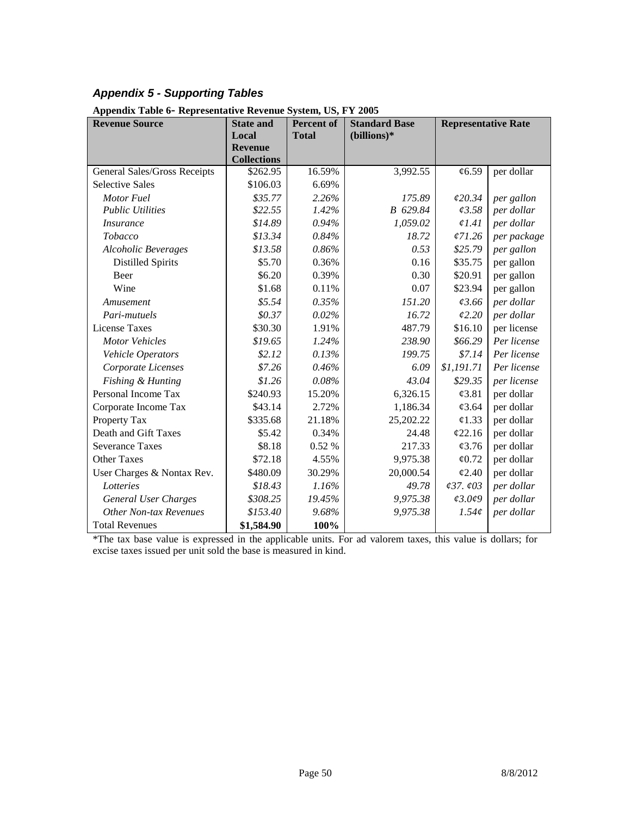# *Appendix 5 - Supporting Tables*

| $_{\rm 100}$ $_{\rm 200}$ $_{\rm 000}$ $_{\rm 000}$<br><b>Revenue Source</b> | <b>State and</b><br>Local | <b>Percent of</b><br><b>Total</b> | <b>Standard Base</b><br>(billions)* | <b>Representative Rate</b>   |             |
|------------------------------------------------------------------------------|---------------------------|-----------------------------------|-------------------------------------|------------------------------|-------------|
|                                                                              | <b>Revenue</b>            |                                   |                                     |                              |             |
|                                                                              | <b>Collections</b>        |                                   |                                     |                              |             |
| General Sales/Gross Receipts                                                 | \$262.95                  | 16.59%                            | 3,992.55                            | $\mathcal{C}6.59$            | per dollar  |
| <b>Selective Sales</b>                                                       | \$106.03                  | 6.69%                             |                                     |                              |             |
| Motor Fuel                                                                   | \$35.77                   | 2.26%                             | 175.89                              | 620.34                       | per gallon  |
| <b>Public Utilities</b>                                                      | \$22.55                   | 1.42%                             | B 629.84                            | 0.3.58                       | per dollar  |
| <i>Insurance</i>                                                             | \$14.89                   | 0.94%                             | 1,059.02                            | $\ell$ 1.41                  | per dollar  |
| Tobacco                                                                      | \$13.34                   | 0.84%                             | 18.72                               | $\sqrt{71.26}$               | per package |
| <b>Alcoholic Beverages</b>                                                   | \$13.58                   | 0.86%                             | 0.53                                | \$25.79                      | per gallon  |
| <b>Distilled Spirits</b>                                                     | \$5.70                    | 0.36%                             | 0.16                                | \$35.75                      | per gallon  |
| Beer                                                                         | \$6.20                    | 0.39%                             | 0.30                                | \$20.91                      | per gallon  |
| Wine                                                                         | \$1.68                    | 0.11%                             | 0.07                                | \$23.94                      | per gallon  |
| Amusement                                                                    | \$5.54                    | 0.35%                             | 151.20                              | 63.66                        | per dollar  |
| Pari-mutuels                                                                 | \$0.37                    | 0.02%                             | 16.72                               | 62.20                        | per dollar  |
| <b>License Taxes</b>                                                         | \$30.30                   | 1.91%                             | 487.79                              | \$16.10                      | per license |
| <b>Motor Vehicles</b>                                                        | \$19.65                   | 1.24%                             | 238.90                              | \$66.29                      | Per license |
| Vehicle Operators                                                            | \$2.12                    | 0.13%                             | 199.75                              | \$7.14                       | Per license |
| Corporate Licenses                                                           | \$7.26                    | 0.46%                             | 6.09                                | \$1,191.71                   | Per license |
| Fishing & Hunting                                                            | \$1.26                    | 0.08%                             | 43.04                               | \$29.35                      | per license |
| Personal Income Tax                                                          | \$240.93                  | 15.20%                            | 6,326.15                            | $\mathcal{L}3.81$            | per dollar  |
| Corporate Income Tax                                                         | \$43.14                   | 2.72%                             | 1,186.34                            | $\mathcal{C}3.64$            | per dollar  |
| Property Tax                                                                 | \$335.68                  | 21.18%                            | 25,202.22                           | $\varphi$ 1.33               | per dollar  |
| Death and Gift Taxes                                                         | \$5.42                    | 0.34%                             | 24.48                               | 622.16                       | per dollar  |
| <b>Severance Taxes</b>                                                       | \$8.18                    | 0.52 %                            | 217.33                              | $\&$ 3.76                    | per dollar  |
| <b>Other Taxes</b>                                                           | \$72.18                   | 4.55%                             | 9,975.38                            | $\varphi$ 0.72               | per dollar  |
| User Charges & Nontax Rev.                                                   | \$480.09                  | 30.29%                            | 20,000.54                           | $\mathcal{L}2.40$            | per dollar  |
| Lotteries                                                                    | \$18.43                   | 1.16%                             | 49.78                               | $\sqrt{37}$ . $\sqrt{03}$    | per dollar  |
| <b>General User Charges</b>                                                  | \$308.25                  | 19.45%                            | 9,975.38                            | $\mathcal{Q}3.0\mathcal{Q}9$ | per dollar  |
| <b>Other Non-tax Revenues</b>                                                | \$153.40                  | 9.68%                             | 9,975.38                            | 1.54c                        | per dollar  |
| <b>Total Revenues</b>                                                        | \$1,584.90                | 100%                              |                                     |                              |             |

**Appendix Table 6- Representative Revenue System, US, FY 2005**

\*The tax base value is expressed in the applicable units. For ad valorem taxes, this value is dollars; for excise taxes issued per unit sold the base is measured in kind.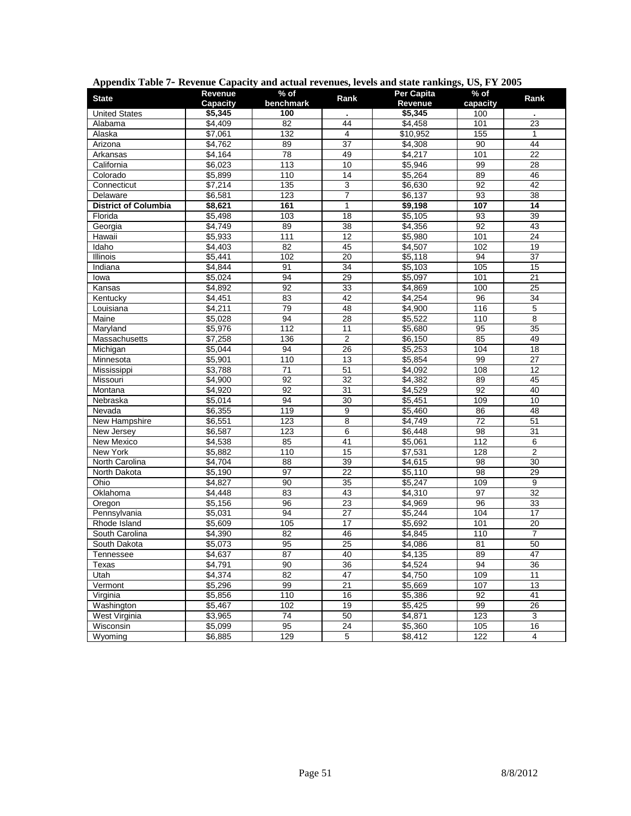| <b>State</b>                | Revenue  | % of            | Rank            | Per Capita | $%$ of          | Rank            |
|-----------------------------|----------|-----------------|-----------------|------------|-----------------|-----------------|
|                             | Capacity | benchmark       |                 | Revenue    | capacity        |                 |
| <b>United States</b>        | \$5,345  | 100             |                 | \$5,345    | 100             |                 |
| Alabama                     | \$4,409  | 82              | 44              | \$4,458    | 101             | 23              |
| Alaska                      | \$7,061  | 132             | 4               | \$10,952   | 155             | $\mathbf{1}$    |
| Arizona                     | \$4,762  | 89              | 37              | \$4,308    | 90              | 44              |
| Arkansas                    | \$4,164  | $\overline{78}$ | 49              | \$4,217    | 101             | $\overline{22}$ |
| California                  | \$6,023  | $\frac{1}{113}$ | 10              | \$5,946    | 99              | 28              |
| Colorado                    | \$5,899  | 110             | 14              | \$5,264    | 89              | 46              |
| Connecticut                 | \$7,214  | 135             | 3               | \$6,630    | 92              | $\overline{42}$ |
| Delaware                    | \$6,581  | 123             | 7               | \$6,137    | 93              | 38              |
| <b>District of Columbia</b> | \$8,621  | 161             | 1               | \$9,198    | 107             | $\overline{14}$ |
| Florida                     | \$5,498  | 103             | 18              | \$5,105    | 93              | 39              |
| Georgia                     | \$4,749  | 89              | 38              | \$4,356    | 92              | 43              |
| Hawaii                      | \$5,933  | 111             | 12              | \$5,980    | 101             | 24              |
| Idaho                       | \$4,403  | 82              | 45              | \$4,507    | 102             | 19              |
| Illinois                    | \$5,441  | 102             | 20              | \$5,118    | 94              | 37              |
| Indiana                     | \$4,844  | 91              | $\overline{34}$ | \$5,103    | 105             | 15              |
| lowa                        | \$5,024  | 94              | 29              | \$5,097    | 101             | 21              |
| Kansas                      | \$4,892  | 92              | 33              | \$4,869    | 100             | 25              |
| Kentucky                    | \$4,451  | 83              | 42              | \$4,254    | 96              | $\overline{34}$ |
| Louisiana                   | \$4,211  | 79              | 48              | \$4,900    | 116             | 5               |
| Maine                       | \$5,028  | 94              | $\overline{28}$ | \$5,522    | 110             | 8               |
| Maryland                    | \$5,976  | 112             | 11              | \$5,680    | 95              | 35              |
| Massachusetts               | \$7,258  | 136             | $\overline{2}$  | \$6,150    | 85              | 49              |
| Michigan                    | \$5,044  | 94              | 26              | \$5,253    | 104             | 18              |
| Minnesota                   | \$5,901  | 110             | 13              | \$5,854    | 99              | $\overline{27}$ |
| Mississippi                 | \$3,788  | 71              | 51              | \$4,092    | 108             | 12              |
| Missouri                    | \$4,900  | 92              | 32              | \$4,382    | 89              | 45              |
| Montana                     | \$4,920  | 92              | 31              | \$4,529    | 92              | 40              |
| Nebraska                    | \$5,014  | $\overline{94}$ | $\overline{30}$ | \$5,451    | 109             | 10              |
| Nevada                      | \$6,355  | 119             | 9               | \$5,460    | 86              | 48              |
| New Hampshire               | \$6,551  | 123             | $\overline{8}$  | \$4,749    | $\overline{72}$ | 51              |
| New Jersey                  | \$6,587  | 123             | 6               | \$6,448    | 98              | 31              |
| New Mexico                  | \$4,538  | 85              | 41              | \$5,061    | 112             | 6               |
| New York                    | \$5,882  | 110             | 15              | \$7,531    | 128             | $\overline{2}$  |
| North Carolina              | \$4,704  | 88              | 39              | \$4,615    | 98              | 30              |
| North Dakota                | \$5,190  | 97              | 22              | \$5,110    | 98              | 29              |
| Ohio                        | \$4,827  | 90              | 35              | \$5,247    | 109             | 9               |
| Oklahoma                    | \$4,448  | 83              | 43              | \$4,310    | $\overline{97}$ | $\overline{32}$ |
| Oregon                      | \$5,156  | 96              | $\overline{23}$ | \$4,969    | 96              | 33              |
| Pennsylvania                | \$5,031  | $\overline{94}$ | $\overline{27}$ | \$5,244    | 104             | $\overline{17}$ |
| Rhode Island                | \$5,609  | 105             | 17              | \$5,692    | 101             | 20              |
| South Carolina              | \$4,390  | 82              | 46              | \$4,845    | 110             | $\overline{7}$  |
| South Dakota                | \$5,073  | 95              | 25              | \$4,086    | 81              | 50              |
| Tennessee                   | \$4,637  | 87              | 40              | \$4,135    | 89              | 47              |
| Texas                       | \$4,791  | 90              | 36              | \$4,524    | 94              | 36              |
| Utah                        | \$4,374  | 82              | 47              | \$4,750    | 109             | 11              |
| Vermont                     | \$5,296  | 99              | 21              | \$5,669    | 107             | 13              |
| Virginia                    | \$5,856  | 110             | 16              | \$5,386    | 92              | 41              |
| Washington                  | \$5,467  | 102             | 19              | \$5,425    | 99              | 26              |
| <b>West Virginia</b>        | \$3,965  | 74              | 50              | \$4,871    | 123             | 3               |
| Wisconsin                   | \$5,099  | 95              | 24              | \$5,360    | 105             | 16              |
| Wyoming                     | \$6,885  | 129             | 5               | \$8,412    | 122             | 4               |

## **Appendix Table 7- Revenue Capacity and actual revenues, levels and state rankings, US, FY 2005**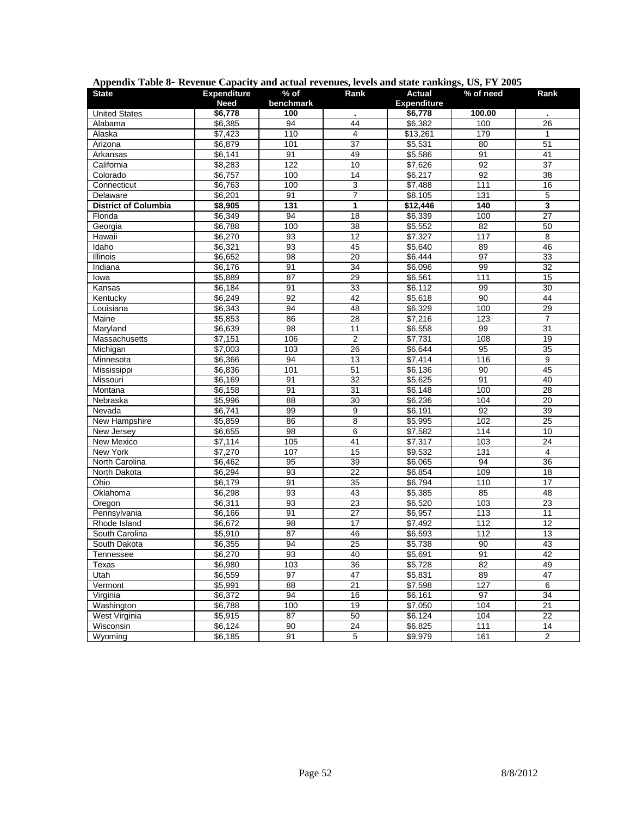| <b>State</b>                | <b>Expenditure</b> | $%$ of          | Rank            | <b>Actual</b>      | % of need | Rank                    |
|-----------------------------|--------------------|-----------------|-----------------|--------------------|-----------|-------------------------|
|                             | <b>Need</b>        | benchmark       |                 | <b>Expenditure</b> |           |                         |
| <b>United States</b>        | \$6,778            | 100             | ä,              | \$6,778            | 100.00    |                         |
| Alabama                     | \$6,385            | 94              | 44              | \$6,382            | 100       | 26                      |
| Alaska                      | \$7,423            | 110             | $\overline{4}$  | \$13,261           | 179       | $\mathbf{1}$            |
| Arizona                     | \$6,879            | 101             | 37              | \$5,531            | 80        | 51                      |
| Arkansas                    | \$6,141            | 91              | 49              | \$5,586            | 91        | 41                      |
| California                  | \$8,283            | 122             | 10              | \$7,626            | 92        | 37                      |
| Colorado                    | \$6,757            | 100             | 14              | \$6,217            | 92        | 38                      |
| Connecticut                 | \$6,763            | 100             | 3               | \$7,488            | 111       | 16                      |
| Delaware                    | \$6,201            | 91              | 7               | \$8,105            | 131       | 5                       |
| <b>District of Columbia</b> | \$8,905            | $\frac{1}{131}$ | 1               | \$12,446           | 140       | $\overline{\mathbf{3}}$ |
| Florida                     | \$6,349            | 94              | 18              | \$6,339            | 100       | $\overline{27}$         |
| Georgia                     | \$6,788            | 100             | 38              | \$5,552            | 82        | 50                      |
| Hawaii                      | \$6,270            | 93              | 12              | \$7,327            | 117       | 8                       |
| Idaho                       | \$6,321            | 93              | 45              | \$5,640            | 89        | 46                      |
| <b>Illinois</b>             | \$6,652            | 98              | 20              | \$6,444            | 97        | 33                      |
| Indiana                     | \$6,176            | 91              | $\overline{34}$ | \$6,096            | 99        | $\overline{32}$         |
| lowa                        | \$5,889            | 87              | 29              | \$6,561            | 111       | 15                      |
| Kansas                      | \$6,184            | 91              | $\overline{33}$ | \$6,112            | 99        | 30                      |
| Kentucky                    | \$6,249            | $\overline{92}$ | 42              | \$5,618            | 90        | 44                      |
| Louisiana                   | \$6.343            | 94              | 48              | \$6,329            | 100       | 29                      |
| Maine                       | \$5,853            | 86              | 28              | $\sqrt{$7,216}$    | 123       | 7                       |
| Maryland                    | \$6,639            | 98              | 11              | \$6,558            | 99        | 31                      |
| Massachusetts               | \$7,151            | 106             | $\overline{2}$  | \$7,731            | 108       | 19                      |
| Michigan                    | \$7,003            | 103             | 26              | \$6,644            | 95        | 35                      |
| Minnesota                   | \$6,366            | 94              | 13              | \$7,414            | 116       | $\overline{9}$          |
| Mississippi                 | \$6,836            | 101             | 51              | \$6,136            | 90        | 45                      |
| Missouri                    | \$6,169            | 91              | 32              | \$5,625            | 91        | 40                      |
| Montana                     | \$6,158            | 91              | 31              | \$6,148            | 100       | 28                      |
| Nebraska                    | \$5,996            | $\overline{88}$ | $\overline{30}$ | \$6,236            | 104       | $\overline{20}$         |
| Nevada                      | \$6,741            | 99              | $\overline{9}$  | \$6,191            | 92        | 39                      |
| New Hampshire               | \$5,859            | $\overline{86}$ | 8               | \$5,995            | 102       | 25                      |
| New Jersey                  | \$6,655            | 98              | 6               | \$7,582            | 114       | 10                      |
| New Mexico                  | \$7,114            | $\frac{1}{105}$ | 41              | \$7,317            | 103       | 24                      |
| New York                    | \$7,270            | 107             | $\overline{15}$ | \$9,532            | 131       | $\overline{4}$          |
| North Carolina              | \$6,462            | 95              | 39              | \$6,065            | 94        | 36                      |
| North Dakota                | \$6,294            | 93              | 22              | \$6,854            | 109       | 18                      |
| Ohio                        | \$6,179            | 91              | $\overline{35}$ | \$6,794            | 110       | $\overline{17}$         |
| Oklahoma                    | \$6,298            | 93              | 43              | \$5,385            | 85        | 48                      |
| Oregon                      | \$6,311            | 93              | 23              | \$6,520            | 103       | 23                      |
| Pennsylvania                | \$6,166            | 91              | $\overline{27}$ | \$6,957            | 113       | $\overline{11}$         |
| Rhode Island                | \$6,672            | 98              | $\overline{17}$ | \$7,492            | 112       | 12                      |
| South Carolina              | \$5,910            | $\overline{87}$ | 46              | \$6,593            | 112       | $\overline{13}$         |
| South Dakota                | \$6,355            | 94              | 25              | \$5,738            | 90        | 43                      |
|                             |                    | 93              | 40              | \$5,691            | 91        | 42                      |
| Tennessee                   | \$6,270            |                 |                 |                    |           |                         |
| <b>Texas</b>                | \$6,980<br>\$6,559 | 103             | $\overline{36}$ | \$5,728            | 82        | 49                      |
| Utah                        |                    | 97              | $\overline{47}$ | \$5,831            | 89        | $\overline{47}$         |
| Vermont                     | \$5,991            | 88              | 21              | \$7,598            | 127       | 6                       |
| Virginia                    | \$6,372            | 94              | 16              | \$6,161            | 97        | $\overline{34}$         |
| Washington                  | \$6,788            | 100             | 19              | \$7,050            | 104       | 21                      |
| West Virginia               | \$5,915            | $\overline{87}$ | 50              | \$6,124            | 104       | 22                      |
| Wisconsin                   | \$6,124            | 90              | 24              | \$6,825            | 111       | $\overline{14}$         |
| Wyoming                     | \$6,185            | 91              | $\overline{5}$  | \$9,979            | 161       | $\overline{2}$          |

#### **Appendix Table 8- Revenue Capacity and actual revenues, levels and state rankings, US, FY 2005**